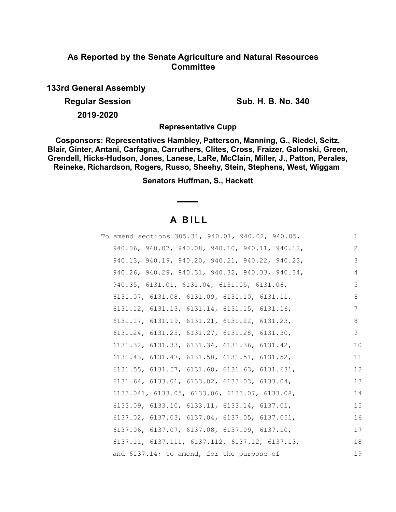# **As Reported by the Senate Agriculture and Natural Resources Committee**

**133rd General Assembly**

**Regular Session Sub. H. B. No. 340** 

**2019-2020**

**Representative Cupp**

**Cosponsors: Representatives Hambley, Patterson, Manning, G., Riedel, Seitz, Blair, Ginter, Antani, Carfagna, Carruthers, Clites, Cross, Fraizer, Galonski, Green, Grendell, Hicks-Hudson, Jones, Lanese, LaRe, McClain, Miller, J., Patton, Perales, Reineke, Richardson, Rogers, Russo, Sheehy, Stein, Stephens, West, Wiggam** 

**Senators Huffman, S., Hackett**

# **A B I L L**

| To amend sections 305.31, 940.01, 940.02, 940.05,            | 1  |
|--------------------------------------------------------------|----|
| 940.06, 940.07, 940.08, 940.10, 940.11, 940.12,              | 2  |
| 940.13, 940.19, 940.20, 940.21, 940.22, 940.23,              | 3  |
| 940.26, 940.29, 940.31, 940.32, 940.33, 940.34,              | 4  |
| 940.35, 6131.01, 6131.04, 6131.05, 6131.06,                  | 5  |
| $6131.07$ , $6131.08$ , $6131.09$ , $6131.10$ , $6131.11$ ,  | 6  |
| $6131.12$ , $6131.13$ , $6131.14$ , $6131.15$ , $6131.16$ ,  | 7  |
| $6131.17$ , $6131.19$ , $6131.21$ , $6131.22$ , $6131.23$ ,  | 8  |
| $6131.24$ , $6131.25$ , $6131.27$ , $6131.28$ , $6131.30$ ,  | 9  |
| $6131.32, 6131.33, 6131.34, 6131.36, 6131.42,$               | 10 |
| $6131.43, 6131.47, 6131.50, 6131.51, 6131.52,$               | 11 |
| 6131.55, 6131.57, 6131.60, 6131.63, 6131.631,                | 12 |
| $6131.64, 6133.01, 6133.02, 6133.03, 6133.04,$               | 13 |
| 6133.041, 6133.05, 6133.06, 6133.07, 6133.08,                | 14 |
| $6133.09, 6133.10, 6133.11, 6133.14, 6137.01,$               | 15 |
| $6137.02$ , $6137.03$ , $6137.04$ , $6137.05$ , $6137.051$ , | 16 |
| $6137.06$ , $6137.07$ , $6137.08$ , $6137.09$ , $6137.10$ ,  | 17 |
| 6137.11, 6137.111, 6137.112, 6137.12, 6137.13,               | 18 |
| and 6137.14; to amend, for the purpose of                    | 19 |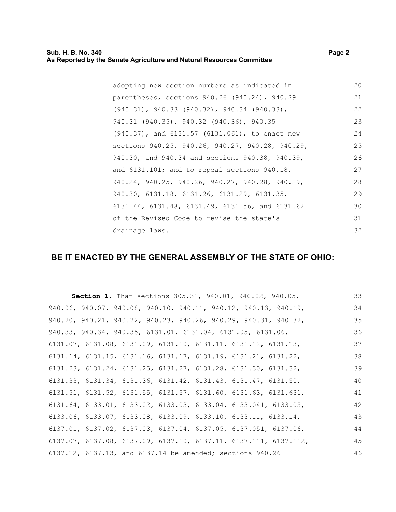| adopting new section numbers as indicated in           | 20 |
|--------------------------------------------------------|----|
| parentheses, sections 940.26 (940.24), 940.29          | 21 |
| $(940.31)$ , 940.33 $(940.32)$ , 940.34 $(940.33)$ ,   | 22 |
| 940.31 (940.35), 940.32 (940.36), 940.35               | 23 |
| $(940.37)$ , and $6131.57$ $(6131.061)$ ; to enact new | 24 |
| sections 940.25, 940.26, 940.27, 940.28, 940.29,       | 25 |
| 940.30, and 940.34 and sections 940.38, 940.39,        | 26 |
| and $6131.101$ ; and to repeal sections $940.18$ ,     | 27 |
| 940.24, 940.25, 940.26, 940.27, 940.28, 940.29,        | 28 |
| 940.30, 6131.18, 6131.26, 6131.29, 6131.35,            | 29 |
| 6131.44, 6131.48, 6131.49, 6131.56, and 6131.62        | 30 |
| of the Revised Code to revise the state's              | 31 |
| drainage laws.                                         | 32 |

# **BE IT ENACTED BY THE GENERAL ASSEMBLY OF THE STATE OF OHIO:**

| Section 1. That sections 305.31, 940.01, 940.02, 940.05,                            |  |  | 33 |
|-------------------------------------------------------------------------------------|--|--|----|
| 940.06, 940.07, 940.08, 940.10, 940.11, 940.12, 940.13, 940.19,                     |  |  | 34 |
| 940.20, 940.21, 940.22, 940.23, 940.26, 940.29, 940.31, 940.32,                     |  |  | 35 |
| 940.33, 940.34, 940.35, 6131.01, 6131.04, 6131.05, 6131.06,                         |  |  | 36 |
| $6131.07$ , $6131.08$ , $6131.09$ , $6131.10$ , $6131.11$ , $6131.12$ , $6131.13$ , |  |  | 37 |
| $6131.14$ , $6131.15$ , $6131.16$ , $6131.17$ , $6131.19$ , $6131.21$ , $6131.22$ , |  |  | 38 |
| 6131.23, 6131.24, 6131.25, 6131.27, 6131.28, 6131.30, 6131.32,                      |  |  | 39 |
| 6131.33, 6131.34, 6131.36, 6131.42, 6131.43, 6131.47, 6131.50,                      |  |  | 40 |
| $6131.51, 6131.52, 6131.55, 6131.57, 6131.60, 6131.63, 6131.631,$                   |  |  | 41 |
| $6131.64, 6133.01, 6133.02, 6133.03, 6133.04, 6133.041, 6133.05,$                   |  |  | 42 |
| 6133.06, 6133.07, 6133.08, 6133.09, 6133.10, 6133.11, 6133.14,                      |  |  | 43 |
| 6137.01, 6137.02, 6137.03, 6137.04, 6137.05, 6137.051, 6137.06,                     |  |  | 44 |
| 6137.07, 6137.08, 6137.09, 6137.10, 6137.11, 6137.111, 6137.112,                    |  |  | 45 |
| 6137.12, 6137.13, and 6137.14 be amended; sections 940.26                           |  |  | 46 |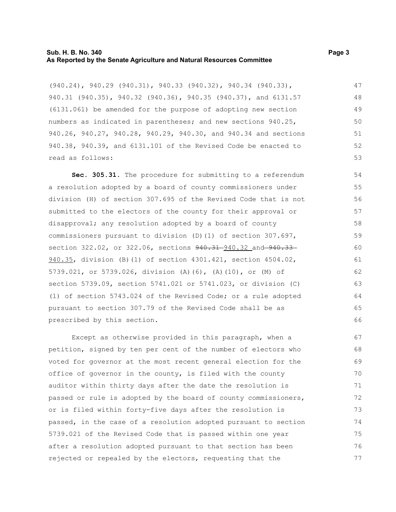#### **Sub. H. B. No. 340 Page 3 As Reported by the Senate Agriculture and Natural Resources Committee**

(940.24), 940.29 (940.31), 940.33 (940.32), 940.34 (940.33), 940.31 (940.35), 940.32 (940.36), 940.35 (940.37), and 6131.57 (6131.061) be amended for the purpose of adopting new section numbers as indicated in parentheses; and new sections 940.25, 940.26, 940.27, 940.28, 940.29, 940.30, and 940.34 and sections 940.38, 940.39, and 6131.101 of the Revised Code be enacted to read as follows: 47 48 49 50 51 52 53

**Sec. 305.31.** The procedure for submitting to a referendum a resolution adopted by a board of county commissioners under division (H) of section 307.695 of the Revised Code that is not submitted to the electors of the county for their approval or disapproval; any resolution adopted by a board of county commissioners pursuant to division (D)(1) of section 307.697, section 322.02, or 322.06, sections  $940.31 - 940.32$  and  $940.33 -$ 940.35, division (B)(1) of section 4301.421, section 4504.02, 5739.021, or 5739.026, division (A)(6), (A)(10), or (M) of section 5739.09, section 5741.021 or 5741.023, or division (C) (1) of section 5743.024 of the Revised Code; or a rule adopted pursuant to section 307.79 of the Revised Code shall be as prescribed by this section.

Except as otherwise provided in this paragraph, when a petition, signed by ten per cent of the number of electors who voted for governor at the most recent general election for the office of governor in the county, is filed with the county auditor within thirty days after the date the resolution is passed or rule is adopted by the board of county commissioners, or is filed within forty-five days after the resolution is passed, in the case of a resolution adopted pursuant to section 5739.021 of the Revised Code that is passed within one year after a resolution adopted pursuant to that section has been rejected or repealed by the electors, requesting that the 67 68 69 70 71 72 73 74 75 76 77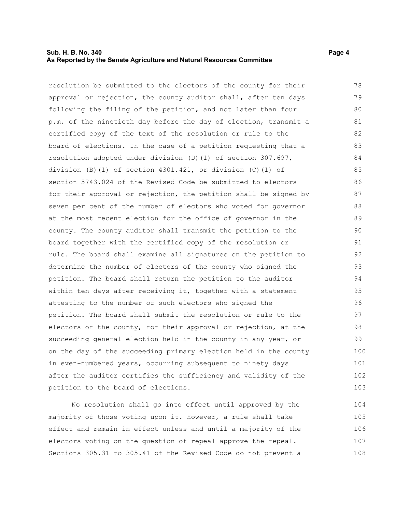# **Sub. H. B. No. 340 Page 4 As Reported by the Senate Agriculture and Natural Resources Committee**

resolution be submitted to the electors of the county for their approval or rejection, the county auditor shall, after ten days following the filing of the petition, and not later than four p.m. of the ninetieth day before the day of election, transmit a certified copy of the text of the resolution or rule to the board of elections. In the case of a petition requesting that a resolution adopted under division (D)(1) of section 307.697, division (B)(1) of section 4301.421, or division (C)(1) of section 5743.024 of the Revised Code be submitted to electors for their approval or rejection, the petition shall be signed by seven per cent of the number of electors who voted for governor at the most recent election for the office of governor in the county. The county auditor shall transmit the petition to the board together with the certified copy of the resolution or rule. The board shall examine all signatures on the petition to determine the number of electors of the county who signed the petition. The board shall return the petition to the auditor within ten days after receiving it, together with a statement attesting to the number of such electors who signed the petition. The board shall submit the resolution or rule to the electors of the county, for their approval or rejection, at the succeeding general election held in the county in any year, or on the day of the succeeding primary election held in the county in even-numbered years, occurring subsequent to ninety days after the auditor certifies the sufficiency and validity of the petition to the board of elections. 78 79 80 81 82 83 84 85 86 87 88 89 90 91 92 93 94 95 96 97 98 99 100 101 102 103

No resolution shall go into effect until approved by the majority of those voting upon it. However, a rule shall take effect and remain in effect unless and until a majority of the electors voting on the question of repeal approve the repeal. Sections 305.31 to 305.41 of the Revised Code do not prevent a 104 105 106 107 108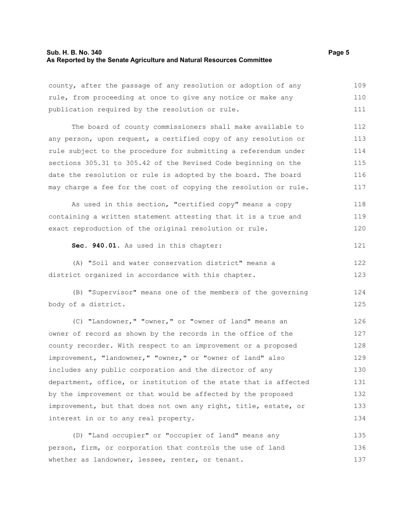#### **Sub. H. B. No. 340 Page 5 As Reported by the Senate Agriculture and Natural Resources Committee**

whether as landowner, lessee, renter, or tenant.

county, after the passage of any resolution or adoption of any rule, from proceeding at once to give any notice or make any publication required by the resolution or rule. The board of county commissioners shall make available to any person, upon request, a certified copy of any resolution or rule subject to the procedure for submitting a referendum under sections 305.31 to 305.42 of the Revised Code beginning on the date the resolution or rule is adopted by the board. The board may charge a fee for the cost of copying the resolution or rule. As used in this section, "certified copy" means a copy containing a written statement attesting that it is a true and exact reproduction of the original resolution or rule. **Sec. 940.01.** As used in this chapter: (A) "Soil and water conservation district" means a district organized in accordance with this chapter. (B) "Supervisor" means one of the members of the governing body of a district. (C) "Landowner," "owner," or "owner of land" means an owner of record as shown by the records in the office of the county recorder. With respect to an improvement or a proposed improvement, "landowner," "owner," or "owner of land" also includes any public corporation and the director of any department, office, or institution of the state that is affected by the improvement or that would be affected by the proposed improvement, but that does not own any right, title, estate, or interest in or to any real property. (D) "Land occupier" or "occupier of land" means any person, firm, or corporation that controls the use of land 109 110 111 112 113 114 115 116 117 118 119 120 121 122 123 124 125 126 127 128 129 130 131 132 133 134 135 136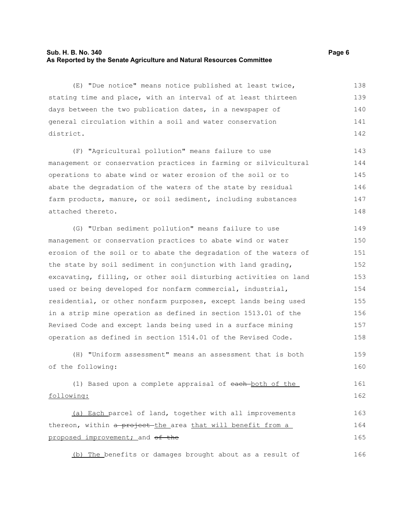# **Sub. H. B. No. 340 Page 6 As Reported by the Senate Agriculture and Natural Resources Committee**

(E) "Due notice" means notice published at least twice, stating time and place, with an interval of at least thirteen days between the two publication dates, in a newspaper of general circulation within a soil and water conservation district. 138 139 140 141 142

(F) "Agricultural pollution" means failure to use management or conservation practices in farming or silvicultural operations to abate wind or water erosion of the soil or to abate the degradation of the waters of the state by residual farm products, manure, or soil sediment, including substances attached thereto. 143 144 145 146 147 148

(G) "Urban sediment pollution" means failure to use management or conservation practices to abate wind or water erosion of the soil or to abate the degradation of the waters of the state by soil sediment in conjunction with land grading, excavating, filling, or other soil disturbing activities on land used or being developed for nonfarm commercial, industrial, residential, or other nonfarm purposes, except lands being used in a strip mine operation as defined in section 1513.01 of the Revised Code and except lands being used in a surface mining operation as defined in section 1514.01 of the Revised Code. 149 150 151 152 153 154 155 156 157 158

(H) "Uniform assessment" means an assessment that is both of the following:

(1) Based upon a complete appraisal of each-both of the following: 161 162

(a) Each parcel of land, together with all improvements thereon, within a project the area that will benefit from a proposed improvement; and of the 163 164 165

(b) The benefits or damages brought about as a result of 166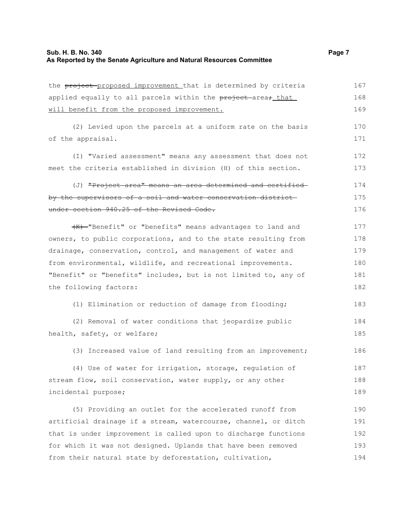## **Sub. H. B. No. 340 Page 7 As Reported by the Senate Agriculture and Natural Resources Committee**

the project proposed improvement that is determined by criteria applied equally to all parcels within the project area, that will benefit from the proposed improvement. (2) Levied upon the parcels at a uniform rate on the basis of the appraisal. (I) "Varied assessment" means any assessment that does not meet the criteria established in division (H) of this section. (J) "Project area" means an area determined and certified by the supervisors of a soil and water conservation district under section 940.25 of the Revised Code. (K) "Benefit" or "benefits" means advantages to land and owners, to public corporations, and to the state resulting from drainage, conservation, control, and management of water and from environmental, wildlife, and recreational improvements. "Benefit" or "benefits" includes, but is not limited to, any of the following factors: (1) Elimination or reduction of damage from flooding; (2) Removal of water conditions that jeopardize public health, safety, or welfare; (3) Increased value of land resulting from an improvement; (4) Use of water for irrigation, storage, regulation of stream flow, soil conservation, water supply, or any other incidental purpose; 167 168 169 170 171 172 173 174 175 176 177 178 179 180 181 182 183 184 185 186 187 188 189

(5) Providing an outlet for the accelerated runoff from artificial drainage if a stream, watercourse, channel, or ditch that is under improvement is called upon to discharge functions for which it was not designed. Uplands that have been removed from their natural state by deforestation, cultivation, 190 191 192 193 194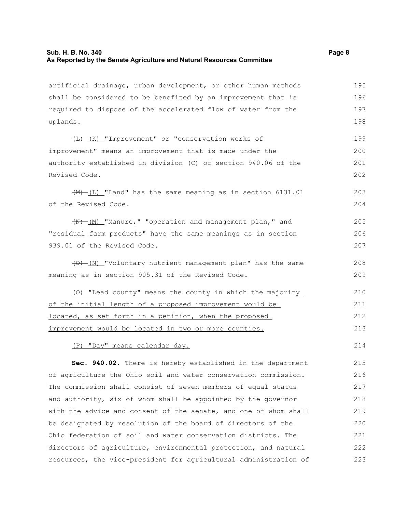# **Sub. H. B. No. 340 Page 8 As Reported by the Senate Agriculture and Natural Resources Committee**

artificial drainage, urban development, or other human methods shall be considered to be benefited by an improvement that is required to dispose of the accelerated flow of water from the uplands. 195 196 197 198

 $\overline{(L) - (K)}$  "Improvement" or "conservation works of improvement" means an improvement that is made under the authority established in division (C) of section 940.06 of the Revised Code. 199 200 201 202

 $(\frac{M}{L})$  "Land" has the same meaning as in section 6131.01 of the Revised Code.

 $+$ (M)  $-M$ <sup>-</sup>Manure," "operation and management plan," and "residual farm products" have the same meanings as in section 939.01 of the Revised Code. 205 206 207

(O) (N) "Voluntary nutrient management plan" has the same meaning as in section 905.31 of the Revised Code. 208 209

(O) "Lead county" means the county in which the majority of the initial length of a proposed improvement would be located, as set forth in a petition, when the proposed improvement would be located in two or more counties. 210 211 212 213

(P) "Day" means calendar day.

**Sec. 940.02.** There is hereby established in the department of agriculture the Ohio soil and water conservation commission. The commission shall consist of seven members of equal status and authority, six of whom shall be appointed by the governor with the advice and consent of the senate, and one of whom shall be designated by resolution of the board of directors of the Ohio federation of soil and water conservation districts. The directors of agriculture, environmental protection, and natural resources, the vice-president for agricultural administration of 215 216 217 218 219 220 221 222 223

214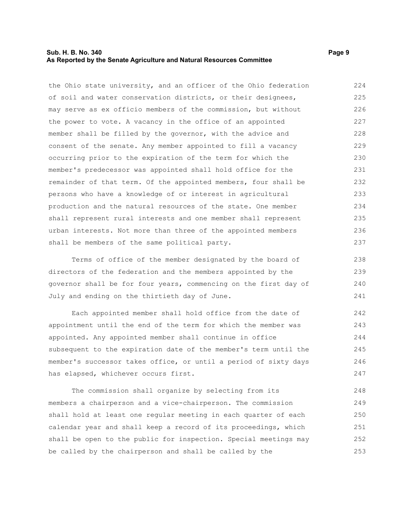## **Sub. H. B. No. 340 Page 9 As Reported by the Senate Agriculture and Natural Resources Committee**

the Ohio state university, and an officer of the Ohio federation of soil and water conservation districts, or their designees, may serve as ex officio members of the commission, but without the power to vote. A vacancy in the office of an appointed member shall be filled by the governor, with the advice and consent of the senate. Any member appointed to fill a vacancy occurring prior to the expiration of the term for which the member's predecessor was appointed shall hold office for the remainder of that term. Of the appointed members, four shall be persons who have a knowledge of or interest in agricultural production and the natural resources of the state. One member shall represent rural interests and one member shall represent urban interests. Not more than three of the appointed members shall be members of the same political party. 224 225 226 227 228 229 230 231 232 233 234 235 236 237

Terms of office of the member designated by the board of directors of the federation and the members appointed by the governor shall be for four years, commencing on the first day of July and ending on the thirtieth day of June.

Each appointed member shall hold office from the date of appointment until the end of the term for which the member was appointed. Any appointed member shall continue in office subsequent to the expiration date of the member's term until the member's successor takes office, or until a period of sixty days has elapsed, whichever occurs first. 242 243 244 245 246 247

The commission shall organize by selecting from its members a chairperson and a vice-chairperson. The commission shall hold at least one regular meeting in each quarter of each calendar year and shall keep a record of its proceedings, which shall be open to the public for inspection. Special meetings may be called by the chairperson and shall be called by the 248 249 250 251 252 253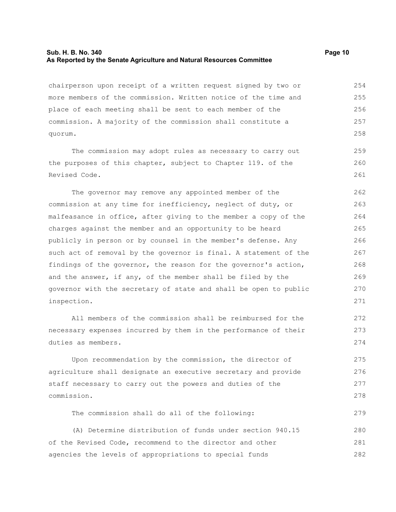#### **Sub. H. B. No. 340 Page 10 As Reported by the Senate Agriculture and Natural Resources Committee**

chairperson upon receipt of a written request signed by two or more members of the commission. Written notice of the time and place of each meeting shall be sent to each member of the commission. A majority of the commission shall constitute a quorum. 254 255 256 257 258

The commission may adopt rules as necessary to carry out the purposes of this chapter, subject to Chapter 119. of the Revised Code.

The governor may remove any appointed member of the commission at any time for inefficiency, neglect of duty, or malfeasance in office, after giving to the member a copy of the charges against the member and an opportunity to be heard publicly in person or by counsel in the member's defense. Any such act of removal by the governor is final. A statement of the findings of the governor, the reason for the governor's action, and the answer, if any, of the member shall be filed by the governor with the secretary of state and shall be open to public inspection. 262 263 264 265 266 267 268 269 270 271

All members of the commission shall be reimbursed for the necessary expenses incurred by them in the performance of their duties as members.

Upon recommendation by the commission, the director of agriculture shall designate an executive secretary and provide staff necessary to carry out the powers and duties of the commission.

The commission shall do all of the following: 279

(A) Determine distribution of funds under section 940.15 of the Revised Code, recommend to the director and other agencies the levels of appropriations to special funds 280 281 282

259 260 261

272 273 274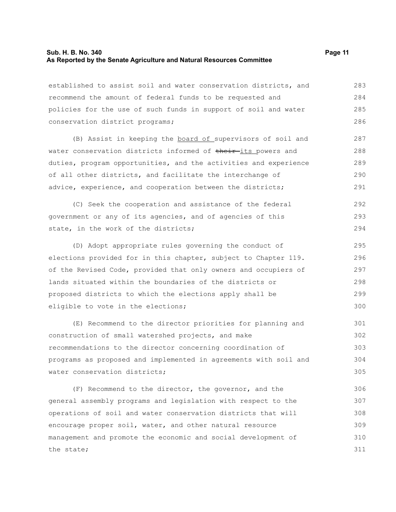## **Sub. H. B. No. 340 Page 11 As Reported by the Senate Agriculture and Natural Resources Committee**

established to assist soil and water conservation districts, and recommend the amount of federal funds to be requested and policies for the use of such funds in support of soil and water conservation district programs; 283 284 285 286

(B) Assist in keeping the board of supervisors of soil and water conservation districts informed of their-its powers and duties, program opportunities, and the activities and experience of all other districts, and facilitate the interchange of advice, experience, and cooperation between the districts; 287 288 289 290 291

(C) Seek the cooperation and assistance of the federal government or any of its agencies, and of agencies of this state, in the work of the districts; 292 293 294

(D) Adopt appropriate rules governing the conduct of elections provided for in this chapter, subject to Chapter 119. of the Revised Code, provided that only owners and occupiers of lands situated within the boundaries of the districts or proposed districts to which the elections apply shall be eligible to vote in the elections; 295 296 297 298 299 300

(E) Recommend to the director priorities for planning and construction of small watershed projects, and make recommendations to the director concerning coordination of programs as proposed and implemented in agreements with soil and water conservation districts; 301 302 303 304 305

(F) Recommend to the director, the governor, and the general assembly programs and legislation with respect to the operations of soil and water conservation districts that will encourage proper soil, water, and other natural resource management and promote the economic and social development of the state; 306 307 308 309 310 311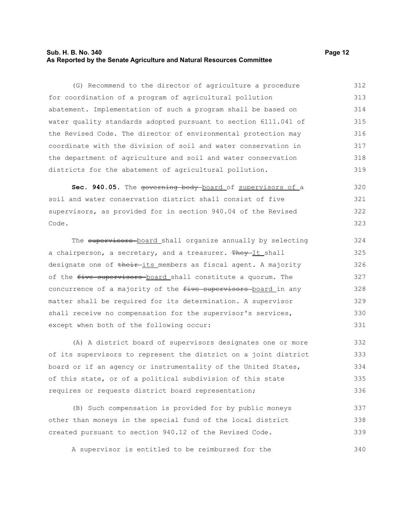# **Sub. H. B. No. 340 Page 12 As Reported by the Senate Agriculture and Natural Resources Committee**

(G) Recommend to the director of agriculture a procedure for coordination of a program of agricultural pollution abatement. Implementation of such a program shall be based on water quality standards adopted pursuant to section 6111.041 of the Revised Code. The director of environmental protection may coordinate with the division of soil and water conservation in the department of agriculture and soil and water conservation districts for the abatement of agricultural pollution. 312 313 314 315 316 317 318 319

Sec. 940.05. The governing body board of supervisors of a soil and water conservation district shall consist of five supervisors, as provided for in section 940.04 of the Revised Code. 320 321 322 323

The supervisors board shall organize annually by selecting a chairperson, a secretary, and a treasurer. They-It shall designate one of their its members as fiscal agent. A majority of the five supervisors board shall constitute a quorum. The concurrence of a majority of the five supervisors board in any matter shall be required for its determination. A supervisor shall receive no compensation for the supervisor's services, except when both of the following occur: 324 325 326 327 328 329 330 331

(A) A district board of supervisors designates one or more of its supervisors to represent the district on a joint district board or if an agency or instrumentality of the United States, of this state, or of a political subdivision of this state requires or requests district board representation; 332 333 334 335 336

(B) Such compensation is provided for by public moneys other than moneys in the special fund of the local district created pursuant to section 940.12 of the Revised Code. 337 338 339

A supervisor is entitled to be reimbursed for the 340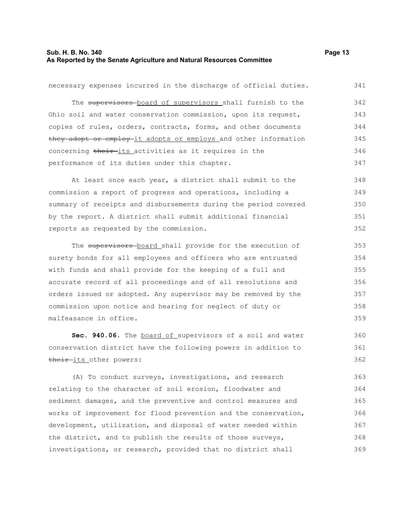# **Sub. H. B. No. 340 Page 13 As Reported by the Senate Agriculture and Natural Resources Committee**

necessary expenses incurred in the discharge of official duties. The supervisors board of supervisors shall furnish to the Ohio soil and water conservation commission, upon its request, copies of rules, orders, contracts, forms, and other documents they adopt or employ it adopts or employs and other information concerning their-its activities as it requires in the performance of its duties under this chapter. At least once each year, a district shall submit to the commission a report of progress and operations, including a summary of receipts and disbursements during the period covered by the report. A district shall submit additional financial reports as requested by the commission. The supervisors board shall provide for the execution of surety bonds for all employees and officers who are entrusted with funds and shall provide for the keeping of a full and accurate record of all proceedings and of all resolutions and orders issued or adopted. Any supervisor may be removed by the commission upon notice and hearing for neglect of duty or 341 342 343 344 345 346 347 348 349 350 351 352 353 354 355 356 357 358

**Sec. 940.06.** The board of supervisors of a soil and water conservation district have the following powers in addition to their-its other powers:

malfeasance in office.

(A) To conduct surveys, investigations, and research relating to the character of soil erosion, floodwater and sediment damages, and the preventive and control measures and works of improvement for flood prevention and the conservation, development, utilization, and disposal of water needed within the district, and to publish the results of those surveys, investigations, or research, provided that no district shall 363 364 365 366 367 368 369

359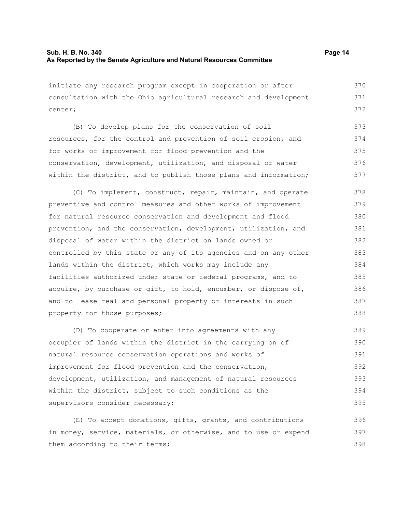initiate any research program except in cooperation or after consultation with the Ohio agricultural research and development center; 370 371 372

(B) To develop plans for the conservation of soil resources, for the control and prevention of soil erosion, and for works of improvement for flood prevention and the conservation, development, utilization, and disposal of water within the district, and to publish those plans and information; 373 374 375 376 377

(C) To implement, construct, repair, maintain, and operate preventive and control measures and other works of improvement for natural resource conservation and development and flood prevention, and the conservation, development, utilization, and disposal of water within the district on lands owned or controlled by this state or any of its agencies and on any other lands within the district, which works may include any facilities authorized under state or federal programs, and to acquire, by purchase or gift, to hold, encumber, or dispose of, and to lease real and personal property or interests in such property for those purposes; 378 379 380 381 382 383 384 385 386 387 388

(D) To cooperate or enter into agreements with any occupier of lands within the district in the carrying on of natural resource conservation operations and works of improvement for flood prevention and the conservation, development, utilization, and management of natural resources within the district, subject to such conditions as the supervisors consider necessary; 389 390 391 392 393 394 395

(E) To accept donations, gifts, grants, and contributions in money, service, materials, or otherwise, and to use or expend them according to their terms; 396 397 398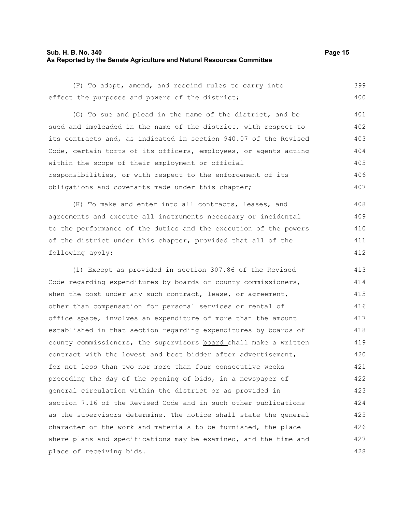#### **Sub. H. B. No. 340 Page 15 As Reported by the Senate Agriculture and Natural Resources Committee**

(F) To adopt, amend, and rescind rules to carry into effect the purposes and powers of the district; 399 400

(G) To sue and plead in the name of the district, and be sued and impleaded in the name of the district, with respect to its contracts and, as indicated in section 940.07 of the Revised Code, certain torts of its officers, employees, or agents acting within the scope of their employment or official responsibilities, or with respect to the enforcement of its obligations and covenants made under this chapter; 401 402 403 404 405 406 407

(H) To make and enter into all contracts, leases, and agreements and execute all instruments necessary or incidental to the performance of the duties and the execution of the powers of the district under this chapter, provided that all of the following apply: 408 409 410 411 412

(1) Except as provided in section 307.86 of the Revised Code regarding expenditures by boards of county commissioners, when the cost under any such contract, lease, or agreement, other than compensation for personal services or rental of office space, involves an expenditure of more than the amount established in that section regarding expenditures by boards of county commissioners, the supervisors-board shall make a written contract with the lowest and best bidder after advertisement, for not less than two nor more than four consecutive weeks preceding the day of the opening of bids, in a newspaper of general circulation within the district or as provided in section 7.16 of the Revised Code and in such other publications as the supervisors determine. The notice shall state the general character of the work and materials to be furnished, the place where plans and specifications may be examined, and the time and place of receiving bids. 413 414 415 416 417 418 419 420 421 422 423 424 425 426 427 428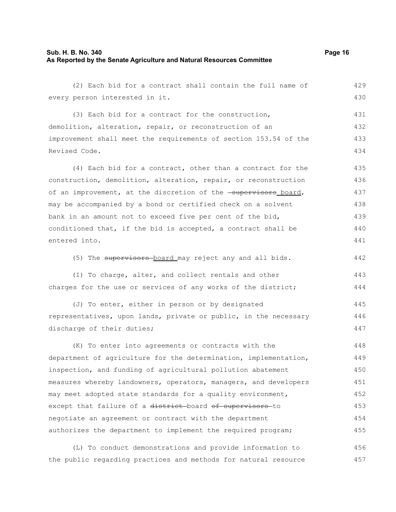# **Sub. H. B. No. 340 Page 16 As Reported by the Senate Agriculture and Natural Resources Committee**

(2) Each bid for a contract shall contain the full name of every person interested in it. 429 430

(3) Each bid for a contract for the construction, demolition, alteration, repair, or reconstruction of an improvement shall meet the requirements of section 153.54 of the Revised Code. 431 432 433 434

(4) Each bid for a contract, other than a contract for the construction, demolition, alteration, repair, or reconstruction of an improvement, at the discretion of the **supervisors** board, may be accompanied by a bond or certified check on a solvent bank in an amount not to exceed five per cent of the bid, conditioned that, if the bid is accepted, a contract shall be entered into. 435 436 437 438 439 440 441

(5) The supervisors board may reject any and all bids.

(I) To charge, alter, and collect rentals and other charges for the use or services of any works of the district;

(J) To enter, either in person or by designated representatives, upon lands, private or public, in the necessary discharge of their duties; 445 446 447

(K) To enter into agreements or contracts with the department of agriculture for the determination, implementation, inspection, and funding of agricultural pollution abatement measures whereby landowners, operators, managers, and developers may meet adopted state standards for a quality environment, except that failure of a district-board of supervisors-to negotiate an agreement or contract with the department authorizes the department to implement the required program; 448 449 450 451 452 453 454 455

(L) To conduct demonstrations and provide information to the public regarding practices and methods for natural resource 456 457

442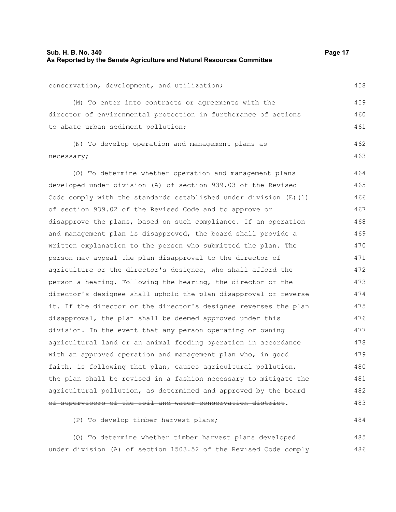458

459 460 461

484

conservation, development, and utilization;

(M) To enter into contracts or agreements with the director of environmental protection in furtherance of actions to abate urban sediment pollution;

(N) To develop operation and management plans as necessary; 462 463

(O) To determine whether operation and management plans developed under division (A) of section 939.03 of the Revised Code comply with the standards established under division (E)(1) of section 939.02 of the Revised Code and to approve or disapprove the plans, based on such compliance. If an operation and management plan is disapproved, the board shall provide a written explanation to the person who submitted the plan. The person may appeal the plan disapproval to the director of agriculture or the director's designee, who shall afford the person a hearing. Following the hearing, the director or the director's designee shall uphold the plan disapproval or reverse it. If the director or the director's designee reverses the plan disapproval, the plan shall be deemed approved under this division. In the event that any person operating or owning agricultural land or an animal feeding operation in accordance with an approved operation and management plan who, in good faith, is following that plan, causes agricultural pollution, the plan shall be revised in a fashion necessary to mitigate the agricultural pollution, as determined and approved by the board of supervisors of the soil and water conservation district. 464 465 466 467 468 469 470 471 472 473 474 475 476 477 478 479 480 481 482 483

(P) To develop timber harvest plans;

(Q) To determine whether timber harvest plans developed under division (A) of section 1503.52 of the Revised Code comply 485 486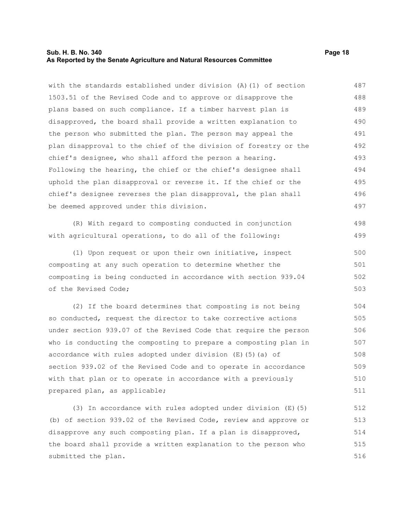#### **Sub. H. B. No. 340 Page 18 As Reported by the Senate Agriculture and Natural Resources Committee**

with the standards established under division (A)(1) of section 1503.51 of the Revised Code and to approve or disapprove the plans based on such compliance. If a timber harvest plan is disapproved, the board shall provide a written explanation to the person who submitted the plan. The person may appeal the plan disapproval to the chief of the division of forestry or the chief's designee, who shall afford the person a hearing. Following the hearing, the chief or the chief's designee shall uphold the plan disapproval or reverse it. If the chief or the chief's designee reverses the plan disapproval, the plan shall be deemed approved under this division. 487 488 489 490 491 492 493 494 495 496 497

(R) With regard to composting conducted in conjunction with agricultural operations, to do all of the following:

(1) Upon request or upon their own initiative, inspect composting at any such operation to determine whether the composting is being conducted in accordance with section 939.04 of the Revised Code; 500 501 502 503

(2) If the board determines that composting is not being so conducted, request the director to take corrective actions under section 939.07 of the Revised Code that require the person who is conducting the composting to prepare a composting plan in accordance with rules adopted under division (E)(5)(a) of section 939.02 of the Revised Code and to operate in accordance with that plan or to operate in accordance with a previously prepared plan, as applicable; 504 505 506 507 508 509 510 511

(3) In accordance with rules adopted under division (E)(5) (b) of section 939.02 of the Revised Code, review and approve or disapprove any such composting plan. If a plan is disapproved, the board shall provide a written explanation to the person who submitted the plan. 512 513 514 515 516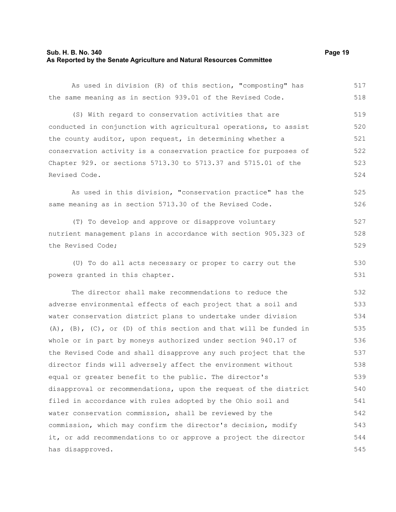# **Sub. H. B. No. 340 Page 19 As Reported by the Senate Agriculture and Natural Resources Committee**

As used in division (R) of this section, "composting" has the same meaning as in section 939.01 of the Revised Code.

(S) With regard to conservation activities that are conducted in conjunction with agricultural operations, to assist the county auditor, upon request, in determining whether a conservation activity is a conservation practice for purposes of Chapter 929. or sections 5713.30 to 5713.37 and 5715.01 of the Revised Code. 519 520 521 522 523 524

As used in this division, "conservation practice" has the same meaning as in section 5713.30 of the Revised Code. 525 526

(T) To develop and approve or disapprove voluntary nutrient management plans in accordance with section 905.323 of the Revised Code; 527 528 529

(U) To do all acts necessary or proper to carry out the powers granted in this chapter.

The director shall make recommendations to reduce the adverse environmental effects of each project that a soil and water conservation district plans to undertake under division (A), (B), (C), or (D) of this section and that will be funded in whole or in part by moneys authorized under section 940.17 of the Revised Code and shall disapprove any such project that the director finds will adversely affect the environment without equal or greater benefit to the public. The director's disapproval or recommendations, upon the request of the district filed in accordance with rules adopted by the Ohio soil and water conservation commission, shall be reviewed by the commission, which may confirm the director's decision, modify it, or add recommendations to or approve a project the director has disapproved. 532 533 534 535 536 537 538 539 540 541 542 543 544 545

517 518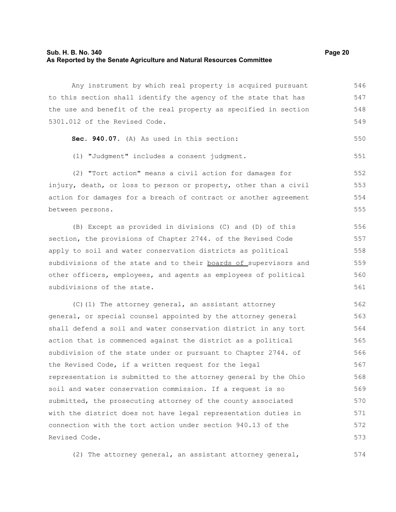#### **Sub. H. B. No. 340 Page 20 As Reported by the Senate Agriculture and Natural Resources Committee**

Any instrument by which real property is acquired pursuant to this section shall identify the agency of the state that has the use and benefit of the real property as specified in section 5301.012 of the Revised Code. 546 547 548 549

**Sec. 940.07.** (A) As used in this section: 550

(1) "Judgment" includes a consent judgment. 551

(2) "Tort action" means a civil action for damages for injury, death, or loss to person or property, other than a civil action for damages for a breach of contract or another agreement between persons. 552 553 554 555

(B) Except as provided in divisions (C) and (D) of this section, the provisions of Chapter 2744. of the Revised Code apply to soil and water conservation districts as political subdivisions of the state and to their boards of supervisors and other officers, employees, and agents as employees of political subdivisions of the state. 556 557 558 559 560 561

(C)(1) The attorney general, an assistant attorney general, or special counsel appointed by the attorney general shall defend a soil and water conservation district in any tort action that is commenced against the district as a political subdivision of the state under or pursuant to Chapter 2744. of the Revised Code, if a written request for the legal representation is submitted to the attorney general by the Ohio soil and water conservation commission. If a request is so submitted, the prosecuting attorney of the county associated with the district does not have legal representation duties in connection with the tort action under section 940.13 of the Revised Code. 562 563 564 565 566 567 568 569 570 571 572 573

(2) The attorney general, an assistant attorney general, 574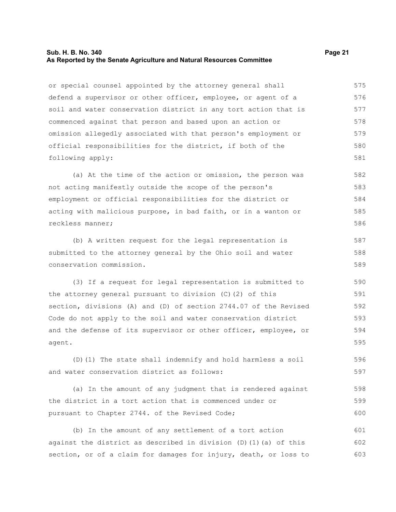#### **Sub. H. B. No. 340 Page 21 As Reported by the Senate Agriculture and Natural Resources Committee**

or special counsel appointed by the attorney general shall defend a supervisor or other officer, employee, or agent of a soil and water conservation district in any tort action that is commenced against that person and based upon an action or omission allegedly associated with that person's employment or official responsibilities for the district, if both of the following apply: 575 576 577 578 579 580 581

(a) At the time of the action or omission, the person was not acting manifestly outside the scope of the person's employment or official responsibilities for the district or acting with malicious purpose, in bad faith, or in a wanton or reckless manner; 582 583 584 585 586

(b) A written request for the legal representation is submitted to the attorney general by the Ohio soil and water conservation commission. 587 588 589

(3) If a request for legal representation is submitted to the attorney general pursuant to division (C)(2) of this section, divisions (A) and (D) of section 2744.07 of the Revised Code do not apply to the soil and water conservation district and the defense of its supervisor or other officer, employee, or agent. 590 591 592 593 594 595

(D)(1) The state shall indemnify and hold harmless a soil and water conservation district as follows: 596 597

(a) In the amount of any judgment that is rendered against the district in a tort action that is commenced under or pursuant to Chapter 2744. of the Revised Code; 598 599 600

(b) In the amount of any settlement of a tort action against the district as described in division  $(D)$  (1)(a) of this section, or of a claim for damages for injury, death, or loss to 601 602 603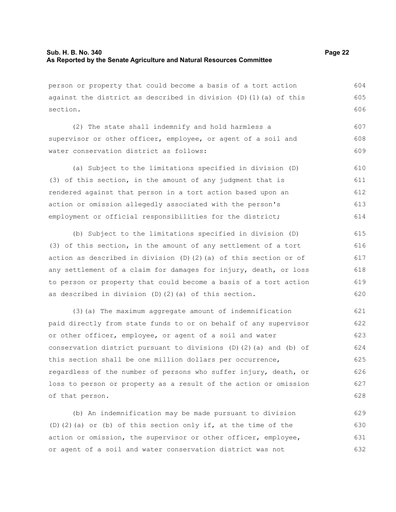person or property that could become a basis of a tort action against the district as described in division  $(D)$  (1)(a) of this section.

(2) The state shall indemnify and hold harmless a supervisor or other officer, employee, or agent of a soil and water conservation district as follows: 607 608 609

(a) Subject to the limitations specified in division (D) (3) of this section, in the amount of any judgment that is rendered against that person in a tort action based upon an action or omission allegedly associated with the person's employment or official responsibilities for the district; 610 611 612 613 614

(b) Subject to the limitations specified in division (D) (3) of this section, in the amount of any settlement of a tort action as described in division (D)(2)(a) of this section or of any settlement of a claim for damages for injury, death, or loss to person or property that could become a basis of a tort action as described in division (D)(2)(a) of this section. 615 616 617 618 619 620

(3)(a) The maximum aggregate amount of indemnification paid directly from state funds to or on behalf of any supervisor or other officer, employee, or agent of a soil and water conservation district pursuant to divisions (D)(2)(a) and (b) of this section shall be one million dollars per occurrence, regardless of the number of persons who suffer injury, death, or loss to person or property as a result of the action or omission of that person. 621 622 623 624 625 626 627 628

(b) An indemnification may be made pursuant to division (D)(2)(a) or (b) of this section only if, at the time of the action or omission, the supervisor or other officer, employee, or agent of a soil and water conservation district was not 629 630 631 632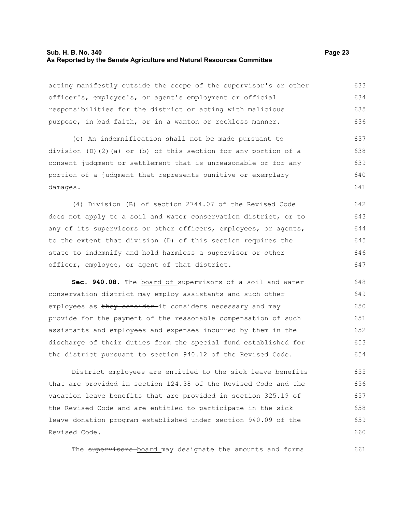#### **Sub. H. B. No. 340 Page 23 As Reported by the Senate Agriculture and Natural Resources Committee**

acting manifestly outside the scope of the supervisor's or other officer's, employee's, or agent's employment or official responsibilities for the district or acting with malicious purpose, in bad faith, or in a wanton or reckless manner. 633 634 635 636

(c) An indemnification shall not be made pursuant to division (D)(2)(a) or (b) of this section for any portion of a consent judgment or settlement that is unreasonable or for any portion of a judgment that represents punitive or exemplary damages. 637 638 639 640 641

(4) Division (B) of section 2744.07 of the Revised Code does not apply to a soil and water conservation district, or to any of its supervisors or other officers, employees, or agents, to the extent that division (D) of this section requires the state to indemnify and hold harmless a supervisor or other officer, employee, or agent of that district. 642 643 644 645 646 647

Sec. 940.08. The board of supervisors of a soil and water conservation district may employ assistants and such other employees as they consider-it considers necessary and may provide for the payment of the reasonable compensation of such assistants and employees and expenses incurred by them in the discharge of their duties from the special fund established for the district pursuant to section 940.12 of the Revised Code. 648 649 650 651 652 653 654

District employees are entitled to the sick leave benefits that are provided in section 124.38 of the Revised Code and the vacation leave benefits that are provided in section 325.19 of the Revised Code and are entitled to participate in the sick leave donation program established under section 940.09 of the Revised Code. 655 656 657 658 659 660

The supervisors board may designate the amounts and forms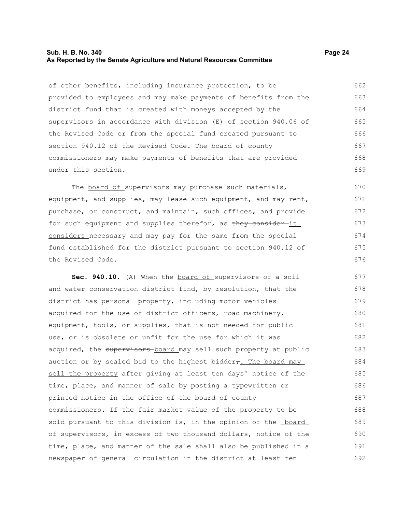#### **Sub. H. B. No. 340 Page 24 As Reported by the Senate Agriculture and Natural Resources Committee**

of other benefits, including insurance protection, to be provided to employees and may make payments of benefits from the district fund that is created with moneys accepted by the supervisors in accordance with division (E) of section 940.06 of the Revised Code or from the special fund created pursuant to section 940.12 of the Revised Code. The board of county commissioners may make payments of benefits that are provided under this section. 662 663 664 665 666 667 668 669

The board of supervisors may purchase such materials, equipment, and supplies, may lease such equipment, and may rent, purchase, or construct, and maintain, such offices, and provide for such equipment and supplies therefor, as they consider it considers necessary and may pay for the same from the special fund established for the district pursuant to section 940.12 of the Revised Code.

**Sec. 940.10.** (A) When the board of supervisors of a soil and water conservation district find, by resolution, that the district has personal property, including motor vehicles acquired for the use of district officers, road machinery, equipment, tools, or supplies, that is not needed for public use, or is obsolete or unfit for the use for which it was acquired, the supervisors-board may sell such property at public auction or by sealed bid to the highest bidder $\tau$ . The board may sell the property after giving at least ten days' notice of the time, place, and manner of sale by posting a typewritten or printed notice in the office of the board of county commissioners. If the fair market value of the property to be sold pursuant to this division is, in the opinion of the **board** of supervisors, in excess of two thousand dollars, notice of the time, place, and manner of the sale shall also be published in a newspaper of general circulation in the district at least ten 677 678 679 680 681 682 683 684 685 686 687 688 689 690 691 692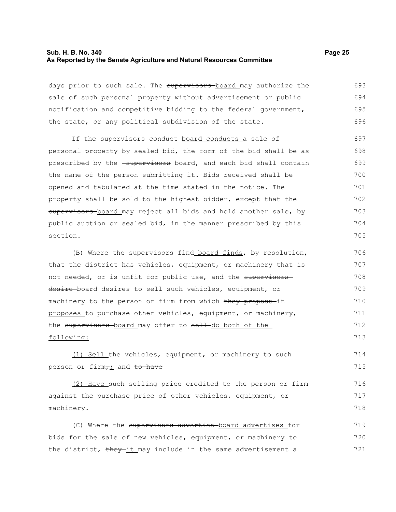#### **Sub. H. B. No. 340 Page 25 As Reported by the Senate Agriculture and Natural Resources Committee**

days prior to such sale. The supervisors board may authorize the sale of such personal property without advertisement or public notification and competitive bidding to the federal government, the state, or any political subdivision of the state. 693 694 695 696

If the supervisors conduct-board conducts a sale of personal property by sealed bid, the form of the bid shall be as prescribed by the -supervisors board, and each bid shall contain the name of the person submitting it. Bids received shall be opened and tabulated at the time stated in the notice. The property shall be sold to the highest bidder, except that the supervisors-board may reject all bids and hold another sale, by public auction or sealed bid, in the manner prescribed by this section. 697 698 699 700 701 702 703 704 705

(B) Where the supervisors find board finds, by resolution, that the district has vehicles, equipment, or machinery that is not needed, or is unfit for public use, and the supervisors desire-board desires to sell such vehicles, equipment, or machinery to the person or firm from which they propose it proposes to purchase other vehicles, equipment, or machinery, the supervisors board may offer to sell do both of the following: 706 707 708 709 710 711 712 713

(1) Sell the vehicles, equipment, or machinery to such person or firm<sub>7</sub>; and to have

(2) Have such selling price credited to the person or firm against the purchase price of other vehicles, equipment, or machinery. 716 717 718

(C) Where the supervisors advertise board advertises for bids for the sale of new vehicles, equipment, or machinery to the district, they it may include in the same advertisement a 719 720 721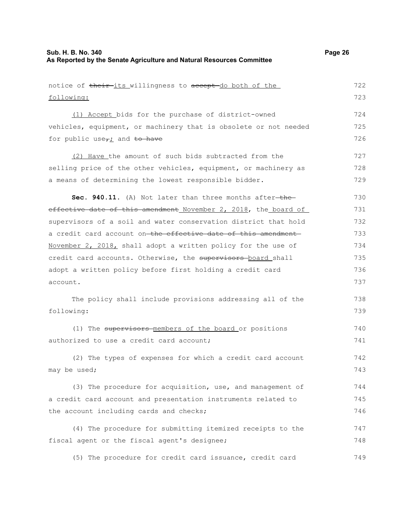| notice of their its willingness to accept do both of the         | 722 |
|------------------------------------------------------------------|-----|
| following:                                                       | 723 |
| (1) Accept bids for the purchase of district-owned               | 724 |
| vehicles, equipment, or machinery that is obsolete or not needed | 725 |
| for public use $\tau$ <i>i</i> and to have                       | 726 |
| (2) Have the amount of such bids subtracted from the             | 727 |
| selling price of the other vehicles, equipment, or machinery as  | 728 |
| a means of determining the lowest responsible bidder.            | 729 |
| Sec. 940.11. (A) Not later than three months after-the-          | 730 |
| effective date of this amendment November 2, 2018, the board of  | 731 |
| supervisors of a soil and water conservation district that hold  | 732 |
| a credit card account on-the effective date of this amendment-   | 733 |
| November 2, 2018, shall adopt a written policy for the use of    | 734 |
| credit card accounts. Otherwise, the supervisors-board shall     | 735 |
| adopt a written policy before first holding a credit card        | 736 |
| account.                                                         | 737 |
| The policy shall include provisions addressing all of the        | 738 |
| following:                                                       | 739 |
| (1) The supervisors-members of the board or positions            | 740 |
| authorized to use a credit card account;                         | 741 |
| (2) The types of expenses for which a credit card account        | 742 |
| may be used;                                                     | 743 |
| (3) The procedure for acquisition, use, and management of        | 744 |
| a credit card account and presentation instruments related to    | 745 |
| the account including cards and checks;                          | 746 |
| (4) The procedure for submitting itemized receipts to the        | 747 |
| fiscal agent or the fiscal agent's designee;                     | 748 |
| (5) The procedure for credit card issuance, credit card          | 749 |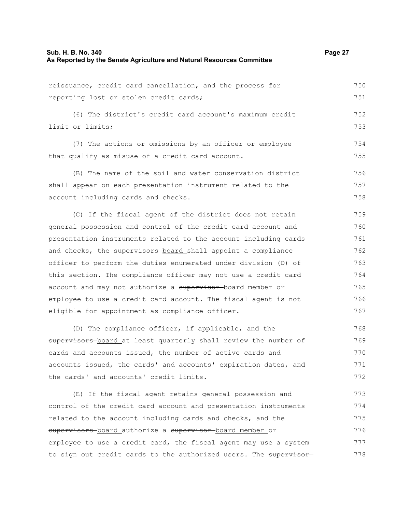reissuance, credit card cancellation, and the process for reporting lost or stolen credit cards; 750 751

(6) The district's credit card account's maximum credit limit or limits;

(7) The actions or omissions by an officer or employee that qualify as misuse of a credit card account. 754 755

(B) The name of the soil and water conservation district shall appear on each presentation instrument related to the account including cards and checks. 756 757 758

(C) If the fiscal agent of the district does not retain general possession and control of the credit card account and presentation instruments related to the account including cards and checks, the supervisors board shall appoint a compliance officer to perform the duties enumerated under division (D) of this section. The compliance officer may not use a credit card account and may not authorize a supervisor board member or employee to use a credit card account. The fiscal agent is not eligible for appointment as compliance officer. 759 760 761 762 763 764 765 766 767

(D) The compliance officer, if applicable, and the supervisors-board at least quarterly shall review the number of cards and accounts issued, the number of active cards and accounts issued, the cards' and accounts' expiration dates, and the cards' and accounts' credit limits. 768 769 770 771 772

(E) If the fiscal agent retains general possession and control of the credit card account and presentation instruments related to the account including cards and checks, and the supervisors board authorize a supervisor board member or employee to use a credit card, the fiscal agent may use a system to sign out credit cards to the authorized users. The supervisor 773 774 775 776 777 778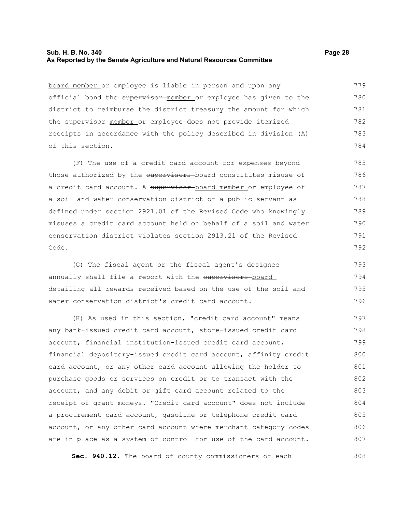## **Sub. H. B. No. 340 Page 28 As Reported by the Senate Agriculture and Natural Resources Committee**

board member or employee is liable in person and upon any official bond the supervisor member or employee has given to the district to reimburse the district treasury the amount for which the supervisor member or employee does not provide itemized receipts in accordance with the policy described in division (A) of this section. 779 780 781 782 783 784

(F) The use of a credit card account for expenses beyond those authorized by the supervisors board constitutes misuse of a credit card account. A supervisor board member or employee of a soil and water conservation district or a public servant as defined under section 2921.01 of the Revised Code who knowingly misuses a credit card account held on behalf of a soil and water conservation district violates section 2913.21 of the Revised Code. 785 786 787 788 789 790 791 792

(G) The fiscal agent or the fiscal agent's designee annually shall file a report with the supervisors-board detailing all rewards received based on the use of the soil and water conservation district's credit card account. 793 794 795 796

(H) As used in this section, "credit card account" means any bank-issued credit card account, store-issued credit card account, financial institution-issued credit card account, financial depository-issued credit card account, affinity credit card account, or any other card account allowing the holder to purchase goods or services on credit or to transact with the account, and any debit or gift card account related to the receipt of grant moneys. "Credit card account" does not include a procurement card account, gasoline or telephone credit card account, or any other card account where merchant category codes are in place as a system of control for use of the card account. 797 798 799 800 801 802 803 804 805 806 807

**Sec. 940.12.** The board of county commissioners of each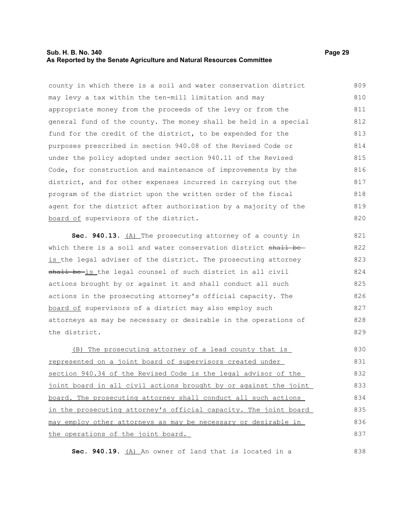#### **Sub. H. B. No. 340 Page 29 As Reported by the Senate Agriculture and Natural Resources Committee**

county in which there is a soil and water conservation district may levy a tax within the ten-mill limitation and may appropriate money from the proceeds of the levy or from the general fund of the county. The money shall be held in a special fund for the credit of the district, to be expended for the purposes prescribed in section 940.08 of the Revised Code or under the policy adopted under section 940.11 of the Revised Code, for construction and maintenance of improvements by the district, and for other expenses incurred in carrying out the program of the district upon the written order of the fiscal agent for the district after authorization by a majority of the board of supervisors of the district. 809 810 811 812 813 814 815 816 817 818 819 820

**Sec. 940.13.** (A) The prosecuting attorney of a county in which there is a soil and water conservation district shall beis the legal adviser of the district. The prosecuting attorney shall be-is the legal counsel of such district in all civil actions brought by or against it and shall conduct all such actions in the prosecuting attorney's official capacity. The board of supervisors of a district may also employ such attorneys as may be necessary or desirable in the operations of the district.

(B) The prosecuting attorney of a lead county that is represented on a joint board of supervisors created under section 940.34 of the Revised Code is the legal advisor of the joint board in all civil actions brought by or against the joint board. The prosecuting attorney shall conduct all such actions in the prosecuting attorney's official capacity. The joint board may employ other attorneys as may be necessary or desirable in the operations of the joint board. 830 831 832 833 834 835 836 837

Sec. 940.19. (A) An owner of land that is located in a

838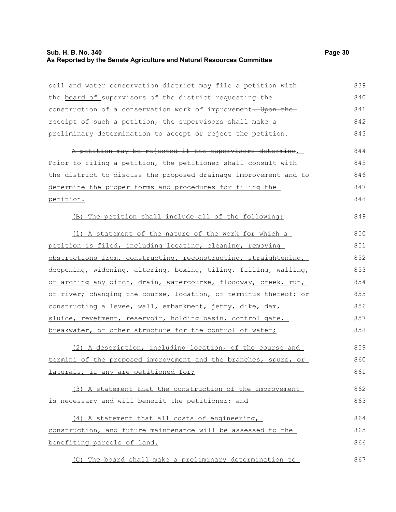# **Sub. H. B. No. 340 Page 30 As Reported by the Senate Agriculture and Natural Resources Committee**

| soil and water conservation district may file a petition with    | 839 |
|------------------------------------------------------------------|-----|
| the board of supervisors of the district requesting the          | 840 |
| construction of a conservation work of improvement. Upon the     | 841 |
| receipt of such a petition, the supervisors shall make a         | 842 |
| preliminary determination to accept or reject the petition.      | 843 |
| A petition may be rejected if the supervisors determine.         | 844 |
| Prior to filing a petition, the petitioner shall consult with    | 845 |
| the district to discuss the proposed drainage improvement and to | 846 |
| determine the proper forms and procedures for filing the         | 847 |
| petition.                                                        | 848 |
| (B) The petition shall include all of the following:             | 849 |
| (1) A statement of the nature of the work for which a            | 850 |
| petition is filed, including locating, cleaning, removing        | 851 |
| obstructions from, constructing, reconstructing, straightening,  | 852 |
| deepening, widening, altering, boxing, tiling, filling, walling, | 853 |
| or arching any ditch, drain, watercourse, floodway, creek, run,  | 854 |
| or river; changing the course, location, or terminus thereof; or | 855 |
| constructing a levee, wall, embankment, jetty, dike, dam,        | 856 |
| sluice, revetment, reservoir, holding basin, control gate,       | 857 |
| breakwater, or other structure for the control of water;         | 858 |
| (2) A description, including location, of the course and         | 859 |
| termini of the proposed improvement and the branches, spurs, or  |     |
| laterals, if any are petitioned for;                             | 861 |
| (3) A statement that the construction of the improvement         | 862 |
| is necessary and will benefit the petitioner; and                | 863 |
| (4) A statement that all costs of engineering,                   | 864 |
| construction, and future maintenance will be assessed to the     | 865 |
| benefiting parcels of land.                                      | 866 |
| (C) The board shall make a preliminary determination to          | 867 |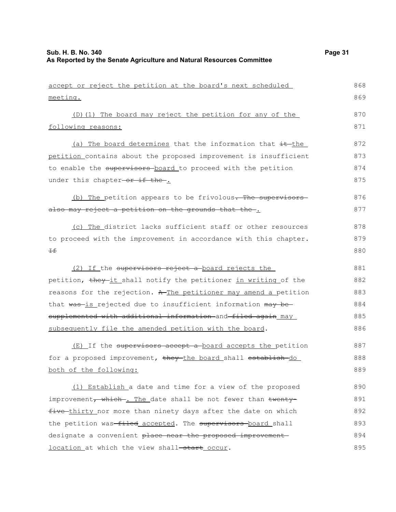accept or reject the petition at the board's next scheduled

| meeting.                                                         | 869 |
|------------------------------------------------------------------|-----|
| (D)(1) The board may reject the petition for any of the          | 870 |
| following reasons:                                               | 871 |
| (a) The board determines that the information that it the        | 872 |
| petition contains about the proposed improvement is insufficient | 873 |
| to enable the supervisors board to proceed with the petition     | 874 |
| under this chapter-or if the-.                                   | 875 |
| (b) The petition appears to be frivolous. The supervisors        | 876 |
| also may reject a petition on the grounds that the .             | 877 |
| (c) The district lacks sufficient staff or other resources       | 878 |
| to proceed with the improvement in accordance with this chapter. | 879 |
| Ŧŧ                                                               | 880 |
| (2) If the supervisors reject a board rejects the                | 881 |
| petition, they-it shall notify the petitioner in writing of the  | 882 |
| reasons for the rejection. A The petitioner may amend a petition | 883 |
| that was-is rejected due to insufficient information may be-     | 884 |
| supplemented with additional information and filed again may     | 885 |
| subsequently file the amended petition with the board.           | 886 |
| (E) If the supervisors accept a board accepts the petition       | 887 |
| for a proposed improvement, they the board shall establish do    | 888 |
| both of the following:                                           | 889 |
| (1) Establish a date and time for a view of the proposed         | 890 |
| improvement, which. The date shall be not fewer than twenty-     | 891 |
| five thirty nor more than ninety days after the date on which    | 892 |
| the petition was-filed accepted. The supervisors board shall     | 893 |
| designate a convenient place near the proposed improvement       | 894 |
| location at which the view shall-start occur.                    | 895 |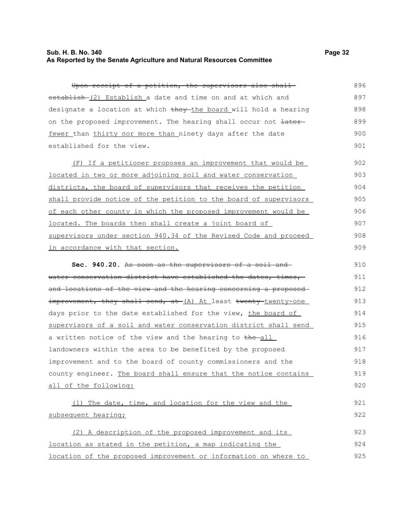# **Sub. H. B. No. 340 Page 32 As Reported by the Senate Agriculture and Natural Resources Committee**

Upon receipt of a petition, the supervisors also shall establish (2) Establish a date and time on and at which and designate a location at which they the board will hold a hearing on the proposed improvement. The hearing shall occur not  $\frac{1}{1}$ fewer than thirty nor more than ninety days after the date established for the view. 896 897 898 899 900 901

(F) If a petitioner proposes an improvement that would be located in two or more adjoining soil and water conservation districts, the board of supervisors that receives the petition shall provide notice of the petition to the board of supervisors of each other county in which the proposed improvement would be located. The boards then shall create a joint board of supervisors under section 940.34 of the Revised Code and proceed in accordance with that section. 902 903 904 905 906 907 908 909

**Sec. 940.20.** As soon as the supervisors of a soil and water conservation district have established the dates, times, and locations of the view and the hearing concerning a proposed improvement, they shall send, at (A) At least twenty-twenty-one days prior to the date established for the view, the board of supervisors of a soil and water conservation district shall send a written notice of the view and the hearing to the-all landowners within the area to be benefited by the proposed improvement and to the board of county commissioners and the county engineer. The board shall ensure that the notice contains all of the following: 910 911 912 913 914 915 916 917 918 919 920

(1) The date, time, and location for the view and the subsequent hearing; (2) A description of the proposed improvement and its 921 922 923

location as stated in the petition, a map indicating the location of the proposed improvement or information on where to 924 925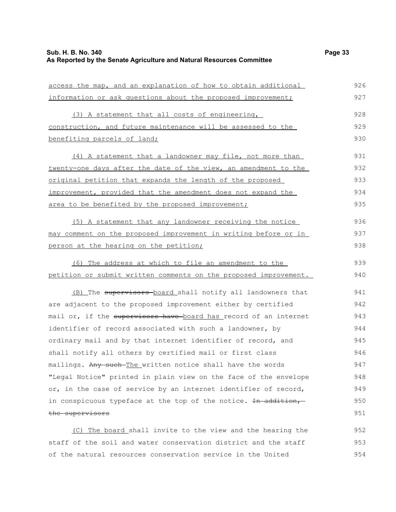| access the map, and an explanation of how to obtain additional   | 926 |
|------------------------------------------------------------------|-----|
| information or ask questions about the proposed improvement;     | 927 |
| (3) A statement that all costs of engineering,                   | 928 |
| construction, and future maintenance will be assessed to the     | 929 |
| benefiting parcels of land;                                      | 930 |
| (4) A statement that a landowner may file, not more than         | 931 |
| twenty-one days after the date of the view, an amendment to the  | 932 |
| <u>original petition that expands the length of the proposed</u> | 933 |
| improvement, provided that the amendment does not expand the     | 934 |
| area to be benefited by the proposed improvement;                | 935 |
| (5) A statement that any landowner receiving the notice          | 936 |
| may comment on the proposed improvement in writing before or in  | 937 |
| person at the hearing on the petition;                           | 938 |
| (6) The address at which to file an amendment to the             | 939 |
| petition or submit written comments on the proposed improvement. | 940 |
| (B) The supervisors board shall notify all landowners that       | 941 |
| are adjacent to the proposed improvement either by certified     | 942 |
| mail or, if the supervisors have board has record of an internet | 943 |
| identifier of record associated with such a landowner, by        | 944 |
| ordinary mail and by that internet identifier of record, and     | 945 |
| shall notify all others by certified mail or first class         | 946 |
| mailings. Any such-The written notice shall have the words       | 947 |
| "Legal Notice" printed in plain view on the face of the envelope | 948 |
| or, in the case of service by an internet identifier of record,  | 949 |
| in conspicuous typeface at the top of the notice. In addition,   | 950 |
| the supervisors                                                  | 951 |
|                                                                  |     |

(C) The board shall invite to the view and the hearing the staff of the soil and water conservation district and the staff of the natural resources conservation service in the United 952 953 954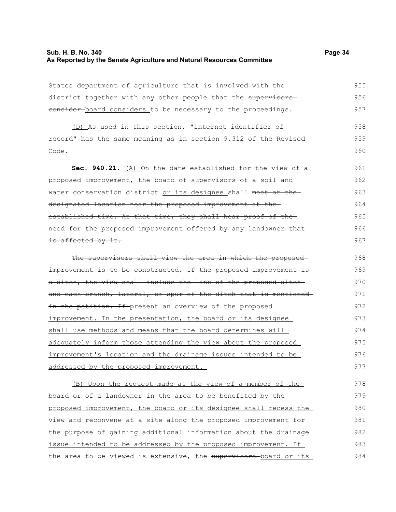# **Sub. H. B. No. 340 Page 34 As Reported by the Senate Agriculture and Natural Resources Committee**

States department of agriculture that is involved with the district together with any other people that the supervisorseonsider-board considers to be necessary to the proceedings. 955 956 957

(D) As used in this section, "internet identifier of record" has the same meaning as in section 9.312 of the Revised Code. 958 959 960

**Sec. 940.21.** (A) On the date established for the view of a proposed improvement, the board of supervisors of a soil and water conservation district or its designee shall meet at the designated location near the proposed improvement at the established time. At that time, they shall hear proof of the need for the proposed improvement offered by any landowner that is affected by it. 961 962 963 964 965 966 967

The supervisors shall view the area in which the proposedimprovement is to be constructed. If the proposed improvement is a ditch, the view shall include the line of the proposed ditchand each branch, lateral, or spur of the ditch that is mentioned in the petition. If present an overview of the proposed improvement. In the presentation, the board or its designee shall use methods and means that the board determines will adequately inform those attending the view about the proposed improvement's location and the drainage issues intended to be addressed by the proposed improvement. 968 969 970 971 972 973 974 975 976 977

(B) Upon the request made at the view of a member of the board or of a landowner in the area to be benefited by the proposed improvement, the board or its designee shall recess the view and reconvene at a site along the proposed improvement for the purpose of gaining additional information about the drainage issue intended to be addressed by the proposed improvement. If the area to be viewed is extensive, the supervisors board or its 978 979 980 981 982 983 984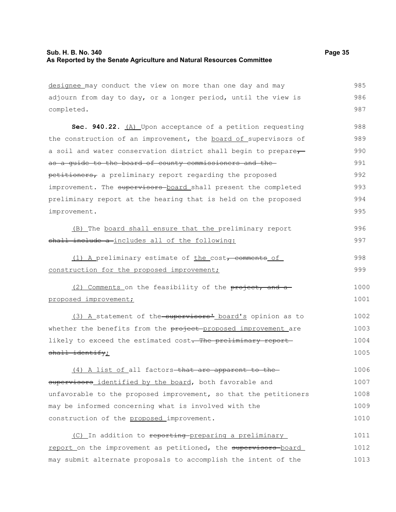| designee may conduct the view on more than one day and may       | 985  |
|------------------------------------------------------------------|------|
| adjourn from day to day, or a longer period, until the view is   | 986  |
| completed.                                                       | 987  |
| Sec. 940.22. (A) Upon acceptance of a petition requesting        | 988  |
| the construction of an improvement, the board of supervisors of  | 989  |
| a soil and water conservation district shall begin to prepare-   | 990  |
| as a quide to the board of county commissioners and the-         | 991  |
| petitioners, a preliminary report regarding the proposed         | 992  |
| improvement. The supervisors-board shall present the completed   | 993  |
| preliminary report at the hearing that is held on the proposed   | 994  |
| improvement.                                                     | 995  |
| (B) The board shall ensure that the preliminary report           | 996  |
| shall include a includes all of the following:                   | 997  |
| (1) A preliminary estimate of the cost, comments of              | 998  |
| construction for the proposed improvement;                       | 999  |
| (2) Comments on the feasibility of the project, and a            | 1000 |
| proposed improvement;                                            | 1001 |
| (3) A statement of the supervisors' board's opinion as to        | 1002 |
| whether the benefits from the project-proposed improvement are   | 1003 |
| likely to exceed the estimated cost. The preliminary report      | 1004 |
| $shall$ identify;                                                | 1005 |
| (4) A list of all factors-that are apparent to the-              | 1006 |
| supervisors_identified by the board, both favorable and          | 1007 |
| unfavorable to the proposed improvement, so that the petitioners | 1008 |
| may be informed concerning what is involved with the             | 1009 |
| construction of the proposed improvement.                        | 1010 |
| (C) In addition to reporting preparing a preliminary             | 1011 |
| report on the improvement as petitioned, the supervisors board   | 1012 |
| may submit alternate proposals to accomplish the intent of the   | 1013 |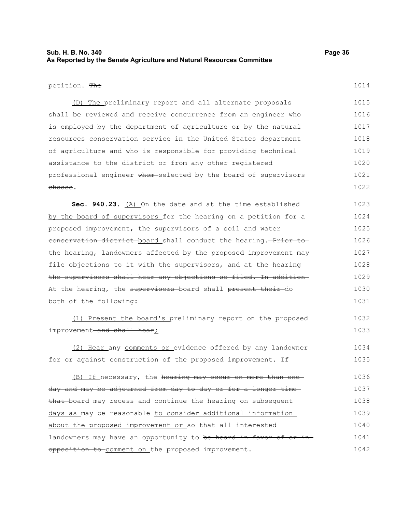# **Sub. H. B. No. 340 Page 36 As Reported by the Senate Agriculture and Natural Resources Committee**

#### petition. The

1014

(D) The preliminary report and all alternate proposals shall be reviewed and receive concurrence from an engineer who is employed by the department of agriculture or by the natural resources conservation service in the United States department of agriculture and who is responsible for providing technical assistance to the district or from any other registered professional engineer whom-selected by the board of supervisors choose. 1015 1016 1017 1018 1019 1020 1021 1022

**Sec. 940.23.** (A) On the date and at the time established by the board of supervisors for the hearing on a petition for a proposed improvement, the supervisors of a soil and watereonservation district board shall conduct the hearing. Prior to the hearing, landowners affected by the proposed improvement may file objections to it with the supervisors, and at the hearing the supervisors shall hear any objections so filed. In addition At the hearing, the supervisors board shall present their do both of the following: 1023 1024 1025 1026 1027 1028 1029 1030 1031

(1) Present the board's preliminary report on the proposed improvement-and shall hear; 1032 1033

(2) Hear any comments or evidence offered by any landowner for or against construction of the proposed improvement. If 1034 1035

(B) If necessary, the hearing may occur on more than one day and may be adjourned from day to day or for a longer time that board may recess and continue the hearing on subsequent days as may be reasonable to consider additional information about the proposed improvement or so that all interested landowners may have an opportunity to be heard in favor of or inopposition to comment on the proposed improvement. 1036 1037 1038 1039 1040 1041 1042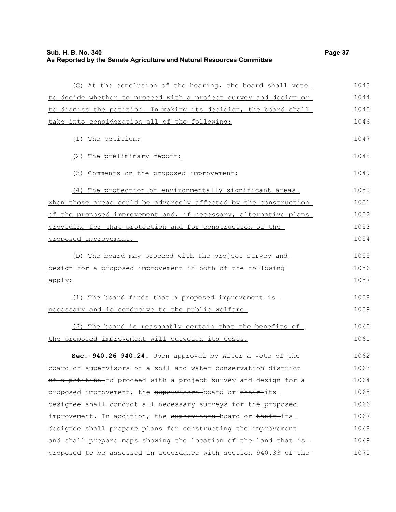# **Sub. H. B. No. 340 Page 37 As Reported by the Senate Agriculture and Natural Resources Committee**

| (C) At the conclusion of the hearing, the board shall vote       | 1043 |
|------------------------------------------------------------------|------|
| to decide whether to proceed with a project survey and design or | 1044 |
| to dismiss the petition. In making its decision, the board shall | 1045 |
| take into consideration all of the following:                    | 1046 |
| (1) The petition;                                                | 1047 |
| (2) The preliminary report;                                      | 1048 |
| (3) Comments on the proposed improvement;                        | 1049 |
| (4) The protection of environmentally significant areas          | 1050 |
| when those areas could be adversely affected by the construction | 1051 |
| of the proposed improvement and, if necessary, alternative plans | 1052 |
| providing for that protection and for construction of the        | 1053 |
| proposed improvement.                                            | 1054 |
| (D) The board may proceed with the project survey and            | 1055 |
| design for a proposed improvement if both of the following       | 1056 |
| apply:                                                           | 1057 |
| (1) The board finds that a proposed improvement is               | 1058 |
| necessary and is conducive to the public welfare.                | 1059 |
| (2) The board is reasonably certain that the benefits of         | 1060 |
| the proposed improvement will outweigh its costs.                | 1061 |
| Sec. -940.26 940.24. Upon approval by After a vote of the        | 1062 |
| board of supervisors of a soil and water conservation district   | 1063 |
| of a petition to proceed with a project survey and design for a  | 1064 |
| proposed improvement, the supervisors board or their its         | 1065 |
| designee shall conduct all necessary surveys for the proposed    | 1066 |
| improvement. In addition, the supervisors board or their its     | 1067 |
| designee shall prepare plans for constructing the improvement    | 1068 |
| and shall prepare maps showing the location of the land that is  | 1069 |
| proposed to be assessed in accordance with section 940.33 of the | 1070 |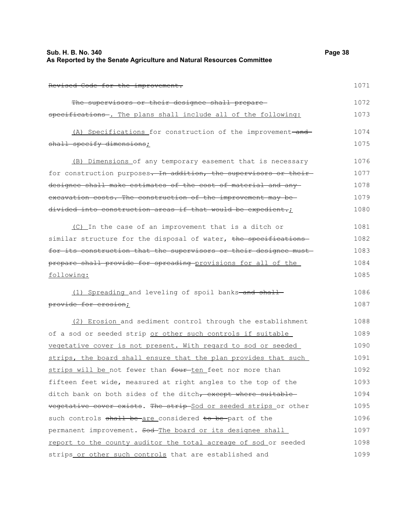| Sub. H. B. No. 340                                                    | Page 38 |
|-----------------------------------------------------------------------|---------|
| As Reported by the Senate Agriculture and Natural Resources Committee |         |

Revised Code for the improvement.

| The supervisors or their designee shall prepare-                 | 1072 |
|------------------------------------------------------------------|------|
| specifications . The plans shall include all of the following:   | 1073 |
| (A) Specifications for construction of the improvement-and-      | 1074 |
| shall specify dimensions;                                        | 1075 |
| (B) Dimensions of any temporary easement that is necessary       | 1076 |
| for construction purposes. In addition, the supervisors or their | 1077 |
| designee shall make estimates of the cost of material and any-   | 1078 |
| excavation costs. The construction of the improvement may be-    | 1079 |
| divided into construction areas if that would be expedient.;     | 1080 |

(C) In the case of an improvement that is a ditch or similar structure for the disposal of water, the specificationsfor its construction that the supervisors or their designee must prepare shall provide for spreading provisions for all of the following: 1081 1082 1083 1084 1085

(1) Spreading and leveling of spoil banks-and shallprovide for erosion; 1086 1087

(2) Erosion and sediment control through the establishment of a sod or seeded strip or other such controls if suitable vegetative cover is not present. With regard to sod or seeded strips, the board shall ensure that the plan provides that such strips will be not fewer than four-ten feet nor more than fifteen feet wide, measured at right angles to the top of the ditch bank on both sides of the ditch, except where suitable vegetative cover exists. The strip-Sod or seeded strips or other such controls shall be are considered to be part of the permanent improvement. Sod-The board or its designee shall report to the county auditor the total acreage of sod or seeded strips or other such controls that are established and 1088 1089 1090 1091 1092 1093 1094 1095 1096 1097 1098 1099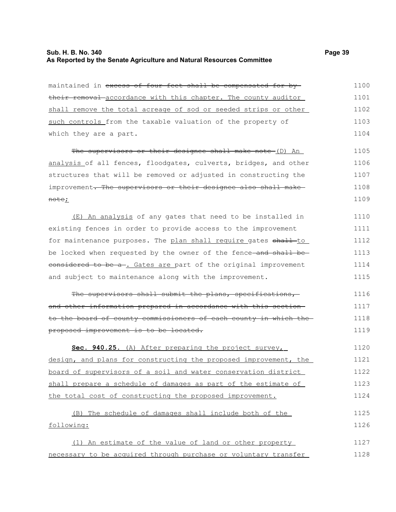#### **Sub. H. B. No. 340 Page 39 As Reported by the Senate Agriculture and Natural Resources Committee**

maintained in excess of four feet shall be compensated for bytheir removal accordance with this chapter. The county auditor shall remove the total acreage of sod or seeded strips or other such controls from the taxable valuation of the property of which they are a part. 1100 1101 1102 1103 1104

The supervisors or their designee shall make note (D) An analysis of all fences, floodgates, culverts, bridges, and other structures that will be removed or adjusted in constructing the improvement. The supervisors or their designee also shall makenote; 1105 1106 1107 1108 1109

(E) An analysis of any gates that need to be installed in existing fences in order to provide access to the improvement for maintenance purposes. The plan shall require gates shall to be locked when requested by the owner of the fence-and shall beeonsidered to be a-. Gates are part of the original improvement and subject to maintenance along with the improvement. 1110 1111 1112 1113 1114 1115

The supervisors shall submit the plans, specifications, and other information prepared in accordance with this section to the board of county commissioners of each county in which the proposed improvement is to be located. 1116 1117 1118 1119

 **Sec. 940.25.** (A) After preparing the project survey, design, and plans for constructing the proposed improvement, the board of supervisors of a soil and water conservation district shall prepare a schedule of damages as part of the estimate of the total cost of constructing the proposed improvement. 1120 1121 1122 1123 1124

(B) The schedule of damages shall include both of the following: 1125 1126

(1) An estimate of the value of land or other property necessary to be acquired through purchase or voluntary transfer 1127 1128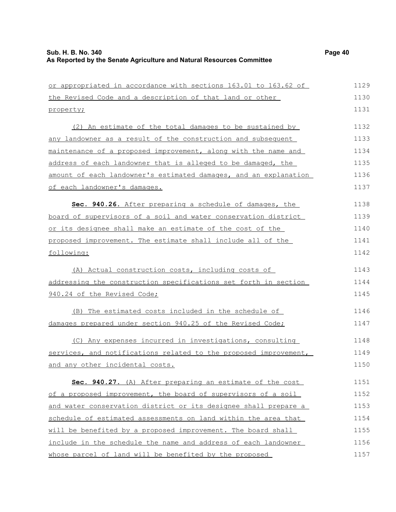| or appropriated in accordance with sections 163.01 to 163.62 of  | 1129 |
|------------------------------------------------------------------|------|
| the Revised Code and a description of that land or other         | 1130 |
| property;                                                        | 1131 |
| (2) An estimate of the total damages to be sustained by          | 1132 |
| any landowner as a result of the construction and subsequent     | 1133 |
| maintenance of a proposed improvement, along with the name and   | 1134 |
| address of each landowner that is alleged to be damaged, the     | 1135 |
| amount of each landowner's estimated damages, and an explanation | 1136 |
| <u>of each landowner's damages.</u>                              | 1137 |
| Sec. 940.26. After preparing a schedule of damages, the          | 1138 |
| board of supervisors of a soil and water conservation district   | 1139 |
| or its designee shall make an estimate of the cost of the        | 1140 |
| proposed improvement. The estimate shall include all of the      | 1141 |
| following:                                                       | 1142 |
| (A) Actual construction costs, including costs of                | 1143 |
| addressing the construction specifications set forth in section  | 1144 |
| 940.24 of the Revised Code;                                      | 1145 |
| (B) The estimated costs included in the schedule of              | 1146 |
| damages prepared under section 940.25 of the Revised Code;       | 1147 |
| (C) Any expenses incurred in investigations, consulting          | 1148 |
| services, and notifications related to the proposed improvement, | 1149 |
| and any other incidental costs.                                  | 1150 |
| Sec. 940.27. (A) After preparing an estimate of the cost         | 1151 |
| of a proposed improvement, the board of supervisors of a soil    | 1152 |
| and water conservation district or its designee shall prepare a  | 1153 |
| schedule of estimated assessments on land within the area that   | 1154 |
| will be benefited by a proposed improvement. The board shall     | 1155 |
| include in the schedule the name and address of each landowner   | 1156 |
| whose parcel of land will be benefited by the proposed           | 1157 |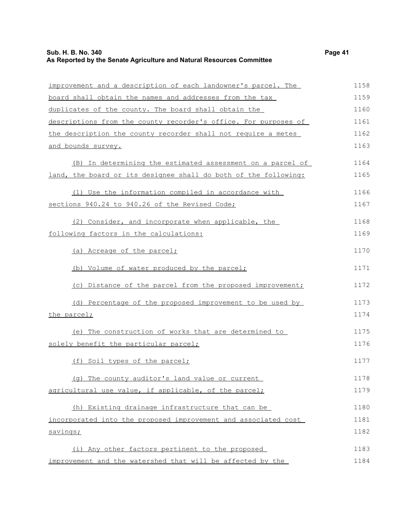# **Sub. H. B. No. 340 Page 41 As Reported by the Senate Agriculture and Natural Resources Committee**

| improvement and a description of each landowner's parcel. The   | 1158 |
|-----------------------------------------------------------------|------|
| board shall obtain the names and addresses from the tax         | 1159 |
| duplicates of the county. The board shall obtain the            | 1160 |
| descriptions from the county recorder's office. For purposes of | 1161 |
| the description the county recorder shall not require a metes   | 1162 |
| and bounds survey.                                              | 1163 |
| (B) In determining the estimated assessment on a parcel of      | 1164 |
| land, the board or its designee shall do both of the following: | 1165 |
| (1) Use the information compiled in accordance with             | 1166 |
| sections 940.24 to 940.26 of the Revised Code;                  | 1167 |
| (2) Consider, and incorporate when applicable, the              | 1168 |
| following factors in the calculations:                          | 1169 |
| (a) Acreage of the parcel;                                      | 1170 |
| (b) Volume of water produced by the parcel;                     | 1171 |
| (c) Distance of the parcel from the proposed improvement;       | 1172 |
| (d) Percentage of the proposed improvement to be used by        | 1173 |
| the parcel;                                                     | 1174 |
| (e) The construction of works that are determined to            | 1175 |
| solely benefit the particular parcel;                           | 1176 |
| (f) Soil types of the parcel;                                   | 1177 |
| (q) The county auditor's land value or current                  | 1178 |
| agricultural use value, if applicable, of the parcel;           | 1179 |
| (h) Existing drainage infrastructure that can be                | 1180 |
| incorporated into the proposed improvement and associated cost  | 1181 |
| savings;                                                        | 1182 |
| (i) Any other factors pertinent to the proposed                 | 1183 |
| improvement and the watershed that will be affected by the      | 1184 |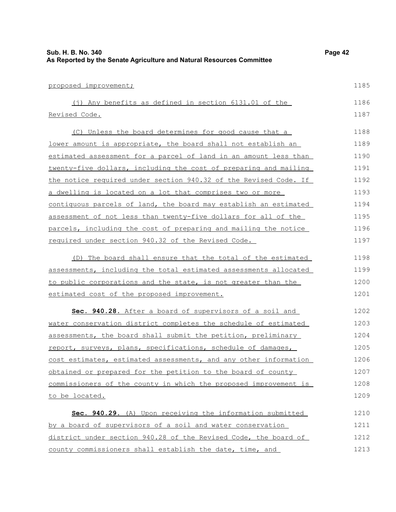| As Reported by the Senate Agriculture and Natural Resources Committee |      |
|-----------------------------------------------------------------------|------|
| proposed improvement;                                                 | 1185 |
| (j) Any benefits as defined in section 6131.01 of the                 | 1186 |
| Revised Code.                                                         | 1187 |
| (C) Unless the board determines for good cause that a                 | 1188 |
| lower amount is appropriate, the board shall not establish an         | 1189 |
| estimated assessment for a parcel of land in an amount less than      | 1190 |
| twenty-five dollars, including the cost of preparing and mailing      | 1191 |
| the notice required under section 940.32 of the Revised Code. If      | 1192 |
| a dwelling is located on a lot that comprises two or more             | 1193 |
| contiguous parcels of land, the board may establish an estimated      | 1194 |
| assessment of not less than twenty-five dollars for all of the        | 1195 |
| parcels, including the cost of preparing and mailing the notice       | 1196 |
| required under section 940.32 of the Revised Code.                    | 1197 |
| The board shall ensure that the total of the estimated<br>(D)         | 1198 |
| assessments, including the total estimated assessments allocated      | 1199 |
| to public corporations and the state, is not greater than the         | 1200 |
| estimated cost of the proposed improvement.                           | 1201 |
| Sec. 940.28. After a board of supervisors of a soil and               | 1202 |
| water conservation district completes the schedule of estimated       | 1203 |
| assessments, the board shall submit the petition, preliminary         | 1204 |
| report, surveys, plans, specifications, schedule of damages,          | 1205 |
| cost estimates, estimated assessments, and any other information      | 1206 |
| obtained or prepared for the petition to the board of county          | 1207 |
| commissioners of the county in which the proposed improvement is      | 1208 |
| to be located.                                                        | 1209 |
| Sec. 940.29. (A) Upon receiving the information submitted             | 1210 |
| by a board of supervisors of a soil and water conservation            | 1211 |
| district under section 940.28 of the Revised Code, the board of       | 1212 |
| county commissioners shall establish the date, time, and              | 1213 |

**Sub. H. B. No. 340 Page 42**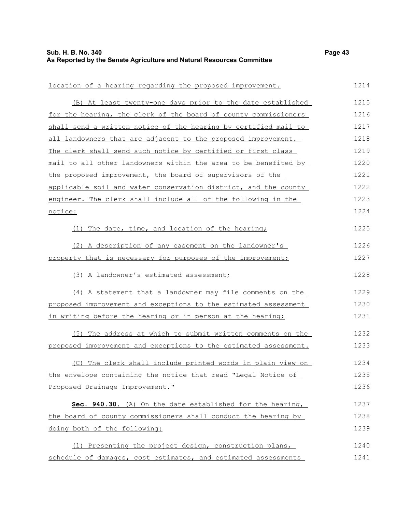| location of a hearing regarding the proposed improvement.        | 1214 |
|------------------------------------------------------------------|------|
| (B) At least twenty-one days prior to the date established       | 1215 |
| for the hearing, the clerk of the board of county commissioners  | 1216 |
| shall send a written notice of the hearing by certified mail to  | 1217 |
| all landowners that are adjacent to the proposed improvement.    | 1218 |
| The clerk shall send such notice by certified or first class     | 1219 |
| mail to all other landowners within the area to be benefited by  | 1220 |
| the proposed improvement, the board of supervisors of the        | 1221 |
| applicable soil and water conservation district, and the county  | 1222 |
| engineer. The clerk shall include all of the following in the    | 1223 |
| notice:                                                          | 1224 |
| (1) The date, time, and location of the hearing;                 | 1225 |
| (2) A description of any easement on the landowner's             | 1226 |
| property that is necessary for purposes of the improvement;      | 1227 |
| (3) A landowner's estimated assessment;                          | 1228 |
| (4) A statement that a landowner may file comments on the        | 1229 |
| proposed improvement and exceptions to the estimated assessment  | 1230 |
| in writing before the hearing or in person at the hearing;       | 1231 |
| (5) The address at which to submit written comments on the       | 1232 |
| proposed improvement and exceptions to the estimated assessment. | 1233 |
| (C) The clerk shall include printed words in plain view on       | 1234 |
| the envelope containing the notice that read "Legal Notice of    | 1235 |
| Proposed Drainage Improvement."                                  | 1236 |
| Sec. 940.30. (A) On the date established for the hearing,        | 1237 |
| the board of county commissioners shall conduct the hearing by   | 1238 |
| doing both of the following:                                     | 1239 |
| (1) Presenting the project design, construction plans,           | 1240 |
| schedule of damages, cost estimates, and estimated assessments   | 1241 |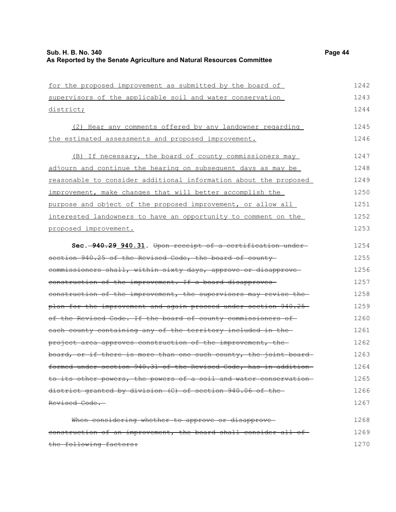| 1243<br>supervisors of the applicable soil and water conservation<br>1244<br>district;<br>1245<br>(2) Hear any comments offered by any landowner regarding<br>1246<br>the estimated assessments and proposed improvement. |
|---------------------------------------------------------------------------------------------------------------------------------------------------------------------------------------------------------------------------|
|                                                                                                                                                                                                                           |
|                                                                                                                                                                                                                           |
|                                                                                                                                                                                                                           |
|                                                                                                                                                                                                                           |
| (B) If necessary, the board of county commissioners may<br>1247                                                                                                                                                           |
| 1248<br>adjourn and continue the hearing on subsequent days as may be                                                                                                                                                     |
| 1249<br>reasonable to consider additional information about the proposed                                                                                                                                                  |
| 1250<br>improvement, make changes that will better accomplish the                                                                                                                                                         |
| 1251<br>purpose and object of the proposed improvement, or allow all                                                                                                                                                      |
| 1252<br>interested landowners to have an opportunity to comment on the                                                                                                                                                    |
| 1253<br>proposed improvement.                                                                                                                                                                                             |
|                                                                                                                                                                                                                           |
| 1254<br>Sec. -940.29 940.31. Upon receipt of a certification under-                                                                                                                                                       |
| section 940.25 of the Revised Code, the board of county<br>1255                                                                                                                                                           |
| 1256<br>commissioners shall, within sixty days, approve or disapprove                                                                                                                                                     |
| 1257<br>construction of the improvement. If a board disapproves-                                                                                                                                                          |
| 1258<br>construction of the improvement, the supervisors may revise the                                                                                                                                                   |
| 1259<br>plan for the improvement and again proceed under section 940.25                                                                                                                                                   |
| 1260<br>of the Revised Code. If the board of county commissioners of                                                                                                                                                      |
| 1261<br>each county containing any of the territory included in the                                                                                                                                                       |
| 1262<br>project area approves construction of the improvement, the                                                                                                                                                        |
| board, or if there is more than one such county, the joint board<br>1263                                                                                                                                                  |
| formed under section 940.31 of the Revised Code, has in addition<br>1264                                                                                                                                                  |
| 1265<br>to its other powers, the powers of a soil and water conservation                                                                                                                                                  |
| district granted by division (C) of section 940.06 of the<br>1266                                                                                                                                                         |
| Revised Code.<br>1267                                                                                                                                                                                                     |
| When considering whether to approve or disapprove-<br>1268                                                                                                                                                                |
| construction of an improvement, the board shall consider all of-<br>1269                                                                                                                                                  |
| the following factors:<br>1270                                                                                                                                                                                            |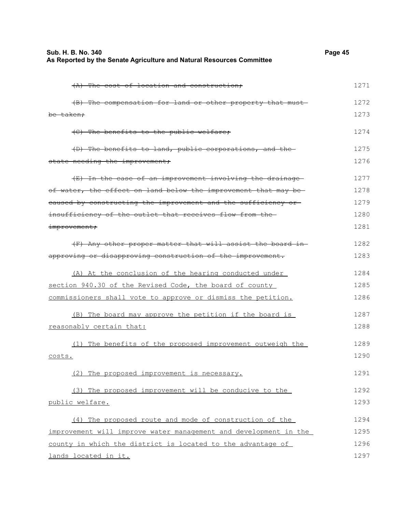| Sub. H. B. No. 340                                                    | Page 45 |
|-----------------------------------------------------------------------|---------|
| As Reported by the Senate Agriculture and Natural Resources Committee |         |

| (A) The cost of location and construction;                       | 1271 |
|------------------------------------------------------------------|------|
| (B) The compensation for land or other property that must-       | 1272 |
| be taken:                                                        | 1273 |
| (C) The benefits to the public welfare;                          | 1274 |
| (D) The benefits to land, public corporations, and the           | 1275 |
| state needing the improvement;                                   | 1276 |
| (E) In the case of an improvement involving the drainage         | 1277 |
| of water, the effect on land below the improvement that may be-  | 1278 |
| eaused by constructing the improvement and the sufficiency or    | 1279 |
| insufficiency of the outlet that receives flow from the-         | 1280 |
| improvement;                                                     | 1281 |
| (F) Any other proper matter that will assist the board in-       | 1282 |
| approving or disapproving construction of the improvement.       | 1283 |
| (A) At the conclusion of the hearing conducted under             | 1284 |
| section 940.30 of the Revised Code, the board of county          | 1285 |
| commissioners shall vote to approve or dismiss the petition.     | 1286 |
| (B) The board may approve the petition if the board is           | 1287 |
| reasonably certain that:                                         | 1288 |
| (1) The benefits of the proposed improvement outweigh the        | 1289 |
| costs.                                                           | 1290 |
| (2)<br>The proposed improvement is necessary.                    | 1291 |
| (3) The proposed improvement will be conducive to the            | 1292 |
| public welfare.                                                  | 1293 |
| (4) The proposed route and mode of construction of the           | 1294 |
| improvement will improve water management and development in the | 1295 |
| county in which the district is located to the advantage of      | 1296 |
| lands located in it.                                             | 1297 |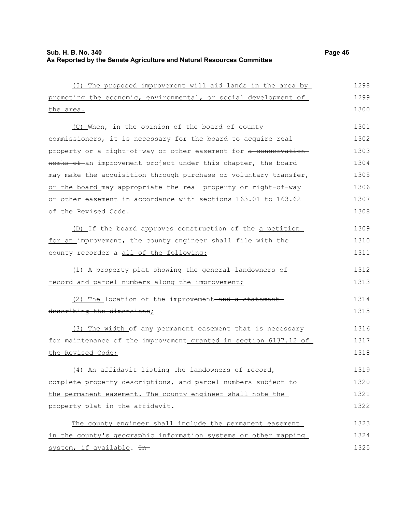| (5) The proposed improvement will aid lands in the area by       | 1298 |
|------------------------------------------------------------------|------|
| promoting the economic, environmental, or social development of  | 1299 |
| the area.                                                        | 1300 |
| (C) When, in the opinion of the board of county                  | 1301 |
| commissioners, it is necessary for the board to acquire real     | 1302 |
| property or a right-of-way or other easement for a conservation- | 1303 |
| works of an improvement project under this chapter, the board    | 1304 |
| may make the acquisition through purchase or voluntary transfer, | 1305 |
| or the board may appropriate the real property or right-of-way   | 1306 |
| or other easement in accordance with sections 163.01 to 163.62   | 1307 |
| of the Revised Code.                                             | 1308 |
| (D) If the board approves construction of the a petition         | 1309 |
| for an improvement, the county engineer shall file with the      | 1310 |
| county recorder a-all of the following:                          | 1311 |
| (1) A property plat showing the general-landowners of            | 1312 |
| record and parcel numbers along the improvement;                 | 1313 |
| (2) The location of the improvement-and a statement-             | 1314 |
| describing the dimensions;                                       | 1315 |
| (3) The width of any permanent easement that is necessary        | 1316 |
| for maintenance of the improvement granted in section 6137.12 of | 1317 |
| the Revised Code;                                                | 1318 |
| (4) An affidavit listing the landowners of record,               | 1319 |
| complete property descriptions, and parcel numbers subject to    | 1320 |
| the permanent easement. The county engineer shall note the       | 1321 |
| property plat in the affidavit.                                  | 1322 |
| The county engineer shall include the permanent easement         | 1323 |
| in the county's geographic information systems or other mapping  | 1324 |
| system, if available. In-                                        | 1325 |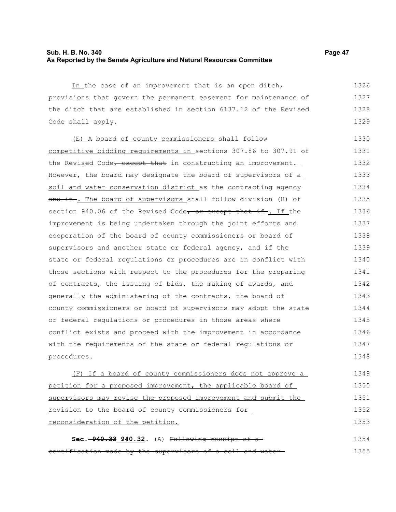### **Sub. H. B. No. 340 Page 47 As Reported by the Senate Agriculture and Natural Resources Committee**

In the case of an improvement that is an open ditch, provisions that govern the permanent easement for maintenance of the ditch that are established in section 6137.12 of the Revised Code shall apply. 1326 1327 1328 1329

(E) A board of county commissioners shall follow competitive bidding requirements in sections 307.86 to 307.91 of the Revised Code, except that in constructing an improvement. However, the board may designate the board of supervisors of a soil and water conservation district as the contracting agency and it. The board of supervisors shall follow division (H) of section 940.06 of the Revised Code, or except that if. If the improvement is being undertaken through the joint efforts and cooperation of the board of county commissioners or board of supervisors and another state or federal agency, and if the state or federal regulations or procedures are in conflict with those sections with respect to the procedures for the preparing of contracts, the issuing of bids, the making of awards, and generally the administering of the contracts, the board of county commissioners or board of supervisors may adopt the state or federal regulations or procedures in those areas where conflict exists and proceed with the improvement in accordance with the requirements of the state or federal regulations or procedures. 1330 1331 1332 1333 1334 1335 1336 1337 1338 1339 1340 1341 1342 1343 1344 1345 1346 1347 1348

(F) If a board of county commissioners does not approve a petition for a proposed improvement, the applicable board of supervisors may revise the proposed improvement and submit the revision to the board of county commissioners for reconsideration of the petition. 1349 1350 1351 1352 1353

**Sec. 940.33 940.32.** (A) Following receipt of a certification made by the supervisors of a soil and water 1354 1355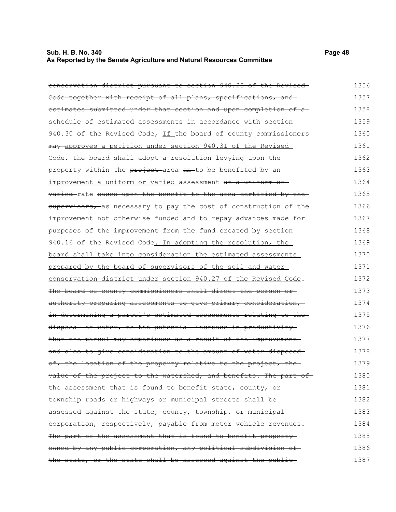# **Sub. H. B. No. 340 Page 48 As Reported by the Senate Agriculture and Natural Resources Committee**

| conservation district pursuant to section 940.25 of the Revised    | 1356 |
|--------------------------------------------------------------------|------|
| Code together with receipt of all plans, specifications, and       | 1357 |
| estimates submitted under that section and upon completion of a    | 1358 |
| schedule of estimated assessments in accordance with section-      | 1359 |
| 940.30 of the Revised Code, If the board of county commissioners   | 1360 |
| may approves a petition under section 940.31 of the Revised        | 1361 |
| Code, the board shall adopt a resolution levying upon the          | 1362 |
| property within the project area an to be benefited by an          | 1363 |
| improvement a uniform or varied assessment at a uniform or         | 1364 |
| varied-rate based upon the benefit to the area certified by the-   | 1365 |
| supervisors, as necessary to pay the cost of construction of the   | 1366 |
| improvement not otherwise funded and to repay advances made for    | 1367 |
| purposes of the improvement from the fund created by section       | 1368 |
| 940.16 of the Revised Code. In adopting the resolution, the        | 1369 |
| board shall take into consideration the estimated assessments      | 1370 |
| prepared by the board of supervisors of the soil and water         | 1371 |
| conservation district under section 940.27 of the Revised Code.    | 1372 |
| The board of county commissioners shall direct the person or       | 1373 |
| authority preparing assessments to give primary consideration,     | 1374 |
| in determining a parcel's estimated assessments relating to the    | 1375 |
| disposal of water, to the potential increase in productivity       | 1376 |
| that the parcel may experience as a result of the improvement      | 1377 |
| and also to give consideration to the amount of water disposed-    | 1378 |
| of, the location of the property relative to the project, the      | 1379 |
| value of the project to the watershed, and benefits. The part of - | 1380 |
| the assessment that is found to benefit state, county, or-         | 1381 |
| township roads or highways or municipal streets shall be-          | 1382 |
| assessed against the state, county, township, or municipal-        | 1383 |
| corporation, respectively, payable from motor vehicle revenues.    | 1384 |
| The part of the assessment that is found to benefit property       | 1385 |
| owned by any public corporation, any political subdivision of      | 1386 |
| the state, or the state shall be assessed against the public-      | 1387 |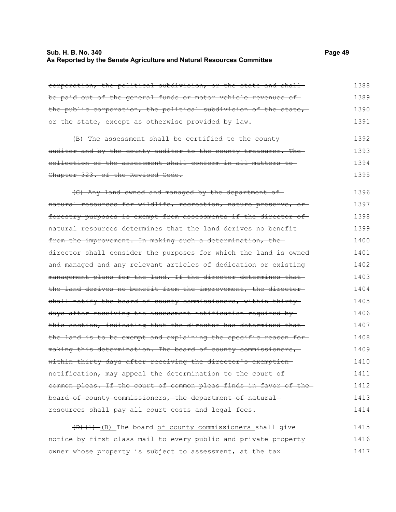#### **Sub. H. B. No. 340 Page 49 As Reported by the Senate Agriculture and Natural Resources Committee**

corporation, the political subdivision, or the state and shall be paid out of the general funds or motor vehicle revenues of the public corporation, the political subdivision of the state, or the state, except as otherwise provided by law. (B) The assessment shall be certified to the county auditor and by the county auditor to the county treasurer. The collection of the assessment shall conform in all matters to Chapter 323. of the Revised Code. (C) Any land owned and managed by the department of natural resources for wildlife, recreation, nature preserve, or forestry purposes is exempt from assessments if the director ofnatural resources determines that the land derives no benefit from the improvement. In making such a determination, the director shall consider the purposes for which the land is owned and managed and any relevant articles of dedication or existing 1388 1389 1390 1391 1392 1393 1394 1395 1396 1397 1398 1399 1400 1401 1402

management plans for the land. If the director determines that the land derives no benefit from the improvement, the director shall notify the board of county commissioners, within thirty days after receiving the assessment notification required by this section, indicating that the director has determined that the land is to be exempt and explaining the specific reason for making this determination. The board of county commissioners, within thirty days after receiving the director's exemption notification, may appeal the determination to the court of common pleas. If the court of common pleas finds in favor of the board of county commissioners, the department of natural resources shall pay all court costs and legal fees. 1403 1404 1405 1406 1407 1408 1409 1410 1411 1412 1413 1414

 $(D)$   $(1)$   $(B)$  The board of county commissioners shall give notice by first class mail to every public and private property owner whose property is subject to assessment, at the tax 1415 1416 1417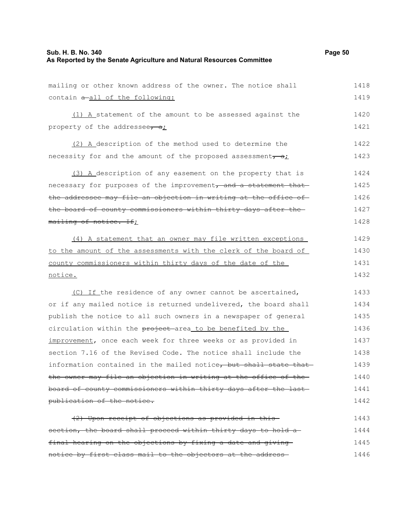#### **Sub. H. B. No. 340 Page 50 As Reported by the Senate Agriculture and Natural Resources Committee**

mailing or other known address of the owner. The notice shall contain  $a$ -all of the following: 1418 1419

(1) A statement of the amount to be assessed against the property of the addressee,  $a_i$ 1420 1421

(2) A description of the method used to determine the necessity for and the amount of the proposed assessment,  $a_i$ 1422 1423

(3) A description of any easement on the property that is necessary for purposes of the improvement, and a statement thatthe addressee may file an objection in writing at the office ofthe board of county commissioners within thirty days after the mailing of notice. If; 1424 1425 1426 1427 1428

(4) A statement that an owner may file written exceptions to the amount of the assessments with the clerk of the board of county commissioners within thirty days of the date of the notice. 1429 1430 1431 1432

(C) If the residence of any owner cannot be ascertained, or if any mailed notice is returned undelivered, the board shall publish the notice to all such owners in a newspaper of general circulation within the project area to be benefited by the improvement, once each week for three weeks or as provided in section 7.16 of the Revised Code. The notice shall include the information contained in the mailed notice, but shall state that the owner may file an objection in writing at the office of the board of county commissioners within thirty days after the last publication of the notice. 1433 1434 1435 1436 1437 1438 1439 1440 1441 1442

(2) Upon receipt of objections as provided in this section, the board shall proceed within thirty days to hold a final hearing on the objections by fixing a date and giving notice by first class mail to the objectors at the address 1443 1444 1445 1446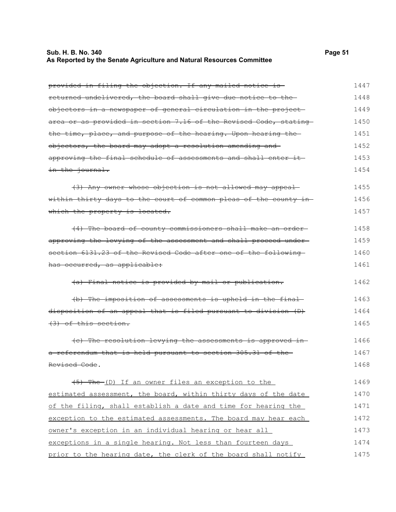# **Sub. H. B. No. 340 Page 51 As Reported by the Senate Agriculture and Natural Resources Committee**

| provided in filing the objection. If any mailed notice is        | 1447 |
|------------------------------------------------------------------|------|
| returned undelivered, the board shall give due notice to the     | 1448 |
| objectors in a newspaper of general circulation in the project-  | 1449 |
| area or as provided in section 7.16 of the Revised Code, stating | 1450 |
| the time, place, and purpose of the hearing. Upon hearing the    | 1451 |
| objectors, the board may adopt a resolution amending and         | 1452 |
| approving the final schedule of assessments and shall enter it-  | 1453 |
| in the journal.                                                  | 1454 |
| (3) Any owner whose objection is not allowed may appeal          | 1455 |
| within thirty days to the court of common pleas of the county in | 1456 |
| which the property is located.                                   | 1457 |
| (4) The board of county commissioners shall make an order-       | 1458 |
| approving the levying of the assessment and shall proceed under- | 1459 |
| section 6131.23 of the Revised Code after one of the following   | 1460 |
| has occurred, as applicable:                                     | 1461 |
| (a) Final notice is provided by mail or publication.             | 1462 |
| (b) The imposition of assessments is upheld in the final-        | 1463 |
| disposition of an appeal that is filed pursuant to division (D)  | 1464 |
| (3) of this section.                                             | 1465 |
| (e) The resolution levying the assessments is approved in-       | 1466 |
| a referendum that is held pursuant to section 305.31 of the      | 1467 |
| Revised Code.                                                    | 1468 |
| (5) The (D) If an owner files an exception to the                | 1469 |
| estimated assessment, the board, within thirty days of the date  | 1470 |
| of the filing, shall establish a date and time for hearing the   | 1471 |
| exception to the estimated assessments. The board may hear each  | 1472 |
| owner's exception in an individual hearing or hear all           | 1473 |
| exceptions in a single hearing. Not less than fourteen days      | 1474 |
| prior to the hearing date, the clerk of the board shall notify   | 1475 |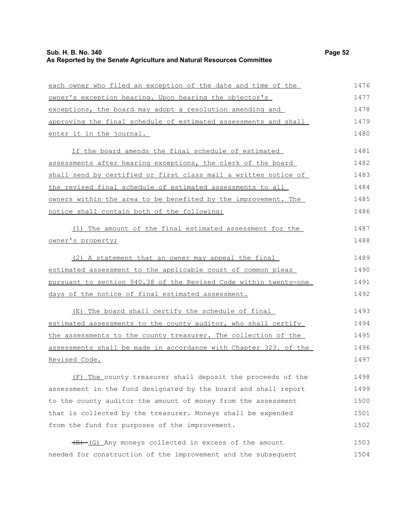| each owner who filed an exception of the date and time of the    | 1476 |
|------------------------------------------------------------------|------|
| owner's exception hearing. Upon hearing the objector's           | 1477 |
| exceptions, the board may adopt a resolution amending and        | 1478 |
| approving the final schedule of estimated assessments and shall  | 1479 |
| enter it in the journal.                                         | 1480 |
| If the board amends the final schedule of estimated              | 1481 |
| assessments after hearing exceptions, the clerk of the board     | 1482 |
| shall send by certified or first class mail a written notice of  | 1483 |
| the revised final schedule of estimated assessments to all       | 1484 |
| owners within the area to be benefited by the improvement. The   | 1485 |
| notice shall contain both of the following:                      | 1486 |
| (1) The amount of the final estimated assessment for the         | 1487 |
| owner's property;                                                | 1488 |
| (2) A statement that an owner may appeal the final               | 1489 |
| estimated assessment to the applicable court of common pleas     | 1490 |
| pursuant to section 940.38 of the Revised Code within twenty-one | 1491 |
| days of the notice of final estimated assessment.                | 1492 |
| (E) The board shall certify the schedule of final                | 1493 |
| estimated assessments to the county auditor, who shall certify   | 1494 |
| the assessments to the county treasurer. The collection of the   | 1495 |
| assessments shall be made in accordance with Chapter 323. of the | 1496 |
| Revised Code.                                                    | 1497 |
| (F) The county treasurer shall deposit the proceeds of the       | 1498 |
| assessment in the fund designated by the board and shall report  | 1499 |
| to the county auditor the amount of money from the assessment    | 1500 |
| that is collected by the treasurer. Moneys shall be expended     | 1501 |
| from the fund for purposes of the improvement.                   | 1502 |
| $(E)$ (G) Any moneys collected in excess of the amount           | 1503 |
| needed for construction of the improvement and the subsequent    | 1504 |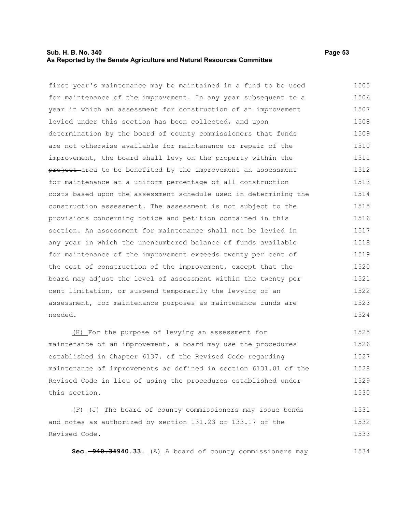#### **Sub. H. B. No. 340 Page 53 As Reported by the Senate Agriculture and Natural Resources Committee**

first year's maintenance may be maintained in a fund to be used for maintenance of the improvement. In any year subsequent to a year in which an assessment for construction of an improvement levied under this section has been collected, and upon determination by the board of county commissioners that funds are not otherwise available for maintenance or repair of the improvement, the board shall levy on the property within the project area to be benefited by the improvement an assessment for maintenance at a uniform percentage of all construction costs based upon the assessment schedule used in determining the construction assessment. The assessment is not subject to the provisions concerning notice and petition contained in this section. An assessment for maintenance shall not be levied in any year in which the unencumbered balance of funds available for maintenance of the improvement exceeds twenty per cent of the cost of construction of the improvement, except that the board may adjust the level of assessment within the twenty per cent limitation, or suspend temporarily the levying of an assessment, for maintenance purposes as maintenance funds are needed. 1505 1506 1507 1508 1509 1510 1511 1512 1513 1514 1515 1516 1517 1518 1519 1520 1521 1522 1523 1524

(H) For the purpose of levying an assessment for maintenance of an improvement, a board may use the procedures established in Chapter 6137. of the Revised Code regarding maintenance of improvements as defined in section 6131.01 of the Revised Code in lieu of using the procedures established under this section. 1525 1526 1527 1528 1529 1530

 $(F)$  (J) The board of county commissioners may issue bonds and notes as authorized by section 131.23 or 133.17 of the Revised Code. 1531 1532 1533

**Sec. 940.34940.33.** (A) A board of county commissioners may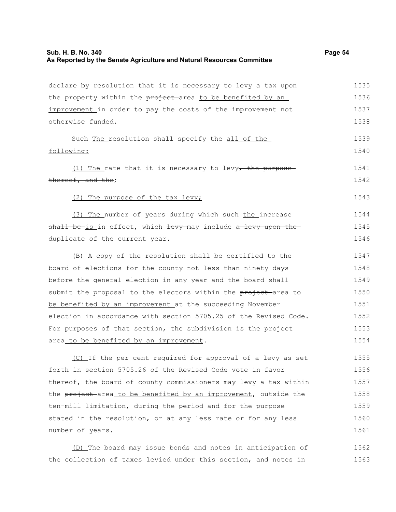# **Sub. H. B. No. 340 Page 54 As Reported by the Senate Agriculture and Natural Resources Committee**

| 1536<br>the property within the project area to be benefited by an<br>1537<br>improvement in order to pay the costs of the improvement not<br>otherwise funded.<br>1538<br>1539<br>Such-The resolution shall specify the all of the |
|-------------------------------------------------------------------------------------------------------------------------------------------------------------------------------------------------------------------------------------|
|                                                                                                                                                                                                                                     |
|                                                                                                                                                                                                                                     |
|                                                                                                                                                                                                                                     |
|                                                                                                                                                                                                                                     |
| following:<br>1540                                                                                                                                                                                                                  |
| 1541<br>$(1)$ The rate that it is necessary to levy, the purpose-                                                                                                                                                                   |
| 1542<br>thereof, and the;                                                                                                                                                                                                           |
| 1543<br>(2) The purpose of the tax levy;                                                                                                                                                                                            |
| 1544<br>(3) The number of years during which such-the increase                                                                                                                                                                      |
| shall be-is in effect, which levy-may include a levy upon the-<br>1545                                                                                                                                                              |
| 1546<br>duplicate of the current year.                                                                                                                                                                                              |
| 1547<br>(B) A copy of the resolution shall be certified to the                                                                                                                                                                      |
| 1548<br>board of elections for the county not less than ninety days                                                                                                                                                                 |
| 1549<br>before the general election in any year and the board shall                                                                                                                                                                 |
| 1550<br>submit the proposal to the electors within the project area to                                                                                                                                                              |
| be benefited by an improvement at the succeeding November<br>1551                                                                                                                                                                   |
| election in accordance with section 5705.25 of the Revised Code.<br>1552                                                                                                                                                            |
| For purposes of that section, the subdivision is the project<br>1553                                                                                                                                                                |
| 1554<br>area_to be benefited by an improvement.                                                                                                                                                                                     |
| 1555<br>(C) If the per cent required for approval of a levy as set                                                                                                                                                                  |
| forth in section 5705.26 of the Revised Code vote in favor<br>1556                                                                                                                                                                  |
| thereof, the board of county commissioners may levy a tax within<br>1557                                                                                                                                                            |
| the project-area to be benefited by an improvement, outside the<br>1558                                                                                                                                                             |
| 1559<br>ten-mill limitation, during the period and for the purpose                                                                                                                                                                  |
| stated in the resolution, or at any less rate or for any less<br>1560                                                                                                                                                               |
| number of years.<br>1561                                                                                                                                                                                                            |

(D) The board may issue bonds and notes in anticipation of 1562 the collection of taxes levied under this section, and notes in 1563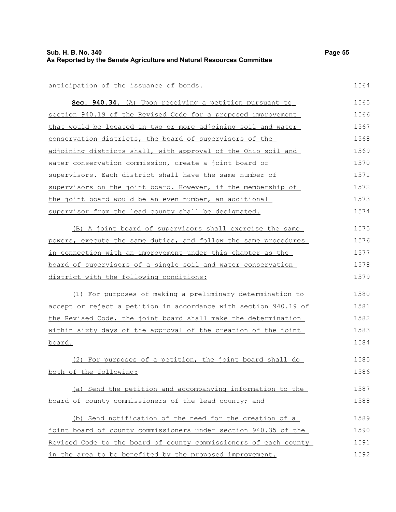# **Sub. H. B. No. 340 Page 55 As Reported by the Senate Agriculture and Natural Resources Committee**

| Sec. 940.34. (A) Upon receiving a petition pursuant to           | 1565 |
|------------------------------------------------------------------|------|
| section 940.19 of the Revised Code for a proposed improvement    | 1566 |
| that would be located in two or more adjoining soil and water    | 1567 |
| <u>conservation districts</u> , the board of supervisors of the  | 1568 |
| adjoining districts shall, with approval of the Ohio soil and    | 1569 |
| water conservation commission, create a joint board of           | 1570 |
| supervisors. Each district shall have the same number of         | 1571 |
| supervisors on the joint board. However, if the membership of    | 1572 |
| the joint board would be an even number, an additional           | 1573 |
| supervisor from the lead county shall be designated.             | 1574 |
| (B) A joint board of supervisors shall exercise the same         | 1575 |
| powers, execute the same duties, and follow the same procedures  | 1576 |
| in connection with an improvement under this chapter as the      | 1577 |
| board of supervisors of a single soil and water conservation     | 1578 |
| district with the following conditions:                          | 1579 |
| (1) For purposes of making a preliminary determination to        | 1580 |
| accept or reject a petition in accordance with section 940.19 of | 1581 |
| the Revised Code, the joint board shall make the determination   | 1582 |
| within sixty days of the approval of the creation of the joint   | 1583 |
| board.                                                           | 1584 |
| (2) For purposes of a petition, the joint board shall do         | 1585 |
| both of the following:                                           | 1586 |
| (a) Send the petition and accompanying information to the        | 1587 |
| board of county commissioners of the lead county; and            | 1588 |
| (b) Send notification of the need for the creation of a          | 1589 |
| joint board of county commissioners under section 940.35 of the  | 1590 |
| Revised Code to the board of county commissioners of each county | 1591 |
| in the area to be benefited by the proposed improvement.         | 1592 |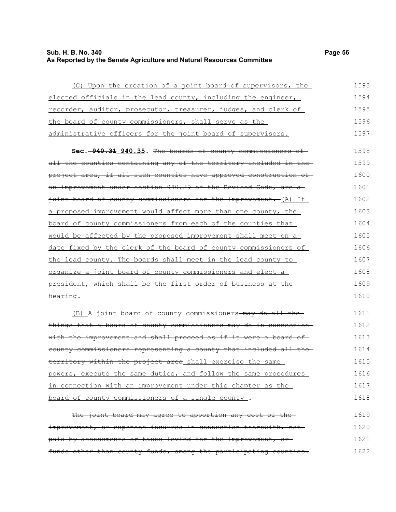### **Sub. H. B. No. 340 Page 56 As Reported by the Senate Agriculture and Natural Resources Committee**

| (C) Upon the creation of a joint board of supervisors, the                    | 1593 |
|-------------------------------------------------------------------------------|------|
| elected officials in the lead county, including the engineer,                 | 1594 |
| recorder, auditor, prosecutor, treasurer, judges, and clerk of                | 1595 |
| the board of county commissioners, shall serve as the                         | 1596 |
| administrative officers for the joint board of supervisors.                   | 1597 |
| Sec. -940.31 940.35. The boards of county commissioners of                    | 1598 |
| all the counties containing any of the territory included in the-             | 1599 |
| <del>project area, if all such counties have approved construction of -</del> | 1600 |
| <del>an improvement under section 940.29 of the Revised Code, are a</del>     | 1601 |
| joint board of county commissioners for the improvement. (A) If               | 1602 |
| a proposed improvement would affect more than one county, the                 | 1603 |
| board of county commissioners from each of the counties that                  | 1604 |
| would be affected by the proposed improvement shall meet on a                 | 1605 |
| date fixed by the clerk of the board of county commissioners of               | 1606 |
| the lead county. The boards shall meet in the lead county to                  | 1607 |
| <u>organize a joint board of county commissioners and elect a</u>             | 1608 |
| president, which shall be the first order of business at the                  | 1609 |
| hearing.                                                                      | 1610 |
|                                                                               |      |

(B) A joint board of county commissioners-may do all thethings that a board of county commissioners may do in connection with the improvement and shall proceed as if it were a board ofcounty commissioners representing a county that included all the territory within the project area shall exercise the same powers, execute the same duties, and follow the same procedures in connection with an improvement under this chapter as the board of county commissioners of a single county . 1611 1612 1613 1614 1615 1616 1617 1618

The joint board may agree to apportion any cost of theimprovement, or expenses incurred in connection therewith, not paid by assessments or taxes levied for the improvement, or funds other than county funds, among the participating counties. 1619 1620 1621 1622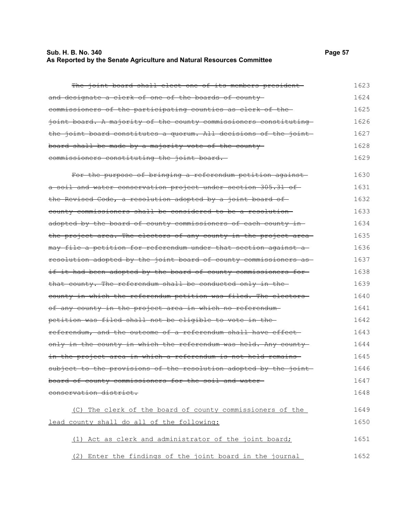#### **Sub. H. B. No. 340 Page 57 As Reported by the Senate Agriculture and Natural Resources Committee**

The joint board shall elect one of its members president and designate a clerk of one of the boards of county commissioners of the participating counties as clerk of the joint board. A majority of the county commissioners constituting the joint board constitutes a quorum. All decisions of the joint board shall be made by a majority vote of the county commissioners constituting the joint board. For the purpose of bringing a referendum petition against a soil and water conservation project under section 305.31 of the Revised Code, a resolution adopted by a joint board of county commissioners shall be considered to be a resolution adopted by the board of county commissioners of each county in the project area. The electors of any county in the project areamay file a petition for referendum under that section against a resolution adopted by the joint board of county commissioners as if it had been adopted by the board of county commissioners forthat county. The referendum shall be conducted only in the county in which the referendum petition was filed. The electors of any county in the project area in which no referendum petition was filed shall not be eligible to vote in the referendum, and the outcome of a referendum shall have effect only in the county in which the referendum was held. Any county in the project area in which a referendum is not held remains subject to the provisions of the resolution adopted by the joint board of county commissioners for the soil and water conservation district. (C) The clerk of the board of county commissioners of the 1623 1624 1625 1626 1627 1628 1629 1630 1631 1632 1633 1634 1635 1636 1637 1638 1639 1640 1641 1642 1643 1644 1645 1646 1647 1648 1649

(1) Act as clerk and administrator of the joint board; 1651

lead county shall do all of the following:

(2) Enter the findings of the joint board in the journal 1652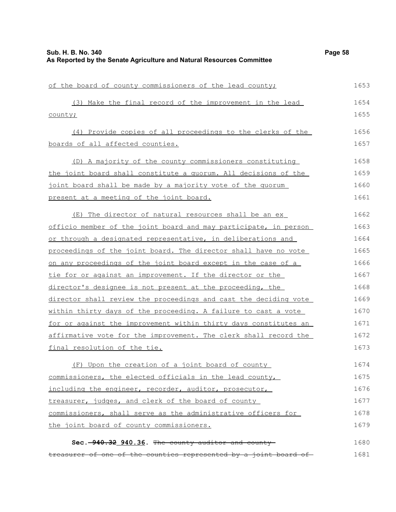| of the board of county commissioners of the lead county;         | 1653 |
|------------------------------------------------------------------|------|
| (3) Make the final record of the improvement in the lead         | 1654 |
| county;                                                          | 1655 |
| (4) Provide copies of all proceedings to the clerks of the       | 1656 |
| boards of all affected counties.                                 | 1657 |
| (D) A majority of the county commissioners constituting          | 1658 |
| the joint board shall constitute a quorum. All decisions of the  | 1659 |
| joint board shall be made by a majority vote of the quorum       | 1660 |
| present at a meeting of the joint board.                         | 1661 |
| (E) The director of natural resources shall be an ex_            | 1662 |
| officio member of the joint board and may participate, in person | 1663 |
| or through a designated representative, in deliberations and     | 1664 |
| proceedings of the joint board. The director shall have no vote  | 1665 |
| on any proceedings of the joint board except in the case of a    | 1666 |
| tie for or against an improvement. If the director or the        | 1667 |
| director's designee is not present at the proceeding, the        | 1668 |
| director shall review the proceedings and cast the deciding vote | 1669 |
| within thirty days of the proceeding. A failure to cast a vote   | 1670 |
| for or against the improvement within thirty days constitutes an | 1671 |
| affirmative vote for the improvement. The clerk shall record the | 1672 |
| <u>final resolution of the tie.</u>                              | 1673 |
| (F) Upon the creation of a joint board of county                 | 1674 |
| commissioners, the elected officials in the lead county,         | 1675 |
| including the engineer, recorder, auditor, prosecutor,           | 1676 |
| treasurer, judges, and clerk of the board of county              | 1677 |
| commissioners, shall serve as the administrative officers for    | 1678 |
| the joint board of county commissioners.                         | 1679 |
| Sec. 940.32 940.36. The county auditor and county                | 1680 |
| treasurer of one of the counties represented by a joint board of | 1681 |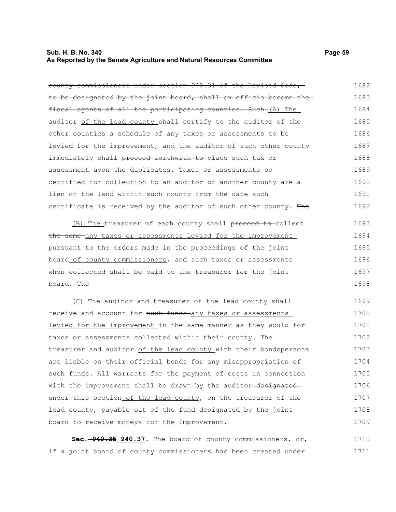#### **Sub. H. B. No. 340 Page 59 As Reported by the Senate Agriculture and Natural Resources Committee**

| county commissioners under section 940.31 of the Revised Code,-  | 1682 |
|------------------------------------------------------------------|------|
| to be designated by the joint board, shall ex officio become the | 1683 |
| fiscal agents of all the participating counties. Such (A) The    | 1684 |
| auditor of the lead county shall certify to the auditor of the   | 1685 |
| other counties a schedule of any taxes or assessments to be      | 1686 |
| levied for the improvement, and the auditor of such other county | 1687 |
| immediately shall proceed forthwith to place such tax or         | 1688 |
| assessment upon the duplicates. Taxes or assessments so          | 1689 |
| certified for collection to an auditor of another county are a   | 1690 |
| lien on the land within such county from the date such           | 1691 |
| certificate is received by the auditor of such other county. The | 1692 |
| (B) The treasurer of each county shall proceed to collect        | 1693 |
| the same any taxes or assessments levied for the improvement     | 1694 |
| pursuant to the orders made in the proceedings of the joint      | 1695 |

board of county commissioners, and such taxes or assessments when collected shall be paid to the treasurer for the joint board. The 1696 1697 1698

(C) The auditor and treasurer of the lead county shall receive and account for such funds any taxes or assessments levied for the improvement in the same manner as they would for taxes or assessments collected within their county. The treasurer and auditor of the lead county with their bondspersons are liable on their official bonds for any misappropriation of such funds. All warrants for the payment of costs in connection with the improvement shall be drawn by the auditor-designated under this section of the lead county, on the treasurer of the lead county, payable out of the fund designated by the joint board to receive moneys for the improvement. 1699 1700 1701 1702 1703 1704 1705 1706 1707 1708 1709

**Sec. 940.35 940.37.** The board of county commissioners, or, if a joint board of county commissioners has been created under 1710 1711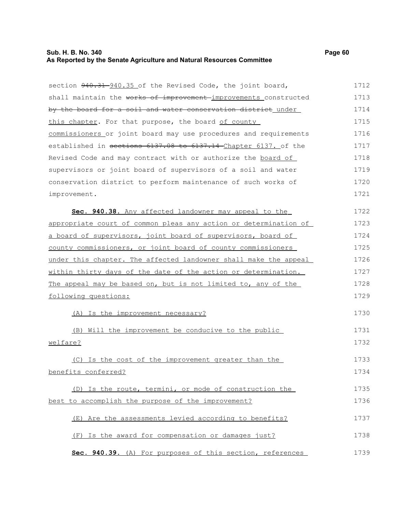# **Sub. H. B. No. 340 Page 60 As Reported by the Senate Agriculture and Natural Resources Committee**

| section 940.31 940.35 of the Revised Code, the joint board,      | 1712 |
|------------------------------------------------------------------|------|
| shall maintain the works of improvement improvements constructed | 1713 |
| by the board for a soil and water conservation district under    | 1714 |
| this chapter. For that purpose, the board of county              | 1715 |
| commissioners or joint board may use procedures and requirements | 1716 |
| established in sections 6137.08 to 6137.14 Chapter 6137. of the  | 1717 |
| Revised Code and may contract with or authorize the board of     | 1718 |
| supervisors or joint board of supervisors of a soil and water    | 1719 |
| conservation district to perform maintenance of such works of    | 1720 |
| improvement.                                                     | 1721 |
| Sec. 940.38. Any affected landowner may appeal to the            | 1722 |
| appropriate court of common pleas any action or determination of | 1723 |
| a board of supervisors, joint board of supervisors, board of     | 1724 |
| county commissioners, or joint board of county commissioners     | 1725 |
| under this chapter. The affected landowner shall make the appeal | 1726 |
| within thirty days of the date of the action or determination.   | 1727 |
| The appeal may be based on, but is not limited to, any of the    | 1728 |
| following questions:                                             | 1729 |
| (A) Is the improvement necessary?                                | 1730 |
| (B) Will the improvement be conducive to the public              | 1731 |
| welfare?                                                         | 1732 |
| (C) Is the cost of the improvement greater than the              | 1733 |
| benefits conferred?                                              | 1734 |
| (D) Is the route, termini, or mode of construction the           | 1735 |
| best to accomplish the purpose of the improvement?               | 1736 |
| (E) Are the assessments levied according to benefits?            | 1737 |
| (F) Is the award for compensation or damages just?               | 1738 |
| Sec. 940.39. (A) For purposes of this section, references        | 1739 |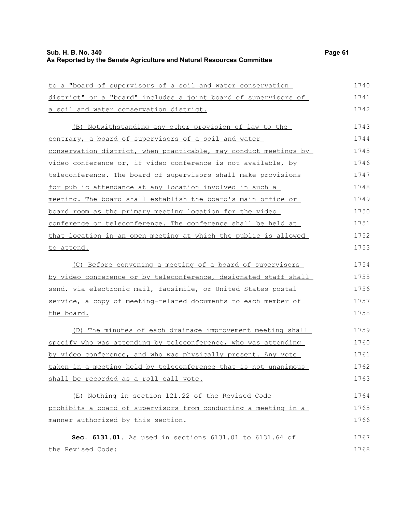# **Sub. H. B. No. 340 Page 61 As Reported by the Senate Agriculture and Natural Resources Committee**

| to a "board of supervisors of a soil and water conservation           | 1740 |
|-----------------------------------------------------------------------|------|
| district" or a "board" includes a joint board of supervisors of       | 1741 |
| a soil and water conservation district.                               | 1742 |
| (B) Notwithstanding any other provision of law to the                 | 1743 |
| contrary, a board of supervisors of a soil and water                  | 1744 |
| conservation district, when practicable, may conduct meetings by      | 1745 |
| video conference or, if video conference is not available, by         | 1746 |
| teleconference. The board of supervisors shall make provisions        | 1747 |
| for public attendance at any location involved in such a              | 1748 |
| <u>meeting. The board shall establish the board's main office or </u> | 1749 |
| board room as the primary meeting location for the video              | 1750 |
| conference or teleconference. The conference shall be held at         | 1751 |
| that location in an open meeting at which the public is allowed       | 1752 |
| to attend.                                                            | 1753 |
| (C) Before convening a meeting of a board of supervisors              | 1754 |
| by video conference or by teleconference, designated staff shall      | 1755 |
| send, via electronic mail, facsimile, or United States postal         | 1756 |
| service, a copy of meeting-related documents to each member of        | 1757 |
| the board.                                                            | 1758 |
| The minutes of each drainage improvement meeting shall<br>(D)         | 1759 |
| specify who was attending by teleconference, who was attending        | 1760 |
| by video conference, and who was physically present. Any vote         | 1761 |
| taken in a meeting held by teleconference that is not unanimous       | 1762 |
| shall be recorded as a roll call vote.                                | 1763 |
| (E) Nothing in section 121.22 of the Revised Code                     | 1764 |
| prohibits a board of supervisors from conducting a meeting in a       | 1765 |
| manner authorized by this section.                                    | 1766 |
| Sec. 6131.01. As used in sections 6131.01 to 6131.64 of               | 1767 |
| the Revised Code:                                                     | 1768 |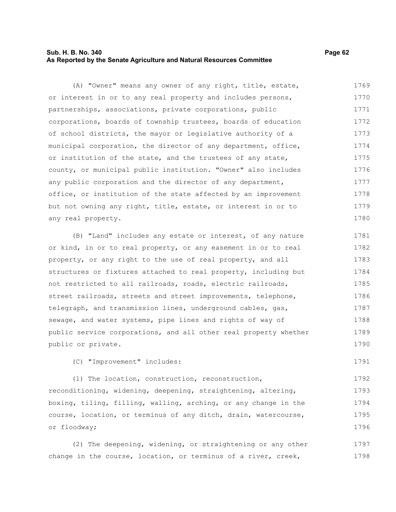### **Sub. H. B. No. 340 Page 62 As Reported by the Senate Agriculture and Natural Resources Committee**

(A) "Owner" means any owner of any right, title, estate, or interest in or to any real property and includes persons, partnerships, associations, private corporations, public corporations, boards of township trustees, boards of education of school districts, the mayor or legislative authority of a municipal corporation, the director of any department, office, or institution of the state, and the trustees of any state, county, or municipal public institution. "Owner" also includes any public corporation and the director of any department, office, or institution of the state affected by an improvement but not owning any right, title, estate, or interest in or to any real property. 1769 1770 1771 1772 1773 1774 1775 1776 1777 1778 1779 1780

(B) "Land" includes any estate or interest, of any nature or kind, in or to real property, or any easement in or to real property, or any right to the use of real property, and all structures or fixtures attached to real property, including but not restricted to all railroads, roads, electric railroads, street railroads, streets and street improvements, telephone, telegraph, and transmission lines, underground cables, gas, sewage, and water systems, pipe lines and rights of way of public service corporations, and all other real property whether public or private. 1781 1782 1783 1784 1785 1786 1787 1788 1789 1790

(C) "Improvement" includes:

(1) The location, construction, reconstruction, reconditioning, widening, deepening, straightening, altering, boxing, tiling, filling, walling, arching, or any change in the course, location, or terminus of any ditch, drain, watercourse, or floodway; 1792 1793 1794 1795 1796

(2) The deepening, widening, or straightening or any other change in the course, location, or terminus of a river, creek, 1797 1798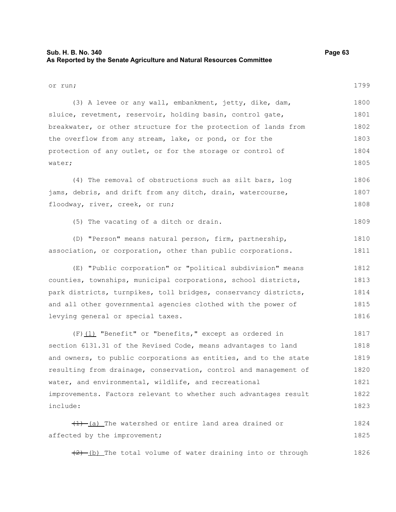### **Sub. H. B. No. 340 Page 63 As Reported by the Senate Agriculture and Natural Resources Committee**

or run; (3) A levee or any wall, embankment, jetty, dike, dam, sluice, revetment, reservoir, holding basin, control gate, breakwater, or other structure for the protection of lands from the overflow from any stream, lake, or pond, or for the protection of any outlet, or for the storage or control of water; (4) The removal of obstructions such as silt bars, log jams, debris, and drift from any ditch, drain, watercourse, floodway, river, creek, or run; (5) The vacating of a ditch or drain. (D) "Person" means natural person, firm, partnership, association, or corporation, other than public corporations. (E) "Public corporation" or "political subdivision" means counties, townships, municipal corporations, school districts, park districts, turnpikes, toll bridges, conservancy districts, and all other governmental agencies clothed with the power of levying general or special taxes. (F)(1) "Benefit" or "benefits," except as ordered in section 6131.31 of the Revised Code, means advantages to land and owners, to public corporations as entities, and to the state resulting from drainage, conservation, control and management of water, and environmental, wildlife, and recreational improvements. Factors relevant to whether such advantages result include:  $(1)$  (a) The watershed or entire land area drained or affected by the improvement;  $(2)$  (b) The total volume of water draining into or through 1799 1800 1801 1802 1803 1804 1805 1806 1807 1808 1809 1810 1811 1812 1813 1814 1815 1816 1817 1818 1819 1820 1821 1822 1823 1824 1825 1826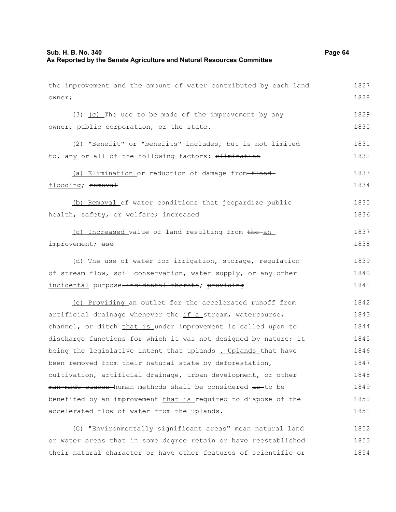| the improvement and the amount of water contributed by each land | 1827 |
|------------------------------------------------------------------|------|
| owner;                                                           | 1828 |
| $(3)$ (c) The use to be made of the improvement by any           | 1829 |
| owner, public corporation, or the state.                         | 1830 |
| (2) "Benefit" or "benefits" includes, but is not limited         | 1831 |
| to, any or all of the following factors: elimination             | 1832 |
| (a) Elimination or reduction of damage from-flood-               | 1833 |
| flooding; removal                                                | 1834 |
| (b) Removal of water conditions that jeopardize public           | 1835 |
| health, safety, or welfare; increased                            | 1836 |
| (c) Increased value of land resulting from the an                | 1837 |
| improvement; use                                                 | 1838 |
| (d) The use of water for irrigation, storage, regulation         | 1839 |
| of stream flow, soil conservation, water supply, or any other    | 1840 |
| incidental purpose-incidental thereto; providing                 | 1841 |
| (e) Providing an outlet for the accelerated runoff from          | 1842 |
| artificial drainage whenever the if a stream, watercourse,       | 1843 |
| channel, or ditch that is under improvement is called upon to    | 1844 |
| discharge functions for which it was not designed-by nature; it- | 1845 |
| being the legislative intent that uplands -. Uplands that have   | 1846 |
| been removed from their natural state by deforestation,          | 1847 |
| cultivation, artificial drainage, urban development, or other    | 1848 |
| man-made causes human methods shall be considered as to be       | 1849 |
| benefited by an improvement that is required to dispose of the   | 1850 |
| accelerated flow of water from the uplands.                      | 1851 |
| (G) "Environmentally significant areas" mean natural land        | 1852 |

or water areas that in some degree retain or have reestablished their natural character or have other features of scientific or 1853 1854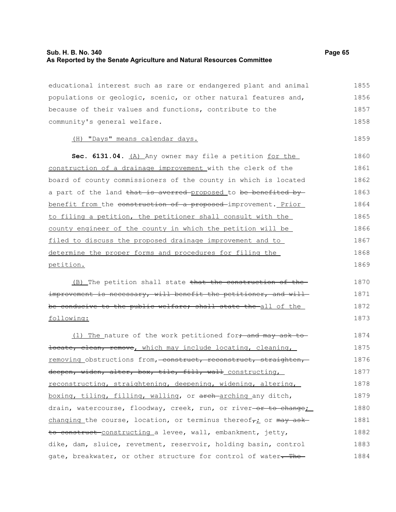# **Sub. H. B. No. 340 Page 65 As Reported by the Senate Agriculture and Natural Resources Committee**

| educational interest such as rare or endangered plant and animal              | 1855 |
|-------------------------------------------------------------------------------|------|
| populations or geologic, scenic, or other natural features and,               | 1856 |
| because of their values and functions, contribute to the                      | 1857 |
| community's general welfare.                                                  | 1858 |
| (H) "Days" means calendar days.                                               | 1859 |
| Sec. 6131.04. (A) Any owner may file a petition for the                       | 1860 |
| construction of a drainage improvement with the clerk of the                  | 1861 |
| board of county commissioners of the county in which is located               | 1862 |
| a part of the land that is averred proposed to be benefited by                | 1863 |
| benefit from the construction of a proposed-improvement. Prior                | 1864 |
| to filing a petition, the petitioner shall consult with the                   | 1865 |
| county engineer of the county in which the petition will be                   | 1866 |
| filed to discuss the proposed drainage improvement and to                     | 1867 |
| determine the proper forms and procedures for filing the                      | 1868 |
| petition.                                                                     | 1869 |
| (B) The petition shall state that the construction of the                     | 1870 |
| improvement is necessary, will benefit the petitioner, and will-              | 1871 |
| be conducive to the public welfare; shall state the all of the                | 1872 |
| following:                                                                    | 1873 |
| (1) The nature of the work petitioned for, and may ask to                     | 1874 |
| locate, clean, remove, which may include locating, cleaning,                  | 1875 |
| removing obstructions from, construct, reconstruct, straighten,               | 1876 |
| deepen, widen, alter, box, tile, fill, wall_constructing,                     | 1877 |
| reconstructing, straightening, deepening, widening, altering,                 | 1878 |
| boxing, tiling, filling, walling, or arch-arching any ditch,                  | 1879 |
| drain, watercourse, floodway, creek, run, or river-or to change;              | 1880 |
| changing the course, location, or terminus thereof <sub>7</sub> : or may ask- | 1881 |
| to construct constructing a levee, wall, embankment, jetty,                   | 1882 |
| dike, dam, sluice, revetment, reservoir, holding basin, control               | 1883 |
| gate, breakwater, or other structure for control of water-The-                | 1884 |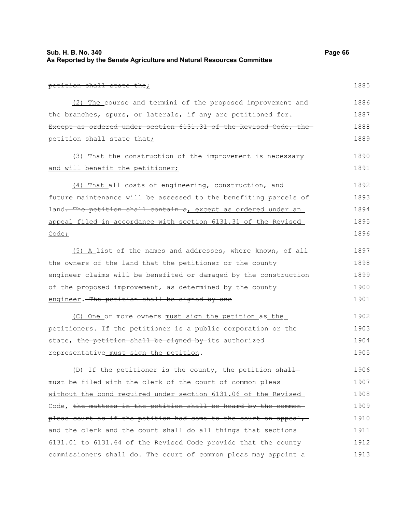| Sub. H. B. No. 340                                                    | Page 66 |
|-----------------------------------------------------------------------|---------|
| As Reported by the Senate Agriculture and Natural Resources Committee |         |

|  | n<br>ı | Ο<br>ı | и |  |
|--|--------|--------|---|--|

petition shall state the; (2) The course and termini of the proposed improvement and the branches, spurs, or laterals, if any are petitioned for-Except as ordered under section 6131.31 of the Revised Code, the petition shall state that; (3) That the construction of the improvement is necessary and will benefit the petitioner; (4) That all costs of engineering, construction, and future maintenance will be assessed to the benefiting parcels of land. The petition shall contain a, except as ordered under an appeal filed in accordance with section 6131.31 of the Revised Code; (5) A list of the names and addresses, where known, of all the owners of the land that the petitioner or the county engineer claims will be benefited or damaged by the construction of the proposed improvement, as determined by the county engineer. The petition shall be signed by one (C) One or more owners must sign the petition as the petitioners. If the petitioner is a public corporation or the state, the petition shall be signed by-its authorized representative must sign the petition. (D) If the petitioner is the county, the petition shall must be filed with the clerk of the court of common pleas without the bond required under section 6131.06 of the Revised Code, the matters in the petition shall be heard by the common-1885 1886 1887 1888 1889 1890 1891 1892 1893 1894 1895 1896 1897 1898 1899 1900 1901 1902 1903 1904 1905 1906 1907 1908 1909

pleas court as if the petition had come to the court on appeal, and the clerk and the court shall do all things that sections 6131.01 to 6131.64 of the Revised Code provide that the county commissioners shall do. The court of common pleas may appoint a 1910 1911 1912 1913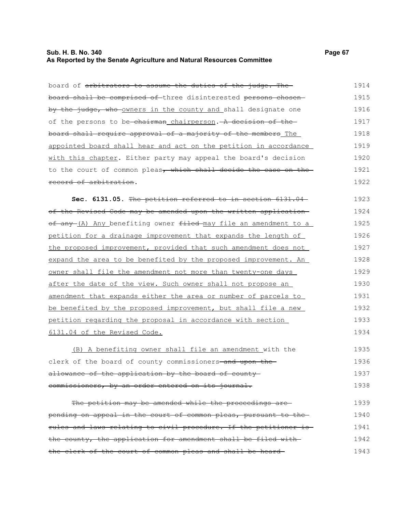### **Sub. H. B. No. 340 Page 67 As Reported by the Senate Agriculture and Natural Resources Committee**

| board of arbitrators to assume the duties of the judge. The      | 1914 |
|------------------------------------------------------------------|------|
| board shall be comprised of three disinterested persons chosen-  | 1915 |
| by the judge, who owners in the county and shall designate one   | 1916 |
| of the persons to be-chairman chairperson. - A decision of the-  | 1917 |
| board shall require approval of a majority of the members The    | 1918 |
| appointed board shall hear and act on the petition in accordance | 1919 |
| with this chapter. Either party may appeal the board's decision  | 1920 |
| to the court of common pleas, which shall decide the case on the | 1921 |
| record of arbitration.                                           | 1922 |
| Sec. 6131.05. The petition referred to in section 6131.04-       | 1923 |
| of the Revised Code may be amended upon the written application- | 1924 |
| of any (A) Any benefiting owner filed may file an amendment to a | 1925 |
| petition for a drainage improvement that expands the length of   | 1926 |
| the proposed improvement, provided that such amendment does not  | 1927 |
| expand the area to be benefited by the proposed improvement. An  | 1928 |
| owner shall file the amendment not more than twenty-one days     | 1929 |
| after the date of the view. Such owner shall not propose an      | 1930 |
| amendment that expands either the area or number of parcels to   | 1931 |
| be benefited by the proposed improvement, but shall file a new   | 1932 |
| petition regarding the proposal in accordance with section       | 1933 |
| 6131.04 of the Revised Code.                                     | 1934 |
| (B) A benefiting owner shall file an amendment with the          | 1935 |
| clerk of the board of county commissioners-and upon the-         | 1936 |
| allowance of the application by the board of county-             | 1937 |
| commissioners, by an order entered on its journal.               | 1938 |

The petition may be amended while the proceedings arepending on appeal in the court of common pleas, pursuant to the rules and laws relating to civil procedure. If the petitioner is the county, the application for amendment shall be filed with the clerk of the court of common pleas and shall be heard 1939 1940 1941 1942 1943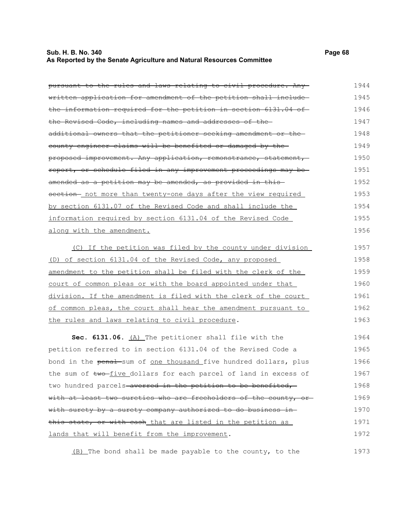#### **Sub. H. B. No. 340 Page 68 As Reported by the Senate Agriculture and Natural Resources Committee**

pursuant to the rules and laws relating to civil procedure. Any written application for amendment of the petition shall include the information required for the petition in section 6131.04 of the Revised Code, including names and addresses of the additional owners that the petitioner seeking amendment or the county engineer claims will be benefited or damaged by the proposed improvement. Any application, remonstrance, statement, report, or schedule filed in any improvement proceedings may be amended as a petition may be amended, as provided in this section - not more than twenty-one days after the view required by section 6131.07 of the Revised Code and shall include the 1944 1945 1946 1947 1948 1949 1950 1951 1952 1953 1954

information required by section 6131.04 of the Revised Code along with the amendment. 1955 1956

(C) If the petition was filed by the county under division (D) of section 6131.04 of the Revised Code, any proposed amendment to the petition shall be filed with the clerk of the court of common pleas or with the board appointed under that division. If the amendment is filed with the clerk of the court of common pleas, the court shall hear the amendment pursuant to the rules and laws relating to civil procedure. 1957 1958 1959 1960 1961 1962 1963

Sec. 6131.06. (A) The petitioner shall file with the petition referred to in section 6131.04 of the Revised Code a bond in the penal sum of one thousand five hundred dollars, plus the sum of two-five dollars for each parcel of land in excess of two hundred parcels averred in the petition to be benefited, with at least two sureties who are freeholders of the county, orwith surety by a surety company authorized to do business in this state, or with cash that are listed in the petition as lands that will benefit from the improvement. 1964 1965 1966 1967 1968 1969 1970 1971 1972

(B) The bond shall be made payable to the county, to the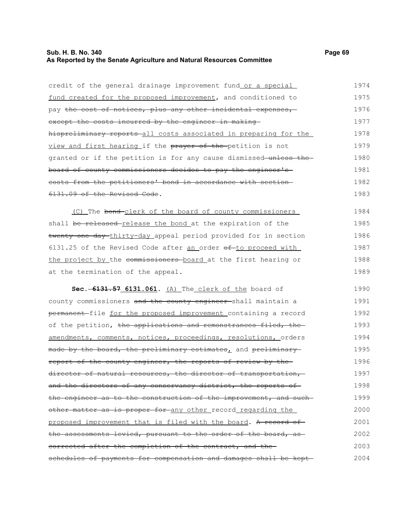# **Sub. H. B. No. 340 Page 69 As Reported by the Senate Agriculture and Natural Resources Committee**

| credit of the general drainage improvement fund or a special            | 1974 |
|-------------------------------------------------------------------------|------|
| fund created for the proposed improvement, and conditioned to           | 1975 |
| pay <del>the cost of notices, plus any other incidental expenses,</del> | 1976 |
| except the costs incurred by the engineer in making                     | 1977 |
| hispreliminary reports all costs associated in preparing for the        | 1978 |
| view and first hearing if the prayer of the-petition is not             | 1979 |
| granted or if the petition is for any cause dismissed unless the        | 1980 |
| board of county commissioners decides to pay the engineer's             | 1981 |
| costs from the petitioners' bond in accordance with section-            | 1982 |
| 6131.09 of the Revised Code.                                            | 1983 |
| (C) The bond-clerk of the board of county commissioners                 | 1984 |
| shall be released release the bond at the expiration of the             | 1985 |
| twenty-one day-thirty-day appeal period provided for in section         | 1986 |
| 6131.25 of the Revised Code after an order of-to proceed with           | 1987 |
| the project by the commissioners board at the first hearing or          | 1988 |
| at the termination of the appeal.                                       | 1989 |
| Sec. -6131.57 6131.061. (A) The clerk of the board of                   | 1990 |
| county commissioners and the county engineer-shall maintain a           | 1991 |
| permanent-file for the proposed improvement containing a record         | 1992 |
| of the petition, the applications and remonstrances filed, the          | 1993 |
| amendments, comments, notices, proceedings, resolutions, orders         | 1994 |
| made by the board, the preliminary estimates, and preliminary           | 1995 |
| report of the county engineer, the reports of review by the             | 1996 |
| director of natural resources, the director of transportation,          | 1997 |
| and the directors of any conservancy district, the reports of           | 1998 |
| the engineer as to the construction of the improvement, and such        | 1999 |
| other matter as is proper for any other record regarding the            | 2000 |
| proposed improvement that is filed with the board. A record of          | 2001 |
| the assessments levied, pursuant to the order of the board, as          | 2002 |
| corrected after the completion of the contract, and the                 | 2003 |
| schedules of payments for compensation and damages shall be kept-       | 2004 |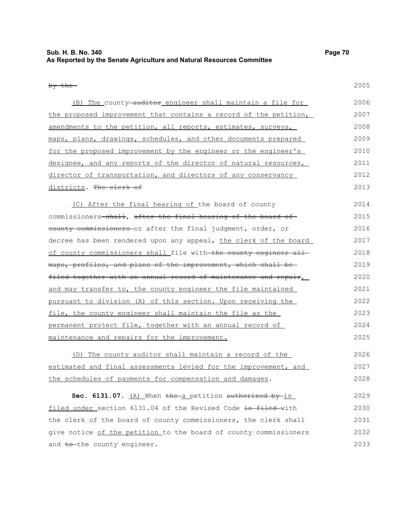### **Sub. H. B. No. 340 Page 70 As Reported by the Senate Agriculture and Natural Resources Committee**

#### by the

2005

| (B) The county <del>-auditor</del> engineer shall maintain a file for | 2006 |
|-----------------------------------------------------------------------|------|
| the proposed improvement that contains a record of the petition,      | 2007 |
| amendments to the petition, all reports, estimates, surveys,          | 2008 |
| maps, plans, drawings, schedules, and other documents prepared        | 2009 |
| for the proposed improvement by the engineer or the engineer's        | 2010 |
| designee, and any reports of the director of natural resources,       | 2011 |
| director of transportation, and directors of any conservancy          | 2012 |
| districts. <del>The clerk of</del>                                    | 2013 |
|                                                                       |      |

(C) After the final hearing of the board of county commissioners-shall, after the final hearing of the board of county commissioners or after the final judgment, order, or decree has been rendered upon any appeal, the clerk of the board of county commissioners shall file with the county engineer all maps, profiles, and plans of the improvement, which shall be filed together with an annual record of maintenance and repair, and may transfer to, the county engineer the file maintained pursuant to division (A) of this section. Upon receiving the file, the county engineer shall maintain the file as the permanent project file, together with an annual record of maintenance and repairs for the improvement. 2014 2015 2016 2017 2018 2019 2020 2021 2022 2023 2024 2025

(D) The county auditor shall maintain a record of the estimated and final assessments levied for the improvement, and the schedules of payments for compensation and damages. 2026 2027 2028

**Sec. 6131.07.** (A) When the a petition authorized by is filed under section 6131.04 of the Revised Code is filed with the clerk of the board of county commissioners, the clerk shall give notice of the petition to the board of county commissioners and to-the county engineer. 2029 2030 2031 2032 2033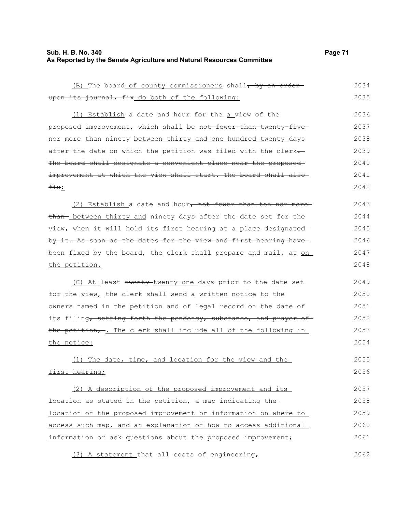# **Sub. H. B. No. 340 Page 71 As Reported by the Senate Agriculture and Natural Resources Committee**

| (B) The board of county commissioners shall, by an order-        | 2034 |
|------------------------------------------------------------------|------|
| upon its journal, fix do both of the following:                  | 2035 |
| (1) Establish a date and hour for the a view of the              | 2036 |
| proposed improvement, which shall be not fewer than twenty-five- | 2037 |
| nor more than ninety between thirty and one hundred twenty days  | 2038 |
| after the date on which the petition was filed with the clerk-   | 2039 |
| The board shall designate a convenient place near the proposed   | 2040 |
| improvement at which the view shall start. The board shall also- | 2041 |
| $fix_{L}$                                                        | 2042 |
| (2) Establish a date and hour, not fewer than ten nor more       | 2043 |
| than- between thirty and ninety days after the date set for the  | 2044 |
| view, when it will hold its first hearing at a place designated  | 2045 |
| by it. As soon as the dates for the view and first hearing have  | 2046 |
| been fixed by the board, the clerk shall prepare and mail, at on | 2047 |
| the petition.                                                    | 2048 |
|                                                                  |      |
| (C) At least twenty-twenty-one days prior to the date set        | 2049 |
| for the view, the clerk shall send a written notice to the       | 2050 |
| owners named in the petition and of legal record on the date of  | 2051 |
| its filing, setting forth the pendency, substance, and prayer of | 2052 |
| the petition, . The clerk shall include all of the following in  | 2053 |
| the notice:                                                      | 2054 |
| (1) The date, time, and location for the view and the            | 2055 |
| first hearing;                                                   | 2056 |
|                                                                  |      |
| (2) A description of the proposed improvement and its            | 2057 |
| location as stated in the petition, a map indicating the         | 2058 |
| location of the proposed improvement or information on where to  | 2059 |
| access such map, and an explanation of how to access additional  | 2060 |
| information or ask questions about the proposed improvement;     | 2061 |
|                                                                  |      |

(3) A statement that all costs of engineering, 2062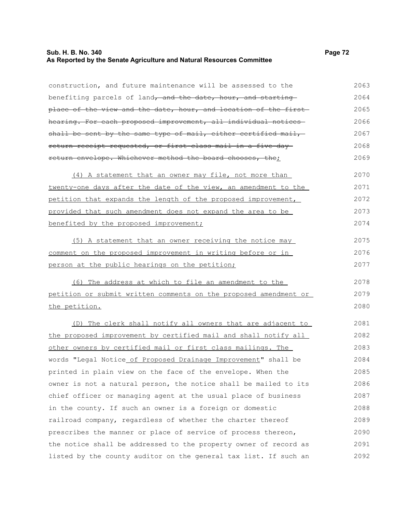#### **Sub. H. B. No. 340 Page 72 As Reported by the Senate Agriculture and Natural Resources Committee**

construction, and future maintenance will be assessed to the benefiting parcels of land, and the date, hour, and starting place of the view and the date, hour, and location of the first hearing. For each proposed improvement, all individual notices shall be sent by the same type of mail, either certified mail, return receipt requested, or first-class mail in a five-day return envelope. Whichever method the board chooses, the; (4) A statement that an owner may file, not more than twenty-one days after the date of the view, an amendment to the petition that expands the length of the proposed improvement, provided that such amendment does not expand the area to be benefited by the proposed improvement; (5) A statement that an owner receiving the notice may comment on the proposed improvement in writing before or in person at the public hearings on the petition; (6) The address at which to file an amendment to the petition or submit written comments on the proposed amendment or the petition. (D) The clerk shall notify all owners that are adjacent to the proposed improvement by certified mail and shall notify all other owners by certified mail or first class mailings. The words "Legal Notice of Proposed Drainage Improvement" shall be printed in plain view on the face of the envelope. When the owner is not a natural person, the notice shall be mailed to its chief officer or managing agent at the usual place of business in the county. If such an owner is a foreign or domestic railroad company, regardless of whether the charter thereof 2063 2064 2065 2066 2067 2068 2069 2070 2071 2072 2073 2074 2075 2076 2077 2078 2079 2080 2081 2082 2083 2084 2085 2086 2087 2088 2089

prescribes the manner or place of service of process thereon, the notice shall be addressed to the property owner of record as listed by the county auditor on the general tax list. If such an 2090 2091 2092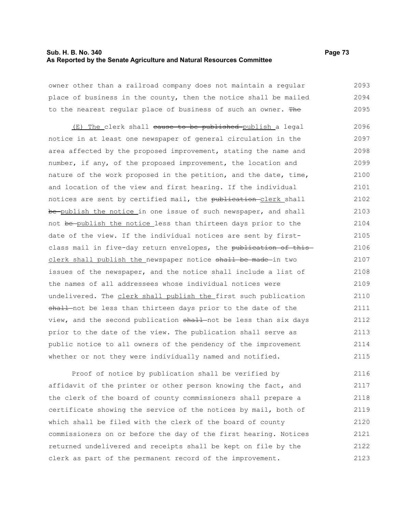#### **Sub. H. B. No. 340 Page 73 As Reported by the Senate Agriculture and Natural Resources Committee**

owner other than a railroad company does not maintain a regular place of business in the county, then the notice shall be mailed to the nearest regular place of business of such an owner. The 2093 2094 2095

(E) The clerk shall cause to be published publish a legal notice in at least one newspaper of general circulation in the area affected by the proposed improvement, stating the name and number, if any, of the proposed improvement, the location and nature of the work proposed in the petition, and the date, time, and location of the view and first hearing. If the individual notices are sent by certified mail, the publication-clerk shall be-publish the notice in one issue of such newspaper, and shall not be publish the notice less than thirteen days prior to the date of the view. If the individual notices are sent by firstclass mail in five-day return envelopes, the publication of this clerk shall publish the newspaper notice shall be made in two issues of the newspaper, and the notice shall include a list of the names of all addressees whose individual notices were undelivered. The clerk shall publish the first such publication shall not be less than thirteen days prior to the date of the view, and the second publication shall not be less than six days prior to the date of the view. The publication shall serve as public notice to all owners of the pendency of the improvement whether or not they were individually named and notified. 2096 2097 2098 2099 2100 2101 2102 2103 2104 2105 2106 2107 2108 2109 2110 2111 2112 2113 2114 2115

Proof of notice by publication shall be verified by affidavit of the printer or other person knowing the fact, and the clerk of the board of county commissioners shall prepare a certificate showing the service of the notices by mail, both of which shall be filed with the clerk of the board of county commissioners on or before the day of the first hearing. Notices returned undelivered and receipts shall be kept on file by the clerk as part of the permanent record of the improvement. 2116 2117 2118 2119 2120 2121 2122 2123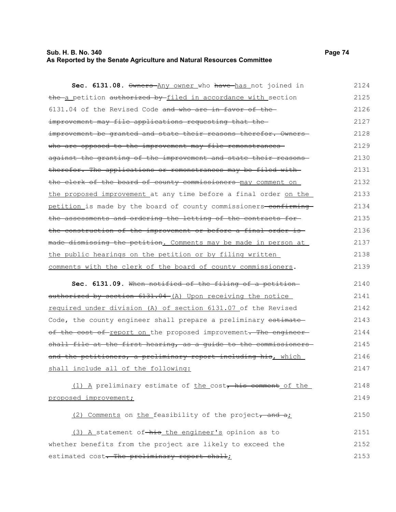# **As Reported by the Senate Agriculture and Natural Resources Committee**

**Sec. 6131.08.**  $\theta$ wners Any owner who have has not joined in the a petition authorized by filed in accordance with section 6131.04 of the Revised Code and who are in favor of the improvement may file applications requesting that the improvement be granted and state their reasons therefor. Ownerswho are opposed to the improvement may file remonstrancesagainst the granting of the improvement and state their reasons therefor. The applications or remonstrances may be filed with the clerk of the board of county commissioners may comment on the proposed improvement at any time before a final order on the petition is made by the board of county commissioners-confirmingthe assessments and ordering the letting of the contracts for the construction of the improvement or before a final order is made dismissing the petition. Comments may be made in person at the public hearings on the petition or by filing written comments with the clerk of the board of county commissioners. 2124 2125 2126 2127 2128 2129 2130 2131 2132 2133 2134 2135 2136 2137 2138 2139

**Sec. 6131.09.** When notified of the filing of a petition authorized by section 6131.04 (A) Upon receiving the notice required under division (A) of section 6131.07 of the Revised Code, the county engineer shall prepare a preliminary estimate of the cost of report on the proposed improvement. The engineer shall file at the first hearing, as a quide to the commissionersand the petitioners, a preliminary report including his, which shall include all of the following: 2140 2141 2142 2143 2144 2145 2146 2147

| (1) A preliminary estimate of the $costr$ his comment of the | 2148 |
|--------------------------------------------------------------|------|
| proposed improvement;                                        | 2149 |
| (2) Comments on the feasibility of the project, and a;       | 2150 |
| (3) A statement of-his the engineer's opinion as to          | 2151 |
| whether benefits from the project are likely to exceed the   | 2152 |

estimated cost. The preliminary report shall;

 $2148$ 

2153

# **Sub. H. B. No. 340 Page 74**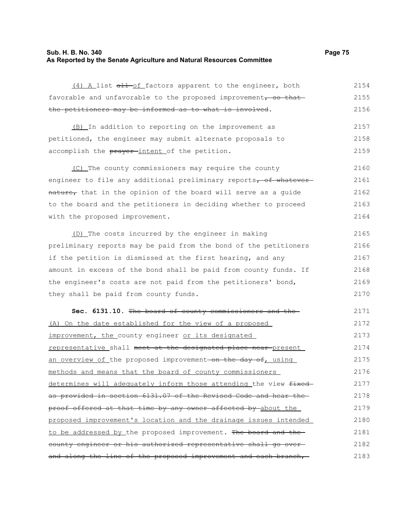## **Sub. H. B. No. 340 Page 75 As Reported by the Senate Agriculture and Natural Resources Committee**

| (4) A list all of factors apparent to the engineer, both          | 2154 |
|-------------------------------------------------------------------|------|
| favorable and unfavorable to the proposed improvement, so that    | 2155 |
| the petitioners may be informed as to what is involved.           | 2156 |
| (B) In addition to reporting on the improvement as                | 2157 |
| petitioned, the engineer may submit alternate proposals to        | 2158 |
| accomplish the prayer-intent of the petition.                     | 2159 |
| (C) The county commissioners may require the county               | 2160 |
| engineer to file any additional preliminary reports, of whatever  | 2161 |
| nature, that in the opinion of the board will serve as a guide    | 2162 |
| to the board and the petitioners in deciding whether to proceed   | 2163 |
| with the proposed improvement.                                    | 2164 |
| (D) The costs incurred by the engineer in making                  | 2165 |
| preliminary reports may be paid from the bond of the petitioners  | 2166 |
| if the petition is dismissed at the first hearing, and any        | 2167 |
| amount in excess of the bond shall be paid from county funds. If  | 2168 |
| the engineer's costs are not paid from the petitioners' bond,     | 2169 |
| they shall be paid from county funds.                             | 2170 |
| Sec. 6131.10. The board of county commissioners and the           | 2171 |
| (A) On the date established for the view of a proposed            | 2172 |
| improvement, the county engineer or its designated                | 2173 |
| representative shall meet at the designated place near present    | 2174 |
| an overview of the proposed improvement on the day of, using      | 2175 |
| methods and means that the board of county commissioners          | 2176 |
| determines will adequately inform those attending the view fixed- | 2177 |
| as provided in section 6131.07 of the Revised Code and hear the   | 2178 |
| proof offered at that time by any owner affected by about the     | 2179 |
| proposed improvement's location and the drainage issues intended  | 2180 |
|                                                                   | 0101 |

to be addressed by the proposed improvement. The board and thecounty engineer or his authorized representative shall go over and along the line of the proposed improvement and each branch,-2181 2182 2183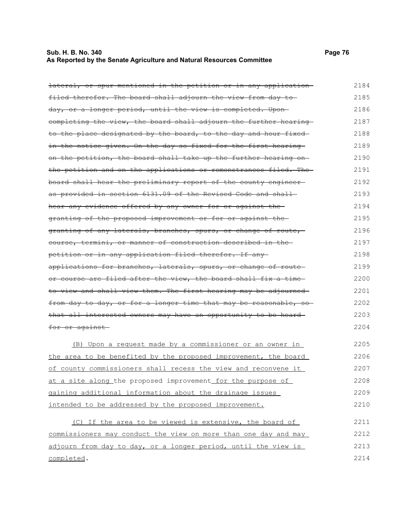## **Sub. H. B. No. 340 Page 76 As Reported by the Senate Agriculture and Natural Resources Committee**

| <del>lateral, or spur mentioned in the petition or in any application</del> | 2184 |
|-----------------------------------------------------------------------------|------|
| filed therefor. The board shall adjourn the view from day to                | 2185 |
| day, or a longer period, until the view is completed. Upon-                 | 2186 |
| completing the view, the board shall adjourn the further hearing            | 2187 |
| to the place designated by the board, to the day and hour fixed             | 2188 |
| in the notice given. On the day so fixed for the first hearing              | 2189 |
| on the petition, the board shall take up the further hearing on-            | 2190 |
| the petition and on the applications or remonstrances filed. The            | 2191 |
| board shall hear the preliminary report of the county engineer              | 2192 |
| as provided in section 6131.09 of the Revised Code and shall                | 2193 |
| hear any evidence offered by any owner for or against the                   | 2194 |
| granting of the proposed improvement or for or against the-                 | 2195 |
| granting of any laterals, branches, spurs, or change of route,              | 2196 |
| course, termini, or manner of construction described in the                 | 2197 |
| petition or in any application filed therefor. If any-                      | 2198 |
| applications for branches, laterals, spurs, or change of route-             | 2199 |
| or course are filed after the view, the board shall fix a time              | 2200 |
| to view and shall view them. The first hearing may be adjourned             | 2201 |
| from day to day, or for a longer time that may be reasonable, so            | 2202 |
| that all interested owners may have an opportunity to be heard-             | 2203 |
| for or against                                                              | 2204 |
| (B) Upon a request made by a commissioner or an owner in                    | 2205 |
| <u>the area to be benefited by the proposed improvement, the board</u>      | 2206 |
| of county commissioners shall recess the view and reconvene it              | 2207 |
| at a site along the proposed improvement for the purpose of                 | 2208 |
| gaining additional information about the drainage issues                    | 2209 |
| intended to be addressed by the proposed improvement.                       | 2210 |
| (C) If the area to be viewed is extensive, the board of                     | 2211 |
| commissioners may conduct the view on more than one day and may             | 2212 |
| adjourn from day to day, or a longer period, until the view is              | 2213 |
| completed.                                                                  | 2214 |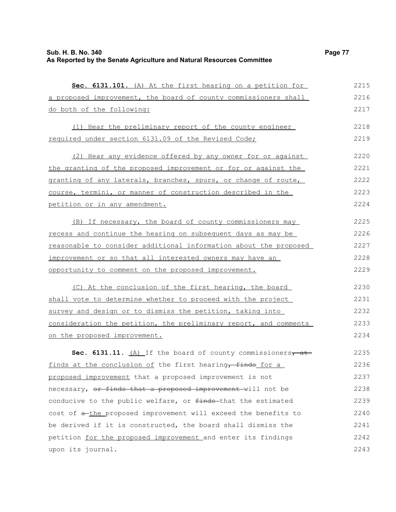## **Sub. H. B. No. 340 Page 77 As Reported by the Senate Agriculture and Natural Resources Committee**

 **Sec. 6131.101.** (A) At the first hearing on a petition for a proposed improvement, the board of county commissioners shall do both of the following: (1) Hear the preliminary report of the county engineer required under section 6131.09 of the Revised Code;

(2) Hear any evidence offered by any owner for or against the granting of the proposed improvement or for or against the granting of any laterals, branches, spurs, or change of route, course, termini, or manner of construction described in the petition or in any amendment. 2220 2221 2222 2223 2224

(B) If necessary, the board of county commissioners may recess and continue the hearing on subsequent days as may be reasonable to consider additional information about the proposed improvement or so that all interested owners may have an opportunity to comment on the proposed improvement. 2225 2226 2227 2228 2229

(C) At the conclusion of the first hearing, the board shall vote to determine whether to proceed with the project survey and design or to dismiss the petition, taking into consideration the petition, the preliminary report, and comments on the proposed improvement. 2230 2231 2232 2233 2234

**Sec. 6131.11.** (A) If the board of county commissioners, at finds at the conclusion of the first hearing, finds for a proposed improvement that a proposed improvement is not necessary, or finds that a proposed improvement will not be conducive to the public welfare, or finds that the estimated cost of  $\frac{a - b}{c}$  proposed improvement will exceed the benefits to be derived if it is constructed, the board shall dismiss the petition for the proposed improvement and enter its findings upon its journal. 2235 2236 2237 2238 2239 2240 2241 2242 2243

2215 2216 2217

2218 2219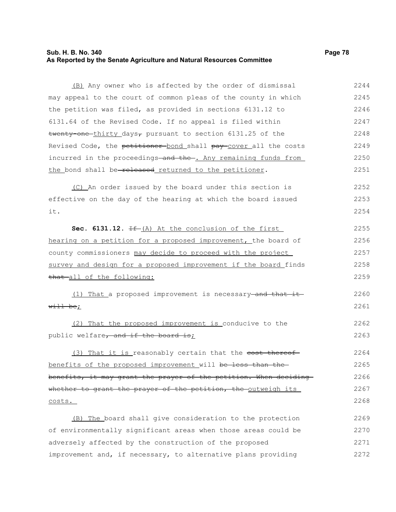## **Sub. H. B. No. 340 Page 78 As Reported by the Senate Agriculture and Natural Resources Committee**

(B) Any owner who is affected by the order of dismissal may appeal to the court of common pleas of the county in which the petition was filed, as provided in sections 6131.12 to 6131.64 of the Revised Code. If no appeal is filed within twenty-one-thirty days<sub> $\tau$ </sub> pursuant to section 6131.25 of the Revised Code, the petitioner bond shall pay cover all the costs incurred in the proceedings and the . Any remaining funds from the bond shall be-released returned to the petitioner. (C) An order issued by the board under this section is 2244 2245 2246 2247 2248 2249 2250 2251 2252

effective on the day of the hearing at which the board issued it. 2253 2254

**Sec. 6131.12.** If (A) At the conclusion of the first hearing on a petition for a proposed improvement, the board of county commissioners may decide to proceed with the project survey and design for a proposed improvement if the board finds that all of the following: 2255 2256 2257 2258 2259

(1) That a proposed improvement is necessary and that it  $with$  be; 2260 2261

(2) That the proposed improvement is conducive to the public welfare, and if the board is; 2262 2263

(3) That it is reasonably certain that the <del>cost thereof</del> benefits of the proposed improvement will be less than the benefits, it may grant the prayer of the petition. When deciding whether to grant the prayer of the petition, the outweigh its costs. 2264 2265 2266 2267 2268

(B) The board shall give consideration to the protection of environmentally significant areas when those areas could be adversely affected by the construction of the proposed improvement and, if necessary, to alternative plans providing 2269 2270 2271 2272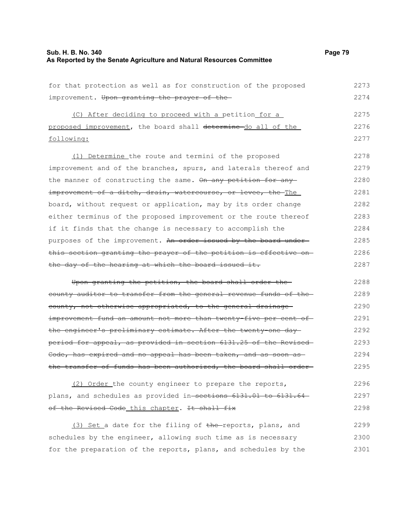## **Sub. H. B. No. 340 Page 79 As Reported by the Senate Agriculture and Natural Resources Committee**

2298

| for that protection as well as for construction of the proposed   | 2273 |
|-------------------------------------------------------------------|------|
| improvement. Upon granting the prayer of the                      | 2274 |
| (C) After deciding to proceed with a petition for a               | 2275 |
| proposed improvement, the board shall determine do all of the     | 2276 |
| following:                                                        | 2277 |
|                                                                   |      |
| (1) Determine the route and termini of the proposed               | 2278 |
| improvement and of the branches, spurs, and laterals thereof and  | 2279 |
| the manner of constructing the same. On any petition for any      | 2280 |
| improvement of a ditch, drain, watercourse, or levee, the The     | 2281 |
| board, without request or application, may by its order change    | 2282 |
| either terminus of the proposed improvement or the route thereof  | 2283 |
| if it finds that the change is necessary to accomplish the        | 2284 |
| purposes of the improvement. An order issued by the board under-  | 2285 |
| this section granting the prayer of the petition is effective on- | 2286 |
| the day of the hearing at which the board issued it.              | 2287 |
| Upon granting the petition, the board shall order the             | 2288 |
| county auditor to transfer from the general revenue funds of the  | 2289 |
| eounty, not otherwise appropriated, to the general drainage-      | 2290 |
| improvement fund an amount not more than twenty-five per cent of- | 2291 |
| the engineer's preliminary estimate. After the twenty-one day-    | 2292 |
| period for appeal, as provided in section 6131.25 of the Revised  | 2293 |
| Code, has expired and no appeal has been taken, and as soon as    | 2294 |
| the transfer of funds has been authorized, the board shall order- | 2295 |
| (2) Order the county engineer to prepare the reports,             | 2296 |
| plans, and schedules as provided in-sections 6131.01 to 6131.64-  | 2297 |

of the Revised Code this chapter. It shall fix

(3) Set a date for the filing of the reports, plans, and schedules by the engineer, allowing such time as is necessary for the preparation of the reports, plans, and schedules by the 2299 2300 2301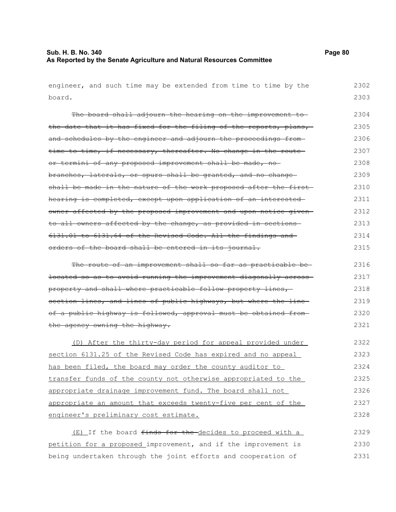# **Sub. H. B. No. 340 Page 80 As Reported by the Senate Agriculture and Natural Resources Committee**

| engineer, and such time may be extended from time to time by the  | 2302 |
|-------------------------------------------------------------------|------|
| board.                                                            | 2303 |
| The board shall adjourn the hearing on the improvement to-        | 2304 |
| the date that it has fixed for the filing of the reports, plans,  | 2305 |
| and schedules by the engineer and adjourn the proceedings from-   | 2306 |
| time to time, if necessary, thereafter. No change in the route-   | 2307 |
| or termini of any proposed improvement shall be made, no          | 2308 |
| branches, laterals, or spurs shall be granted, and no change-     | 2309 |
| shall be made in the nature of the work proposed after the first  | 2310 |
| hearing is completed, except upon application of an interested-   | 2311 |
| owner affected by the proposed improvement and upon notice given  | 2312 |
| to all owners affected by the change, as provided in sections     | 2313 |
| 6131.01 to 6131.64 of the Revised Code. All the findings and      | 2314 |
| orders of the board shall be entered in its journal.              | 2315 |
| The route of an improvement shall so far as practicable be-       | 2316 |
| located so as to avoid running the improvement diagonally across- | 2317 |
| property and shall where practicable follow property lines,       | 2318 |
| section lines, and lines of public highways, but where the line   | 2319 |
| of a public highway is followed, approval must be obtained from-  | 2320 |
| the agency owning the highway.                                    | 2321 |
| (D) After the thirty-day period for appeal provided under         | 2322 |
| section 6131.25 of the Revised Code has expired and no appeal     | 2323 |
| has been filed, the board may order the county auditor to         | 2324 |
| transfer funds of the county not otherwise appropriated to the    | 2325 |
| appropriate drainage improvement fund. The board shall not        | 2326 |
| appropriate an amount that exceeds twenty-five per cent of the    | 2327 |
| engineer's preliminary cost estimate.                             | 2328 |
| (E) If the board finds for the decides to proceed with a          | 2329 |
| petition for a proposed improvement, and if the improvement is    | 2330 |
| being undertaken through the joint efforts and cooperation of     | 2331 |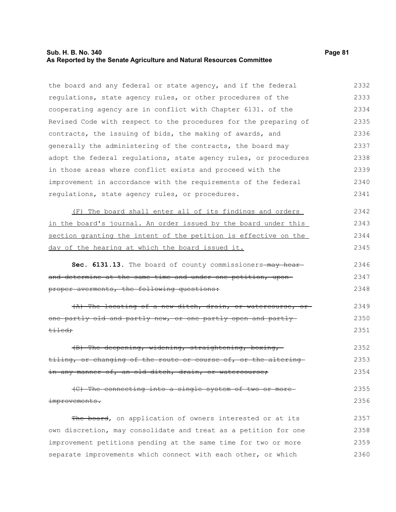#### **Sub. H. B. No. 340 Page 81 As Reported by the Senate Agriculture and Natural Resources Committee**

the board and any federal or state agency, and if the federal regulations, state agency rules, or other procedures of the cooperating agency are in conflict with Chapter 6131. of the Revised Code with respect to the procedures for the preparing of contracts, the issuing of bids, the making of awards, and generally the administering of the contracts, the board may adopt the federal regulations, state agency rules, or procedures in those areas where conflict exists and proceed with the improvement in accordance with the requirements of the federal regulations, state agency rules, or procedures. 2332 2333 2334 2335 2336 2337 2338 2339 2340 2341

(F) The board shall enter all of its findings and orders in the board's journal. An order issued by the board under this section granting the intent of the petition is effective on the day of the hearing at which the board issued it. 2342 2343 2344 2345

Sec. 6131.13. The board of county commissioners-may hearand determine at the same time and under one petition, uponproper averments, the following questions: 2346 2347 2348

(A) The locating of a new ditch, drain, or watercourse, or one partly old and partly new, or one partly open and partly tiled; 2349 2350 2351

(B) The deepening, widening, straightening, boxing, tiling, or changing of the route or course of, or the altering in any manner of, an old ditch, drain, or watercourse; 2352 2353 2354

(C) The connecting into a single system of two or more improvements. 2355 2356

The board, on application of owners interested or at its own discretion, may consolidate and treat as a petition for one improvement petitions pending at the same time for two or more separate improvements which connect with each other, or which 2357 2358 2359 2360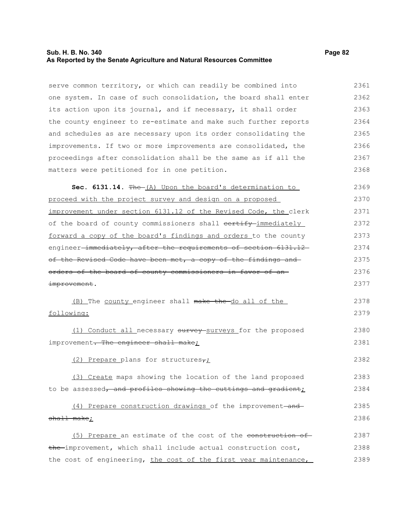## **Sub. H. B. No. 340 Page 82 As Reported by the Senate Agriculture and Natural Resources Committee**

serve common territory, or which can readily be combined into one system. In case of such consolidation, the board shall enter its action upon its journal, and if necessary, it shall order the county engineer to re-estimate and make such further reports and schedules as are necessary upon its order consolidating the improvements. If two or more improvements are consolidated, the proceedings after consolidation shall be the same as if all the matters were petitioned for in one petition. Sec. 6131.14. The (A) Upon the board's determination to proceed with the project survey and design on a proposed improvement under section 6131.12 of the Revised Code, the clerk of the board of county commissioners shall contify immediately forward a copy of the board's findings and orders to the county engineer-immediately, after the requirements of section 6131.12of the Revised Code have been met, a copy of the findings and orders of the board of county commissioners in favor of an improvement. (B) The county engineer shall make the do all of the following: (1) Conduct all necessary survey surveys for the proposed improvement. The engineer shall make; (2) Prepare plans for structures $\tau_L$ (3) Create maps showing the location of the land proposed to be assessed, and profiles showing the cuttings and gradient;  $(4)$  Prepare construction drawings of the improvement-andshall make; (5) Prepare an estimate of the cost of the construction of 2361 2362 2363 2364 2365 2366 2367 2368 2369 2370 2371 2372 2373 2374 2375 2376 2377 2378 2379 2380 2381 2382 2383 2384 2385 2386 2387

the improvement, which shall include actual construction cost, the cost of engineering, the cost of the first year maintenance, 2388 2389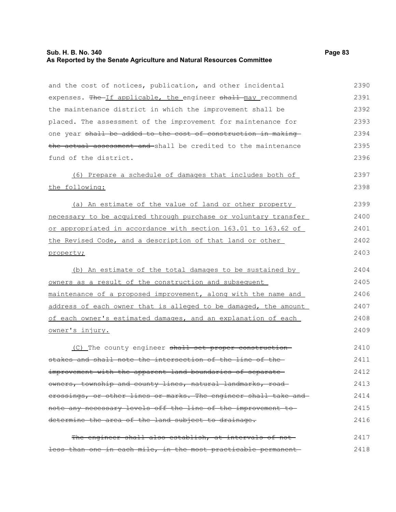## **Sub. H. B. No. 340 Page 83 As Reported by the Senate Agriculture and Natural Resources Committee**

| and the cost of notices, publication, and other incidental      | 2390 |
|-----------------------------------------------------------------|------|
| expenses. The If applicable, the engineer shall may recommend   | 2391 |
| the maintenance district in which the improvement shall be      | 2392 |
| placed. The assessment of the improvement for maintenance for   | 2393 |
| one year shall be added to the cost of construction in making   | 2394 |
| the actual assessment and-shall be credited to the maintenance  | 2395 |
| fund of the district.                                           | 2396 |
| (6) Prepare a schedule of damages that includes both of         | 2397 |
| the following:                                                  | 2398 |
| (a) An estimate of the value of land or other property          | 2399 |
| necessary to be acquired through purchase or voluntary transfer | 2400 |
| or appropriated in accordance with section 163.01 to 163.62 of  | 2401 |
| the Revised Code, and a description of that land or other       | 2402 |
| property;                                                       | 2403 |
| (b) An estimate of the total damages to be sustained by         | 2404 |
| owners as a result of the construction and subsequent           | 2405 |
| maintenance of a proposed improvement, along with the name and  | 2406 |
| address of each owner that is alleged to be damaged, the amount | 2407 |
| of each owner's estimated damages, and an explanation of each   | 2408 |
| owner's injury.                                                 | 2409 |
| (C) The county engineer shall set proper construction           | 2410 |
| stakes and shall note the intersection of the line of the-      | 2411 |
| improvement with the apparent land boundaries of separate-      | 2412 |
| owners, township and county lines, natural landmarks, road-     | 2413 |
| erossings, or other lines or marks. The engineer shall take and | 2414 |
| note any necessary levels off the line of the improvement to-   | 2415 |
| determine the area of the land subject to drainage.             | 2416 |
| The engineer shall also establish, at intervals of not-         | 2417 |
| less than one in each mile, in the most practicable permanent   | 2418 |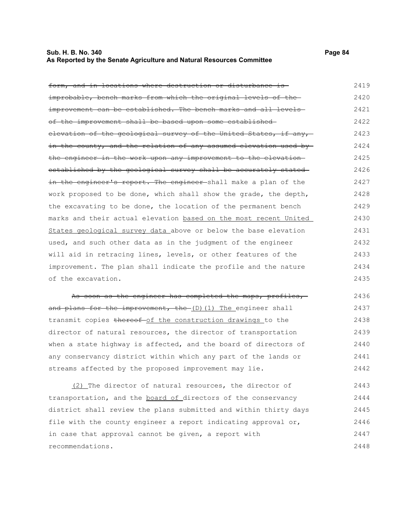#### **Sub. H. B. No. 340 Page 84 As Reported by the Senate Agriculture and Natural Resources Committee**

form, and in locations where destruction or disturbance is improbable, bench marks from which the original levels of the improvement can be established. The bench marks and all levelsof the improvement shall be based upon some established elevation of the geological survey of the United States, if any, in the county, and the relation of any assumed elevation used by the engineer in the work upon any improvement to the elevation established by the geological survey shall be accurately stated in the engineer's report. The engineer shall make a plan of the work proposed to be done, which shall show the grade, the depth, the excavating to be done, the location of the permanent bench marks and their actual elevation based on the most recent United States geological survey data above or below the base elevation used, and such other data as in the judgment of the engineer will aid in retracing lines, levels, or other features of the improvement. The plan shall indicate the profile and the nature of the excavation. 2419 2420 2421 2422 2423 2424 2425 2426 2427 2428 2429 2430 2431 2432 2433 2434 2435

As soon as the engineer has completed the maps, profiles,and plans for the improvement, the (D)(1) The engineer shall transmit copies thereof of the construction drawings to the director of natural resources, the director of transportation when a state highway is affected, and the board of directors of any conservancy district within which any part of the lands or streams affected by the proposed improvement may lie. 2436 2437 2438 2439 2440 2441 2442

(2) The director of natural resources, the director of transportation, and the board of directors of the conservancy district shall review the plans submitted and within thirty days file with the county engineer a report indicating approval or, in case that approval cannot be given, a report with recommendations. 2443 2444 2445 2446 2447 2448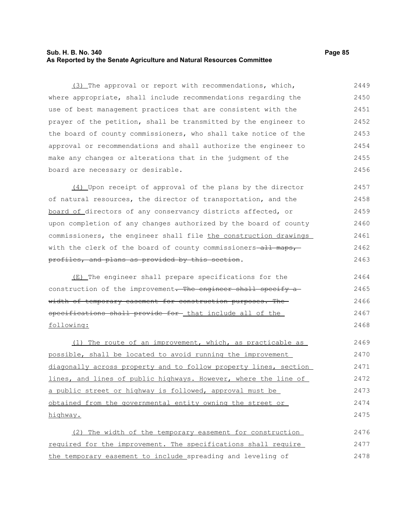## **Sub. H. B. No. 340 Page 85 As Reported by the Senate Agriculture and Natural Resources Committee**

(3) The approval or report with recommendations, which, where appropriate, shall include recommendations regarding the use of best management practices that are consistent with the prayer of the petition, shall be transmitted by the engineer to the board of county commissioners, who shall take notice of the approval or recommendations and shall authorize the engineer to make any changes or alterations that in the judgment of the board are necessary or desirable. 2449 2450 2451 2452 2453 2454 2455 2456

(4) Upon receipt of approval of the plans by the director of natural resources, the director of transportation, and the board of directors of any conservancy districts affected, or upon completion of any changes authorized by the board of county commissioners, the engineer shall file the construction drawings with the clerk of the board of county commissioners-all maps, profiles, and plans as provided by this section. 2457 2458 2459 2460 2461 2462 2463

(E) The engineer shall prepare specifications for the construction of the improvement. The engineer shall specify a width of temporary easement for construction purposes. The specifications shall provide for that include all of the following:

(1) The route of an improvement, which, as practicable as possible, shall be located to avoid running the improvement diagonally across property and to follow property lines, section lines, and lines of public highways. However, where the line of a public street or highway is followed, approval must be obtained from the governmental entity owning the street or highway. 2469 2470 2471 2472 2473 2474 2475

(2) The width of the temporary easement for construction required for the improvement. The specifications shall require the temporary easement to include spreading and leveling of 2476 2477 2478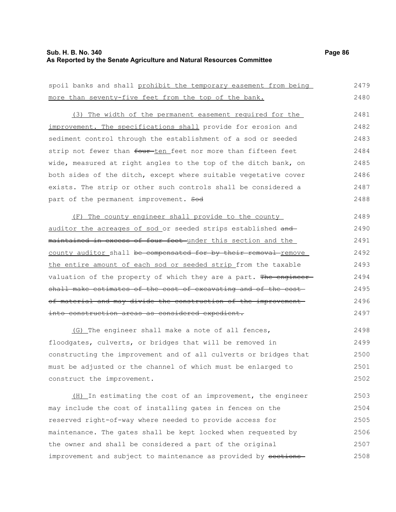## **Sub. H. B. No. 340 Page 86 As Reported by the Senate Agriculture and Natural Resources Committee**

spoil banks and shall prohibit the temporary easement from being

| more than seventy-five feet from the top of the bank.                    | 2480 |
|--------------------------------------------------------------------------|------|
| (3) The width of the permanent easement required for the                 | 2481 |
| improvement. The specifications shall provide for erosion and            | 2482 |
| sediment control through the establishment of a sod or seeded            | 2483 |
| strip not fewer than <del>four ten feet nor more than fifteen feet</del> | 2484 |
| wide, measured at right angles to the top of the ditch bank, on          | 2485 |
| both sides of the ditch, except where suitable vegetative cover          | 2486 |
| exists. The strip or other such controls shall be considered a           | 2487 |
| part of the permanent improvement. Sod                                   | 2488 |
| (F) The county engineer shall provide to the county                      | 2489 |
| auditor the acreages of sod or seeded strips established and             | 2490 |
| maintained in excess of four feet under this section and the             | 2491 |
| county auditor shall be compensated for by their removal remove          | 2492 |
| the entire amount of each sod or seeded strip from the taxable           | 2493 |

valuation of the property of which they are a part. The engineershall make estimates of the cost of excavating and of the costof material and may divide the construction of the improvement into construction areas as considered expedient. 2494 2495 2496 2497

(G) The engineer shall make a note of all fences, floodgates, culverts, or bridges that will be removed in constructing the improvement and of all culverts or bridges that must be adjusted or the channel of which must be enlarged to construct the improvement. 2498 2499 2500 2501 2502

(H) In estimating the cost of an improvement, the engineer may include the cost of installing gates in fences on the reserved right-of-way where needed to provide access for maintenance. The gates shall be kept locked when requested by the owner and shall be considered a part of the original improvement and subject to maintenance as provided by sections-2503 2504 2505 2506 2507 2508

2479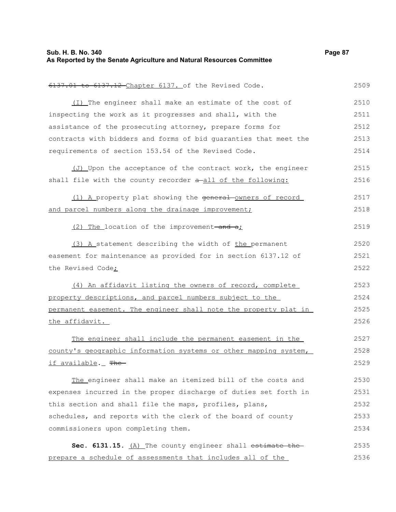## **Sub. H. B. No. 340 Page 87 As Reported by the Senate Agriculture and Natural Resources Committee**

| 6137.12 Chapter 6137. of the Revised Code.<br><del>6137.01</del> | 2509 |
|------------------------------------------------------------------|------|
| (I) The engineer shall make an estimate of the cost of           | 2510 |
| inspecting the work as it progresses and shall, with the         | 2511 |
| assistance of the prosecuting attorney, prepare forms for        | 2512 |
| contracts with bidders and forms of bid guaranties that meet the | 2513 |
| requirements of section 153.54 of the Revised Code.              | 2514 |
| (J) Upon the acceptance of the contract work, the engineer       | 2515 |
| shall file with the county recorder a-all of the following:      | 2516 |
| (1) A property plat showing the general owners of record         | 2517 |
| and parcel numbers along the drainage improvement;               | 2518 |
| (2) The location of the improvement-and a:                       | 2519 |
| (3) A statement describing the width of the permanent            | 2520 |
| easement for maintenance as provided for in section 6137.12 of   | 2521 |
| the Revised Code;                                                | 2522 |
| (4) An affidavit listing the owners of record, complete          | 2523 |
| property descriptions, and parcel numbers subject to the         | 2524 |
| permanent easement. The engineer shall note the property plat in | 2525 |
| the affidavit.                                                   | 2526 |
| The engineer shall include the permanent easement in the         | 2527 |
| county's geographic information systems or other mapping system, | 2528 |
| if available._ <del>The</del>                                    | 2529 |
| The engineer shall make an itemized bill of the costs and        | 2530 |
| expenses incurred in the proper discharge of duties set forth in | 2531 |
| this section and shall file the maps, profiles, plans,           | 2532 |
| schedules, and reports with the clerk of the board of county     | 2533 |
| commissioners upon completing them.                              | 2534 |
| Sec. 6131.15. (A) The county engineer shall estimate the         | 2535 |
| prepare a schedule of assessments that includes all of the       | 2536 |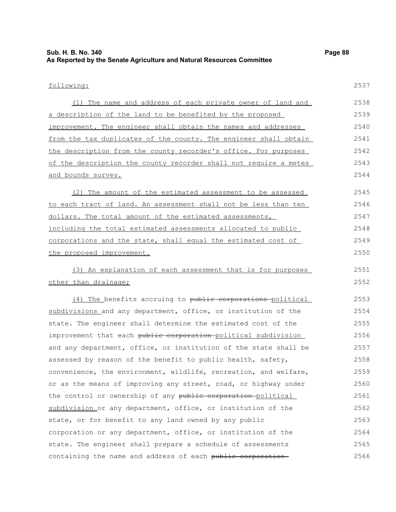# **Sub. H. B. No. 340 Page 88 As Reported by the Senate Agriculture and Natural Resources Committee**

# following:

2537

| (1) The name and address of each private owner of land and       | 2538 |
|------------------------------------------------------------------|------|
| a description of the land to be benefited by the proposed        | 2539 |
| improvement. The engineer shall obtain the names and addresses   | 2540 |
| from the tax duplicates of the county. The engineer shall obtain | 2541 |
| the description from the county recorder's office. For purposes  | 2542 |
| of the description the county recorder shall not require a metes | 2543 |
| and bounds survey.                                               | 2544 |
| (2) The amount of the estimated assessment to be assessed        | 2545 |
| to each tract of land. An assessment shall not be less than ten  | 2546 |
| dollars. The total amount of the estimated assessments,          | 2547 |
| including the total estimated assessments allocated to public    | 2548 |
| corporations and the state, shall equal the estimated cost of    | 2549 |
| the proposed improvement.                                        | 2550 |
| (3) An explanation of each assessment that is for purposes       | 2551 |
| other than drainage;                                             | 2552 |
| (4) The benefits accruing to public corporations political       | 2553 |
| subdivisions and any department, office, or institution of the   | 2554 |
| state. The engineer shall determine the estimated cost of the    | 2555 |
| improvement that each public corporation political subdivision   | 2556 |
| and any department, office, or institution of the state shall be | 2557 |
| assessed by reason of the benefit to public health, safety,      | 2558 |
| convenience, the environment, wildlife, recreation, and welfare, | 2559 |
| or as the means of improving any street, road, or highway under  | 2560 |
| the control or ownership of any public corporation-political     | 2561 |
| subdivision or any department, office, or institution of the     | 2562 |
| state, or for benefit to any land owned by any public            | 2563 |
| corporation or any department, office, or institution of the     | 2564 |
| state. The engineer shall prepare a schedule of assessments      | 2565 |
| containing the name and address of each public corporation       | 2566 |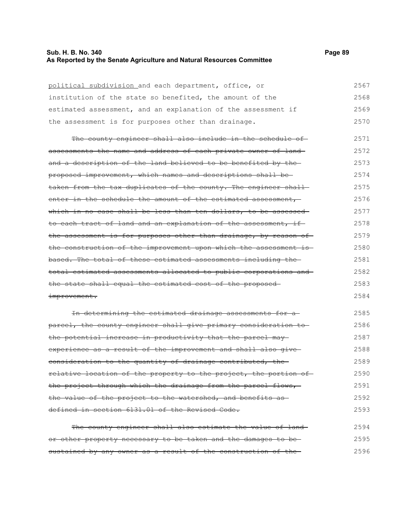## **Sub. H. B. No. 340 Page 89 As Reported by the Senate Agriculture and Natural Resources Committee**

| political subdivision and each department, office, or             | 2567 |
|-------------------------------------------------------------------|------|
| institution of the state so benefited, the amount of the          | 2568 |
| estimated assessment, and an explanation of the assessment if     | 2569 |
| the assessment is for purposes other than drainage.               | 2570 |
| The county engineer shall also include in the schedule of-        | 2571 |
| assessments the name and address of each private owner of land-   | 2572 |
| and a description of the land believed to be benefited by the-    | 2573 |
| proposed improvement, which names and descriptions shall be-      | 2574 |
| taken from the tax duplicates of the county. The engineer shall-  | 2575 |
| enter in the schedule the amount of the estimated assessment,     | 2576 |
| which in no case shall be less than ten dollars, to be assessed   | 2577 |
| to each tract of land and an explanation of the assessment, if    | 2578 |
| the assessment is for purposes other than drainage, by reason of  | 2579 |
| the construction of the improvement upon which the assessment is- | 2580 |
| based. The total of these estimated assessments including the-    | 2581 |
| total estimated assessments allocated to public corporations and  | 2582 |
| the state shall equal the estimated cost of the proposed-         | 2583 |
| improvement.                                                      | 2584 |
| In determining the estimated drainage assessments for a           | 2585 |
| parcel, the county engineer shall give primary consideration to   | 2586 |
| the potential increase in productivity that the parcel may        | 2587 |
| experience as a result of the improvement and shall also give-    | 2588 |
| eonsideration to the quantity of drainage contributed, the        | 2589 |
| relative location of the property to the project, the portion of  | 2590 |
| the project through which the drainage from the parcel flows,     | 2591 |
| the value of the project to the watershed, and benefits as        | 2592 |
| defined in section 6131.01 of the Revised Code.                   | 2593 |
| The county engineer shall also estimate the value of land-        | 2594 |
| or other property necessary to be taken and the damages to be-    | 2595 |

sustained by any owner as a result of the construction of the 2596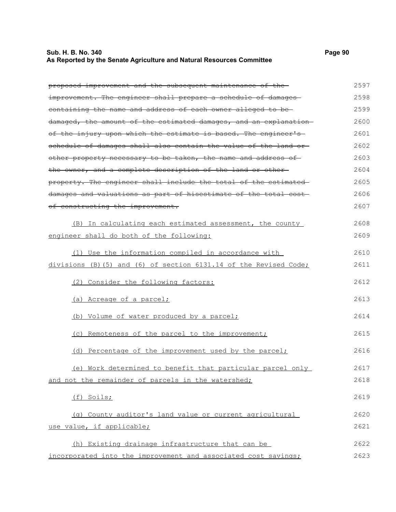## **Sub. H. B. No. 340 Page 90 As Reported by the Senate Agriculture and Natural Resources Committee**

| proposed improvement and the subsequent maintenance of the-       | 2597 |
|-------------------------------------------------------------------|------|
| improvement. The engineer shall prepare a schedule of damages     | 2598 |
| eontaining the name and address of each owner alleged to be-      | 2599 |
| damaged, the amount of the estimated damages, and an explanation  | 2600 |
| of the injury upon which the estimate is based. The engineer's    | 2601 |
| schedule of damages shall also contain the value of the land or-  | 2602 |
| other property necessary to be taken, the name and address of     | 2603 |
| the owner, and a complete description of the land or other-       | 2604 |
| property. The engineer shall include the total of the estimated   | 2605 |
| damages and valuations as part of hisestimate of the total cost-  | 2606 |
| of constructing the improvement.                                  | 2607 |
| (B) In calculating each estimated assessment, the county          | 2608 |
| engineer shall do both of the following:                          | 2609 |
| (1) Use the information compiled in accordance with               | 2610 |
| divisions (B) (5) and (6) of section 6131.14 of the Revised Code; | 2611 |
| (2) Consider the following factors:                               | 2612 |
| (a) Acreage of a parcel;                                          | 2613 |
| (b) Volume of water produced by a parcel;                         | 2614 |
| (c) Remoteness of the parcel to the improvement;                  | 2615 |
| (d) Percentage of the improvement used by the parcel;             | 2616 |
| (e) Work determined to benefit that particular parcel only        | 2617 |
| and not the remainder of parcels in the watershed;                | 2618 |
| (f) Soils;                                                        | 2619 |
| (g) County auditor's land value or current agricultural           | 2620 |
| use value, if applicable;                                         | 2621 |
| (h) Existing drainage infrastructure that can be                  | 2622 |
| incorporated into the improvement and associated cost savings;    | 2623 |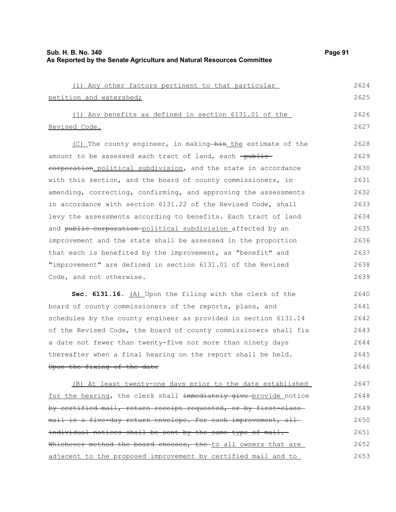| ۱ae<br>2 |
|----------|
|----------|

| (i) Any other factors pertinent to that particular              | 2624 |
|-----------------------------------------------------------------|------|
| petition and watershed;                                         | 2625 |
| (j) Any benefits as defined in section 6131.01 of the           | 2626 |
| Revised Code.                                                   | 2627 |
| (C) The county engineer, in making his the estimate of the      | 2628 |
| amount to be assessed each tract of land, each -public-         | 2629 |
| eorporation political subdivision, and the state in accordance  | 2630 |
| with this section, and the board of county commissioners, in    | 2631 |
| amending, correcting, confirming, and approving the assessments | 2632 |
| in accordance with section 6131.22 of the Revised Code, shall   | 2633 |
| levy the assessments according to benefits. Each tract of land  | 2634 |
| and public corporation political subdivision affected by an     | 2635 |
| improvement and the state shall be assessed in the proportion   | 2636 |
| that each is benefited by the improvement, as "benefit" and     | 2637 |
| "improvement" are defined in section 6131.01 of the Revised     | 2638 |
| Code, and not otherwise.                                        | 2639 |
|                                                                 |      |

Sec. 6131.16. (A) Upon the filing with the clerk of the board of county commissioners of the reports, plans, and schedules by the county engineer as provided in section 6131.14 of the Revised Code, the board of county commissioners shall fix a date not fewer than twenty-five nor more than ninety days thereafter when a final hearing on the report shall be held. Upon the fixing of the date 2640 2641 2642 2643 2644 2645 2646

(B) At least twenty-one days prior to the date established for the hearing, the clerk shall immediately give provide notice by certified mail, return receipt requested, or by first-classmail in a five-day return envelope. For each improvement, allindividual notices shall be sent by the same type of mail. Whichever method the board chooses, the to all owners that are adjacent to the proposed improvement by certified mail and to 2647 2648 2649 2650 2651 2652 2653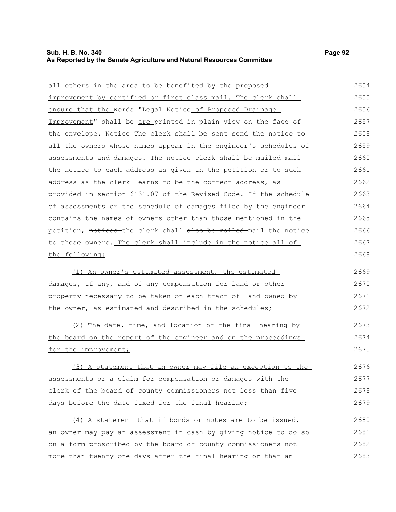## **Sub. H. B. No. 340 Page 92 As Reported by the Senate Agriculture and Natural Resources Committee**

| all others in the area to be benefited by the proposed           | 2654 |
|------------------------------------------------------------------|------|
| improvement by certified or first class mail. The clerk shall    | 2655 |
| ensure that the words "Legal Notice of Proposed Drainage         | 2656 |
| Improvement" shall be are printed in plain view on the face of   | 2657 |
| the envelope. Notice The clerk shall be sent send the notice to  | 2658 |
| all the owners whose names appear in the engineer's schedules of | 2659 |
| assessments and damages. The notice-clerk shall be mailed-mail   | 2660 |
| the notice to each address as given in the petition or to such   | 2661 |
| address as the clerk learns to be the correct address, as        | 2662 |
| provided in section 6131.07 of the Revised Code. If the schedule | 2663 |
| of assessments or the schedule of damages filed by the engineer  | 2664 |
| contains the names of owners other than those mentioned in the   | 2665 |
| petition, notices-the clerk shall also be mailed mail the notice | 2666 |
| to those owners. The clerk shall include in the notice all of    | 2667 |
| the following:                                                   | 2668 |
| (1) An owner's estimated assessment, the estimated               | 2669 |
| damages, if any, and of any compensation for land or other       | 2670 |
| property necessary to be taken on each tract of land owned by    | 2671 |
| the owner, as estimated and described in the schedules;          | 2672 |
| (2) The date, time, and location of the final hearing by         | 2673 |
| the board on the report of the engineer and on the proceedings   | 2674 |
| for the improvement;                                             | 2675 |
| (3) A statement that an owner may file an exception to the       | 2676 |
| assessments or a claim for compensation or damages with the      | 2677 |
| clerk of the board of county commissioners not less than five    | 2678 |
| days before the date fixed for the final hearing;                | 2679 |
| (4) A statement that if bonds or notes are to be issued,         | 2680 |
| an owner may pay an assessment in cash by giving notice to do so | 2681 |
| on a form proscribed by the board of county commissioners not    | 2682 |
| more than twenty-one days after the final hearing or that an     | 2683 |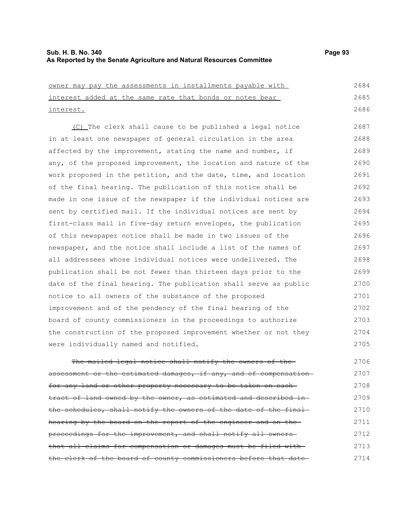2714

| owner may pay the assessments in installments payable with        | 2684 |
|-------------------------------------------------------------------|------|
| interest added at the same rate that bonds or notes bear          | 2685 |
| interest.                                                         | 2686 |
| (C) The clerk shall cause to be published a legal notice          | 2687 |
| in at least one newspaper of general circulation in the area      | 2688 |
| affected by the improvement, stating the name and number, if      | 2689 |
| any, of the proposed improvement, the location and nature of the  | 2690 |
| work proposed in the petition, and the date, time, and location   | 2691 |
| of the final hearing. The publication of this notice shall be     | 2692 |
| made in one issue of the newspaper if the individual notices are  | 2693 |
| sent by certified mail. If the individual notices are sent by     | 2694 |
| first-class mail in five-day return envelopes, the publication    | 2695 |
| of this newspaper notice shall be made in two issues of the       | 2696 |
| newspaper, and the notice shall include a list of the names of    | 2697 |
| all addressees whose individual notices were undelivered. The     | 2698 |
| publication shall be not fewer than thirteen days prior to the    | 2699 |
| date of the final hearing. The publication shall serve as public  | 2700 |
| notice to all owners of the substance of the proposed             | 2701 |
| improvement and of the pendency of the final hearing of the       | 2702 |
| board of county commissioners in the proceedings to authorize     | 2703 |
| the construction of the proposed improvement whether or not they  | 2704 |
| were individually named and notified.                             | 2705 |
| The mailed legal notice shall notify the owners                   | 2706 |
| assessment or the estimated damages, if any, and of compensation- | 2707 |
| for any land or other property necessary to be taken on each-     | 2708 |
| tract of land owned by the owner, as estimated and described in-  | 2709 |
| the schedules, shall notify the owners of the date of the final-  | 2710 |
| hearing by the board on the report of the engineer and on the     | 2711 |
| proceedings for the improvement, and shall notify all owners      | 2712 |
| that all claims for compensation or damages must be filed with-   | 2713 |

the clerk of the board of county commissioners before that date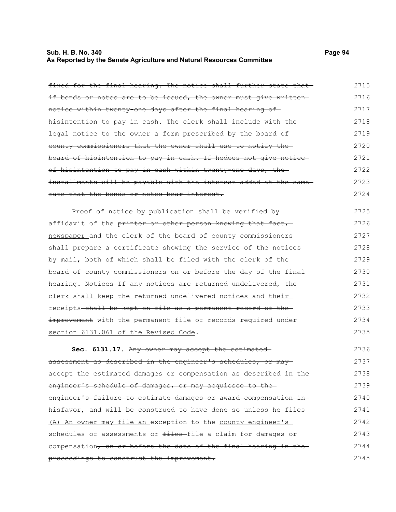## **Sub. H. B. No. 340 Page 94 As Reported by the Senate Agriculture and Natural Resources Committee**

proceedings to construct the improvement.

| fixed for the final hearing. The notice shall further state that  | 2715 |
|-------------------------------------------------------------------|------|
| if bonds or notes are to be issued, the owner must give written   | 2716 |
| notice within twenty-one days after the final hearing of-         | 2717 |
| hisintention to pay in cash. The clerk shall include with the-    | 2718 |
| legal notice to the owner a form prescribed by the board of       | 2719 |
| county commissioners that the owner shall use to notify the       | 2720 |
| board of hisintention to pay in cash. If hedoes not give notice-  | 2721 |
| of hisintention to pay in cash within twenty one days, the        | 2722 |
| installments will be payable with the interest added at the same- | 2723 |
| rate that the bonds or notes bear interest.                       | 2724 |
| Proof of notice by publication shall be verified by               | 2725 |
| affidavit of the printer or other person knowing that fact,       | 2726 |
| newspaper and the clerk of the board of county commissioners      | 2727 |
| shall prepare a certificate showing the service of the notices    | 2728 |
| by mail, both of which shall be filed with the clerk of the       | 2729 |
| board of county commissioners on or before the day of the final   | 2730 |
| hearing. Notices If any notices are returned undelivered, the     | 2731 |
| clerk shall keep the returned undelivered notices and their       | 2732 |
| receipts shall be kept on file as a permanent record of the       | 2733 |
| improvement with the permanent file of records required under     | 2734 |
| section 6131.061 of the Revised Code.                             | 2735 |
| Sec. 6131.17. Any owner may accept the estimated                  | 2736 |
| assessment as described in the engineer's schedules, or may       | 2737 |
| accept the estimated damages or compensation as described in the- | 2738 |
| engineer's schedule of damages, or may acquiesce to the           | 2739 |
| engineer's failure to estimate damages or award compensation in-  | 2740 |
| hisfavor, and will be construed to have done so unless he files-  | 2741 |
| (A) An owner may file an exception to the county engineer's       | 2742 |
| schedules of assessments or files-file a claim for damages or     | 2743 |
| compensation, on or before the date of the final hearing in the   | 2744 |

2745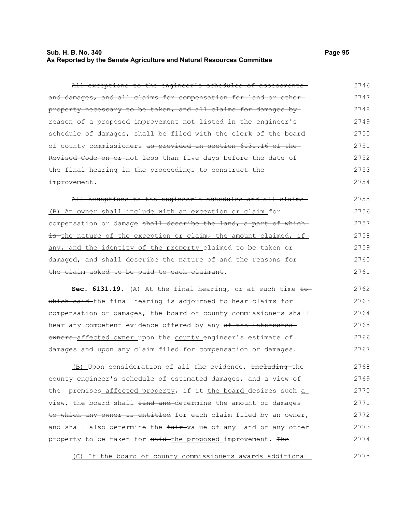# **Sub. H. B. No. 340 Page 95 As Reported by the Senate Agriculture and Natural Resources Committee**

| All exceptions to the engineer's schedules of assessments-                | 2746 |
|---------------------------------------------------------------------------|------|
| and damages, and all claims for compensation for land or other-           | 2747 |
| property necessary to be taken, and all claims for damages by-            | 2748 |
| reason of a proposed improvement not listed in the engineer's             | 2749 |
| schedule of damages, shall be filed with the clerk of the board           | 2750 |
| of county commissioners as provided in section 6131.16 of the-            | 2751 |
| Revised Code on or not less than five days before the date of             | 2752 |
| the final hearing in the proceedings to construct the                     | 2753 |
| improvement.                                                              | 2754 |
| All exceptions to the engineer's schedules and all claims                 | 2755 |
| (B) An owner shall include with an exception or claim for                 | 2756 |
| compensation or damage shall describe the land, a part of which           | 2757 |
| is the nature of the exception or claim, the amount claimed, if           | 2758 |
| any, and the identity of the property claimed to be taken or              | 2759 |
| damaged, and shall describe the nature of and the reasons for             | 2760 |
| the claim asked to be paid to each claimant.                              | 2761 |
| Sec. 6131.19. $(A)$ At the final hearing, or at such time to              | 2762 |
| which said the final hearing is adjourned to hear claims for              | 2763 |
| compensation or damages, the board of county commissioners shall          | 2764 |
| hear any competent evidence offered by any of the interested-             | 2765 |
| owners affected owner upon the county engineer's estimate of              | 2766 |
| damages and upon any claim filed for compensation or damages.             | 2767 |
| (B) Upon consideration of all the evidence, including-the                 | 2768 |
| county engineer's schedule of estimated damages, and a view of            | 2769 |
| the <del>premises affected</del> property, if it the board desires such a | 2770 |
| view, the board shall find and determine the amount of damages            | 2771 |
| to which any owner is entitled for each claim filed by an owner,          | 2772 |
| and shall also determine the fair value of any land or any other          | 2773 |
| property to be taken for said-the proposed improvement. The               | 2774 |

(C) If the board of county commissioners awards additional 2775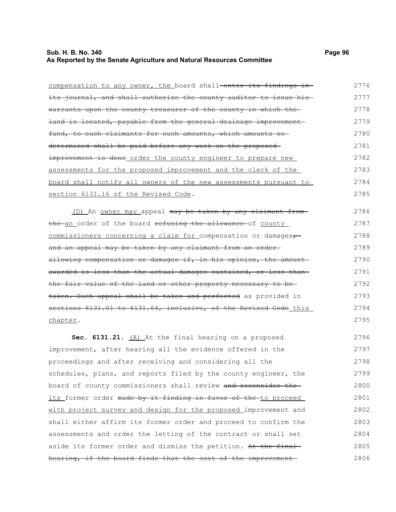## **Sub. H. B. No. 340 Page 96 As Reported by the Senate Agriculture and Natural Resources Committee**

| compensation to any owner, the board shall-enter its findings in- | 2776 |
|-------------------------------------------------------------------|------|
| its journal, and shall authorize the county auditor to issue his  | 2777 |
| warrants upon the county treasurer of the county in which the     | 2778 |
| land is located, payable from the general drainage improvement    | 2779 |
| fund, to such claimants for such amounts, which amounts so        | 2780 |
| determined shall be paid before any work on the proposed-         | 2781 |
| improvement is done order the county engineer to prepare new      | 2782 |
| assessments for the proposed improvement and the clerk of the     | 2783 |
| board shall notify all owners of the new assessments pursuant to  | 2784 |
| section 6131.16 of the Revised Code.                              | 2785 |
| (D) An owner may appeal may be taken by any claimant from-        | 2786 |
| the an order of the board refusing the allowance of county        | 2787 |
| commissioners concerning a claim for compensation or damages,     | 2788 |
| and an appeal may be taken by any claimant from an order-         | 2789 |
| allowing compensation or damages if, in his opinion, the amount-  | 2790 |
| awarded is less than the actual damages sustained, or less than   | 2791 |
| the fair value of the land or other property necessary to be      | 2792 |
| taken. Such appeal shall be taken and perfected as provided in    | 2793 |
| sections 6131.01 to 6131.64, inclusive, of the Revised Code this  | 2794 |
| chapter.                                                          | 2795 |
| Sec. 6131.21. (A) At the final hearing on a proposed              | 2796 |
| improvement, after hearing all the evidence offered in the        | 2797 |
| proceedings and after receiving and considering all the           | 2798 |
| schedules, plans, and reports filed by the county engineer, the   | 2799 |
| board of county commissioners shall review and reconsider the     | 2800 |
| its former order made by it finding in favor of the-to proceed    | 2801 |
| with project survey and design for the proposed improvement and   | 2802 |
| shall either affirm its former order and proceed to confirm the   | 2803 |
| assessments and order the letting of the contract or shall set    | 2804 |
| aside its former order and dismiss the petition. At the final-    | 2805 |
| hearing, if the board finds that the cost of the improvement      | 2806 |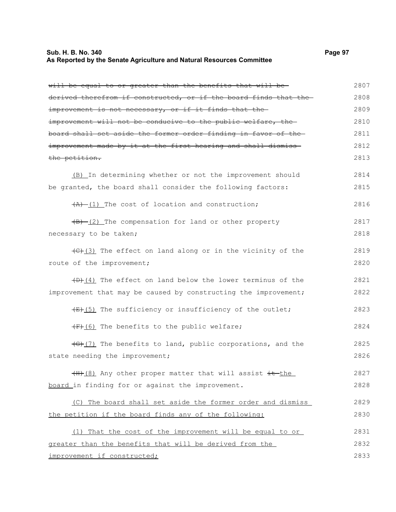## **Sub. H. B. No. 340 Page 97 As Reported by the Senate Agriculture and Natural Resources Committee**

| will be equal to or greater than the benefits that will be-                       | 2807 |
|-----------------------------------------------------------------------------------|------|
| derived therefrom if constructed, or if the board finds that the-                 | 2808 |
| improvement is not necessary, or if it finds that the-                            | 2809 |
| improvement will not be conducive to the public welfare, the                      | 2810 |
| board shall set aside the former order finding in favor of the-                   | 2811 |
| improvement made by it at the first hearing and shall dismiss-                    | 2812 |
| the petition.                                                                     | 2813 |
| (B) In determining whether or not the improvement should                          | 2814 |
| be granted, the board shall consider the following factors:                       | 2815 |
| $(A)$ $(1)$ The cost of location and construction;                                | 2816 |
| $\frac{1}{2}$ The compensation for land or other property                         | 2817 |
| necessary to be taken;                                                            | 2818 |
| $\left(\frac{1}{2}\right)$ (3) The effect on land along or in the vicinity of the | 2819 |
| route of the improvement;                                                         | 2820 |
| $(D)$ (4) The effect on land below the lower terminus of the                      | 2821 |
| improvement that may be caused by constructing the improvement;                   | 2822 |
| $\overline{f(x)}$ (5) The sufficiency or insufficiency of the outlet;             | 2823 |
| (F) (6) The benefits to the public welfare;                                       | 2824 |
| $\overline{(G)(7)}$ The benefits to land, public corporations, and the            | 2825 |
| state needing the improvement;                                                    | 2826 |
| (H) (8) Any other proper matter that will assist it the                           | 2827 |
| board in finding for or against the improvement.                                  | 2828 |
| (C) The board shall set aside the former order and dismiss                        | 2829 |
| the petition if the board finds any of the following:                             | 2830 |
| (1) That the cost of the improvement will be equal to or                          | 2831 |
| greater than the benefits that will be derived from the                           | 2832 |
| improvement if constructed;                                                       | 2833 |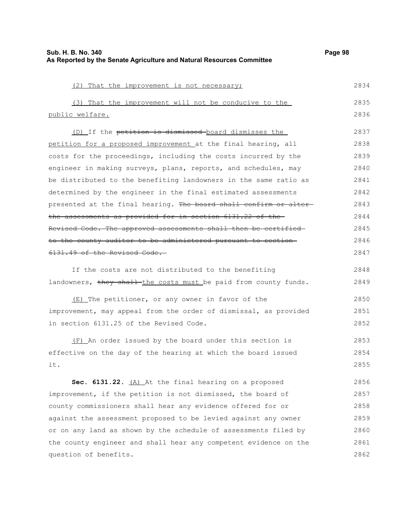| Sub. H. B. No. 340                                                    | Page 98 |
|-----------------------------------------------------------------------|---------|
| As Reported by the Senate Agriculture and Natural Resources Committee |         |

| (2) That the improvement is not necessary;                        | 2834 |
|-------------------------------------------------------------------|------|
| (3) That the improvement will not be conducive to the             | 2835 |
| public welfare.                                                   | 2836 |
| (D) If the petition is dismissed board dismisses the              | 2837 |
| petition for a proposed improvement at the final hearing, all     | 2838 |
| costs for the proceedings, including the costs incurred by the    | 2839 |
| engineer in making surveys, plans, reports, and schedules, may    | 2840 |
| be distributed to the benefiting landowners in the same ratio as  | 2841 |
| determined by the engineer in the final estimated assessments     | 2842 |
| presented at the final hearing. The board shall confirm or alter- | 2843 |
| the assessments as provided for in section 6131.22 of the-        | 2844 |
| Revised Code. The approved assessments shall then be certified-   | 2845 |
| to the county auditor to be administered pursuant to section-     | 2846 |
| 6131.49 of the Revised Code.                                      | 2847 |
| If the costs are not distributed to the benefiting                | 2848 |
| landowners, they shall the costs must be paid from county funds.  | 2849 |
| (E) The petitioner, or any owner in favor of the                  | 2850 |
| improvement, may appeal from the order of dismissal, as provided  | 2851 |
| in section 6131.25 of the Revised Code.                           | 2852 |
| (F) An order issued by the board under this section is            | 2853 |
| effective on the day of the hearing at which the board issued     | 2854 |
| it.                                                               | 2855 |
| Sec. 6131.22. (A) At the final hearing on a proposed              | 2856 |
| improvement, if the petition is not dismissed, the board of       | 2857 |
| county commissioners shall hear any evidence offered for or       | 2858 |
| against the assessment proposed to be levied against any owner    | 2859 |
| or on any land as shown by the schedule of assessments filed by   | 2860 |
| the county engineer and shall hear any competent evidence on the  | 2861 |
| question of benefits.                                             | 2862 |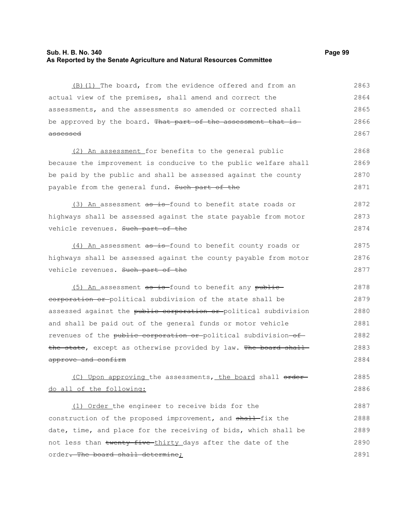## **Sub. H. B. No. 340 Page 99 As Reported by the Senate Agriculture and Natural Resources Committee**

(B)(1) The board, from the evidence offered and from an actual view of the premises, shall amend and correct the assessments, and the assessments so amended or corrected shall be approved by the board. That part of the assessment that is assessed 2863 2864 2865 2866 2867

(2) An assessment for benefits to the general public because the improvement is conducive to the public welfare shall be paid by the public and shall be assessed against the county payable from the general fund. Such part of the 2868 2869 2870 2871

(3) An assessment  $a\overline{b}$  is found to benefit state roads or highways shall be assessed against the state payable from motor vehicle revenues. Such part of the 2872 2873 2874

(4) An assessment as is found to benefit county roads or highways shall be assessed against the county payable from motor vehicle revenues. Such part of the 2875 2876 2877

 $(5)$  An assessment as is-found to benefit any publiccorporation or political subdivision of the state shall be assessed against the public corporation or political subdivision and shall be paid out of the general funds or motor vehicle revenues of the public corporation or political subdivision of the state, except as otherwise provided by law. The board shall approve and confirm 2878 2879 2880 2881 2882 2883 2884

(C) Upon approving the assessments, the board shall orderdo all of the following: 2885 2886

(1) Order the engineer to receive bids for the construction of the proposed improvement, and shall-fix the date, time, and place for the receiving of bids, which shall be not less than twenty-five-thirty days after the date of the order. The board shall determine; 2887 2888 2889 2890 2891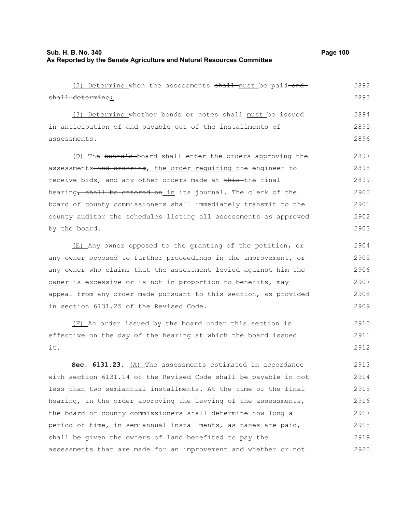## **Sub. H. B. No. 340 Page 100 As Reported by the Senate Agriculture and Natural Resources Committee**

| (2) Determine when the assessments shall must be paid-and-       | 2892 |
|------------------------------------------------------------------|------|
| shall determine;                                                 | 2893 |
| (3) Determine whether bonds or notes shall must be issued        | 2894 |
| in anticipation of and payable out of the installments of        | 2895 |
| assessments.                                                     | 2896 |
| (D) The board's board shall enter the orders approving the       | 2897 |
| assessments-and ordering, the order requiring the engineer to    | 2898 |
| receive bids, and any other orders made at this the final        | 2899 |
| hearing, shall be entered on in its journal. The clerk of the    | 2900 |
| board of county commissioners shall immediately transmit to the  | 2901 |
| county auditor the schedules listing all assessments as approved | 2902 |
| by the board.                                                    | 2903 |
| (E) Any owner opposed to the granting of the petition, or        | 2904 |
| any owner opposed to further proceedings in the improvement, or  | 2905 |
| any owner who claims that the assessment levied against-him the  | 2906 |
| owner is excessive or is not in proportion to benefits, may      | 2907 |
| appeal from any order made pursuant to this section, as provided | 2908 |
| in section 6131.25 of the Revised Code.                          | 2909 |
| (F) An order issued by the board under this section is           | 2910 |
| effective on the day of the hearing at which the board issued    | 2911 |
| it.                                                              | 2912 |
| Sec. 6131.23. (A) The assessments estimated in accordance        | 2913 |
| with section 6131.14 of the Revised Code shall be payable in not | 2914 |
| less than two semiannual installments. At the time of the final  | 2915 |
| hearing, in the order approving the levying of the assessments,  | 2916 |
| the board of county commissioners shall determine how long a     | 2917 |
| period of time, in semiannual installments, as taxes are paid,   | 2918 |
| shall be given the owners of land benefited to pay the           | 2919 |
| assessments that are made for an improvement and whether or not  | 2920 |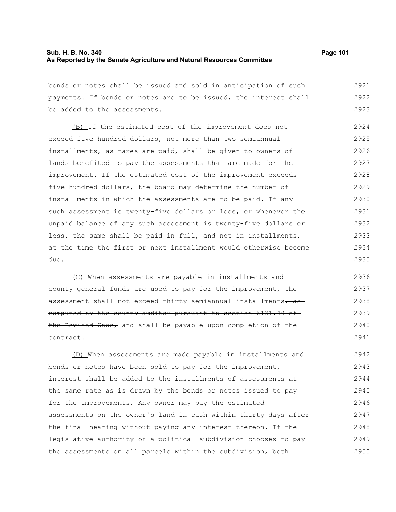## **Sub. H. B. No. 340 Page 101 As Reported by the Senate Agriculture and Natural Resources Committee**

bonds or notes shall be issued and sold in anticipation of such payments. If bonds or notes are to be issued, the interest shall be added to the assessments. 2921 2922 2923

(B) If the estimated cost of the improvement does not exceed five hundred dollars, not more than two semiannual installments, as taxes are paid, shall be given to owners of lands benefited to pay the assessments that are made for the improvement. If the estimated cost of the improvement exceeds five hundred dollars, the board may determine the number of installments in which the assessments are to be paid. If any such assessment is twenty-five dollars or less, or whenever the unpaid balance of any such assessment is twenty-five dollars or less, the same shall be paid in full, and not in installments, at the time the first or next installment would otherwise become due. 2924 2925 2926 2927 2928 2929 2930 2931 2932 2933 2934 2935

(C) When assessments are payable in installments and county general funds are used to pay for the improvement, the assessment shall not exceed thirty semiannual installments $\tau$  as computed by the county auditor pursuant to section 6131.49 of the Revised Code, and shall be payable upon completion of the contract. 2936 2937 2938 2939 2940 2941

(D) When assessments are made payable in installments and bonds or notes have been sold to pay for the improvement, interest shall be added to the installments of assessments at the same rate as is drawn by the bonds or notes issued to pay for the improvements. Any owner may pay the estimated assessments on the owner's land in cash within thirty days after the final hearing without paying any interest thereon. If the legislative authority of a political subdivision chooses to pay the assessments on all parcels within the subdivision, both 2942 2943 2944 2945 2946 2947 2948 2949 2950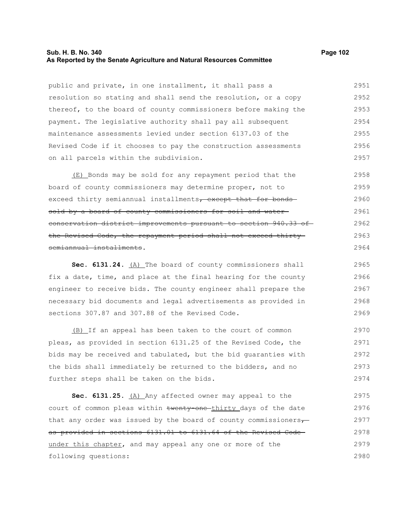## **Sub. H. B. No. 340 Page 102 As Reported by the Senate Agriculture and Natural Resources Committee**

public and private, in one installment, it shall pass a resolution so stating and shall send the resolution, or a copy thereof, to the board of county commissioners before making the payment. The legislative authority shall pay all subsequent maintenance assessments levied under section 6137.03 of the Revised Code if it chooses to pay the construction assessments on all parcels within the subdivision. 2951 2952 2953 2954 2955 2956 2957

(E) Bonds may be sold for any repayment period that the board of county commissioners may determine proper, not to exceed thirty semiannual installments, except that for bonds sold by a board of county commissioners for soil and water conservation district improvements pursuant to section 940.33 of the Revised Code, the repayment period shall not exceed thirtysemiannual installments. 2958 2959 2960 2961 2962 2963 2964

**Sec. 6131.24.** (A) The board of county commissioners shall fix a date, time, and place at the final hearing for the county engineer to receive bids. The county engineer shall prepare the necessary bid documents and legal advertisements as provided in sections 307.87 and 307.88 of the Revised Code. 2965 2966 2967 2968 2969

(B) If an appeal has been taken to the court of common pleas, as provided in section 6131.25 of the Revised Code, the bids may be received and tabulated, but the bid guaranties with the bids shall immediately be returned to the bidders, and no further steps shall be taken on the bids. 2970 2971 2972 2973 2974

Sec. 6131.25. (A) Any affected owner may appeal to the court of common pleas within twenty-one-thirty days of the date that any order was issued by the board of county commissioners $\tau$ as provided in sections 6131.01 to 6131.64 of the Revised Code under this chapter, and may appeal any one or more of the following questions: 2975 2976 2977 2978 2979 2980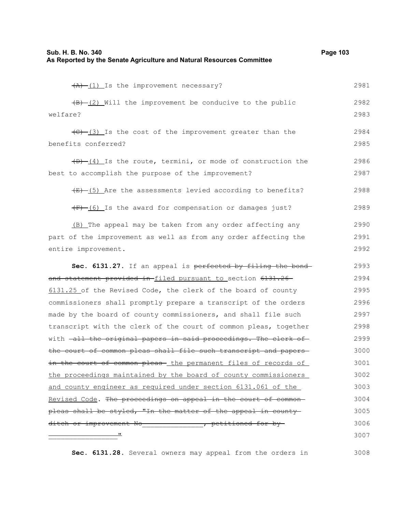| $(A)$ $(1)$ Is the improvement necessary?                                    | 2981 |
|------------------------------------------------------------------------------|------|
| $(B)$ (2) Will the improvement be conducive to the public                    | 2982 |
| welfare?                                                                     | 2983 |
| $\left(\frac{C}{C}-1\right)$ Is the cost of the improvement greater than the | 2984 |
| benefits conferred?                                                          | 2985 |
| $(D)$ $(4)$ Is the route, termini, or mode of construction the               | 2986 |
| best to accomplish the purpose of the improvement?                           | 2987 |
| $\overline{(E) - (5)}$ Are the assessments levied according to benefits?     | 2988 |
| (F) (6) Is the award for compensation or damages just?                       | 2989 |
| (B) The appeal may be taken from any order affecting any                     | 2990 |
| part of the improvement as well as from any order affecting the              | 2991 |
| entire improvement.                                                          | 2992 |
| Sec. 6131.27. If an appeal is perfected by filing the bond-                  | 2993 |
| and statement provided in-filed pursuant to section 6131.26                  | 2994 |
| 6131.25 of the Revised Code, the clerk of the board of county                | 2995 |
| commissioners shall promptly prepare a transcript of the orders              | 2996 |
| made by the board of county commissioners, and shall file such               | 2997 |
| transcript with the clerk of the court of common pleas, together             | 2998 |
| with -all the original papers in said proceedings. The clerk of              | 2999 |
| the court of common pleas shall file such transcript and papers-             | 3000 |
| in the court of common pleas- the permanent files of records of              | 3001 |
| the proceedings maintained by the board of county commissioners              | 3002 |
| and county engineer as required under section 6131.061 of the                | 3003 |
| Revised Code. The proceedings on appeal in the court of common-              | 3004 |
| pleas shall be styled, "In the matter of the appeal in county-               | 3005 |
| ditch or improvement No _______________, petitioned for by-                  | 3006 |
|                                                                              | 3007 |
|                                                                              |      |

**Sec. 6131.28.** Several owners may appeal from the orders in 3008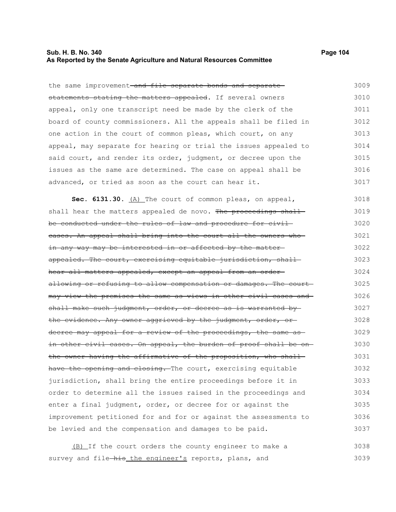## **Sub. H. B. No. 340 Page 104 As Reported by the Senate Agriculture and Natural Resources Committee**

the same improvement-and file separate bonds and separatestatements stating the matters appealed. If several owners appeal, only one transcript need be made by the clerk of the board of county commissioners. All the appeals shall be filed in one action in the court of common pleas, which court, on any appeal, may separate for hearing or trial the issues appealed to said court, and render its order, judgment, or decree upon the issues as the same are determined. The case on appeal shall be advanced, or tried as soon as the court can hear it. 3009 3010 3011 3012 3013 3014 3015 3016 3017

Sec. 6131.30. (A) The court of common pleas, on appeal, shall hear the matters appealed de novo. The proceedings shall be conducted under the rules of law and procedure for civilcases. An appeal shall bring into the court all the owners who in any way may be interested in or affected by the matter appealed. The court, exercising equitable jurisdiction, shallhear all matters appealed, except an appeal from an orderallowing or refusing to allow compensation or damages. The court may view the premises the same as views in other civil cases and shall make such judgment, order, or decree as is warranted bythe evidence. Any owner aggrieved by the judgment, order, or decree may appeal for a review of the proceedings, the same asin other civil cases. On appeal, the burden of proof shall be on the owner having the affirmative of the proposition, who shall have the opening and closing. The court, exercising equitable jurisdiction, shall bring the entire proceedings before it in order to determine all the issues raised in the proceedings and enter a final judgment, order, or decree for or against the improvement petitioned for and for or against the assessments to be levied and the compensation and damages to be paid. 3018 3019 3020 3021 3022 3023 3024 3025 3026 3027 3028 3029 3030 3031 3032 3033 3034 3035 3036 3037

(B) If the court orders the county engineer to make a survey and file-his the engineer's reports, plans, and 3038 3039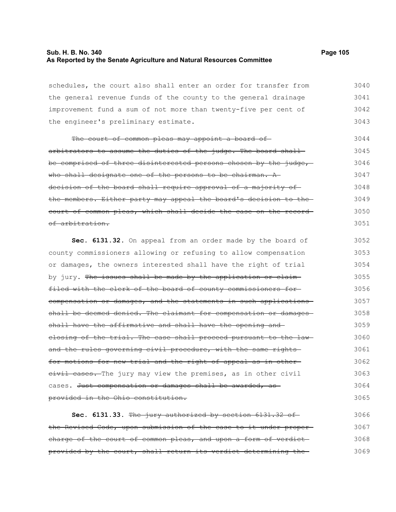## **Sub. H. B. No. 340 Page 105 As Reported by the Senate Agriculture and Natural Resources Committee**

schedules, the court also shall enter an order for transfer from the general revenue funds of the county to the general drainage improvement fund a sum of not more than twenty-five per cent of the engineer's preliminary estimate. 3040 3041 3042 3043

The court of common pleas may appoint a board ofarbitrators to assume the duties of the judge. The board shallbe comprised of three disinterested persons chosen by the judge, who shall designate one of the persons to be chairman. A decision of the board shall require approval of a majority of the members. Either party may appeal the board's decision to the court of common pleas, which shall decide the case on the record of arbitration. 3044 3045 3046 3047 3048 3049 3050 3051

**Sec. 6131.32.** On appeal from an order made by the board of county commissioners allowing or refusing to allow compensation or damages, the owners interested shall have the right of trial by jury. The issues shall be made by the application or claimfiled with the clerk of the board of county commissioners for compensation or damages, and the statements in such applications shall be deemed denied. The claimant for compensation or damagesshall have the affirmative and shall have the opening and closing of the trial. The case shall proceed pursuant to the lawand the rules governing civil procedure, with the same rightsfor motions for new trial and the right of appeal as in other eivil cases. The jury may view the premises, as in other civil cases. Just compensation or damages shall be awarded, as provided in the Ohio constitution. 3052 3053 3054 3055 3056 3057 3058 3059 3060 3061 3062 3063 3064 3065

**Sec. 6131.33.** The jury authorized by section 6131.32 of the Revised Code, upon submission of the case to it under proper charge of the court of common pleas, and upon a form of verdictprovided by the court, shall return its verdict determining the 3066 3067 3068 3069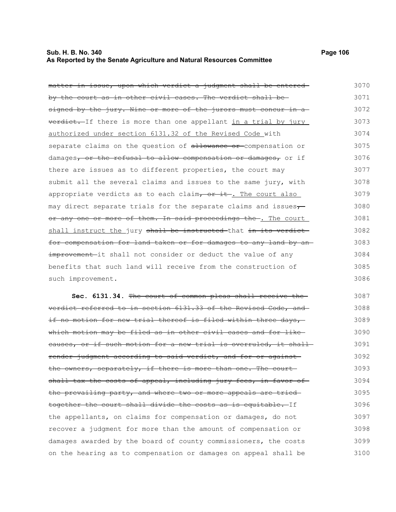#### **Sub. H. B. No. 340 Page 106 As Reported by the Senate Agriculture and Natural Resources Committee**

| matter in issue, upon which verdict a judgment shall be entered   | 3070 |
|-------------------------------------------------------------------|------|
| by the court as in other civil cases. The verdict shall be-       | 3071 |
| signed by the jury. Nine or more of the jurors must concur in a   | 3072 |
| verdict. If there is more than one appellant in a trial by jury   | 3073 |
| authorized under section 6131.32 of the Revised Code with         | 3074 |
| separate claims on the question of allowance or compensation or   | 3075 |
| damages, or the refusal to allow compensation or damages, or if   | 3076 |
| there are issues as to different properties, the court may        | 3077 |
| submit all the several claims and issues to the same jury, with   | 3078 |
| appropriate verdicts as to each claim, or it. The court also      | 3079 |
| may direct separate trials for the separate claims and issues-    | 3080 |
| or any one or more of them. In said proceedings the . The court   | 3081 |
| shall instruct the jury shall be instructed that in its verdict-  | 3082 |
| for compensation for land taken or for damages to any land by an- | 3083 |
| improvement it shall not consider or deduct the value of any      | 3084 |
| benefits that such land will receive from the construction of     | 3085 |
| such improvement.                                                 | 3086 |

**Sec. 6131.34.** The court of common pleas shall receive the verdict referred to in section 6131.33 of the Revised Code, and if no motion for new trial thereof is filed within three days, which motion may be filed as in other civil cases and for like causes, or if such motion for a new trial is overruled, it shall render judgment according to said verdict, and for or against the owners, separately, if there is more than one. The court shall tax the costs of appeal, including jury fees, in favor of the prevailing party, and where two or more appeals are tried together the court shall divide the costs as is equitable. If the appellants, on claims for compensation or damages, do not recover a judgment for more than the amount of compensation or damages awarded by the board of county commissioners, the costs on the hearing as to compensation or damages on appeal shall be 3087 3088 3089 3090 3091 3092 3093 3094 3095 3096 3097 3098 3099 3100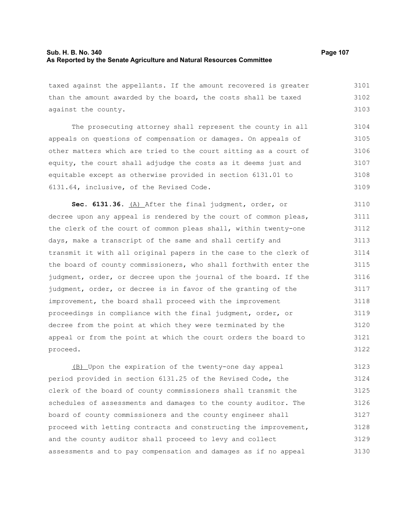## **Sub. H. B. No. 340 Page 107 As Reported by the Senate Agriculture and Natural Resources Committee**

taxed against the appellants. If the amount recovered is greater than the amount awarded by the board, the costs shall be taxed against the county. The prosecuting attorney shall represent the county in all appeals on questions of compensation or damages. On appeals of other matters which are tried to the court sitting as a court of equity, the court shall adjudge the costs as it deems just and equitable except as otherwise provided in section 6131.01 to 6131.64, inclusive, of the Revised Code. **Sec. 6131.36.** (A) After the final judgment, order, or decree upon any appeal is rendered by the court of common pleas, 3101 3102 3103 3104 3105 3106 3107 3108 3109 3110 3111

the clerk of the court of common pleas shall, within twenty-one days, make a transcript of the same and shall certify and transmit it with all original papers in the case to the clerk of the board of county commissioners, who shall forthwith enter the judgment, order, or decree upon the journal of the board. If the judgment, order, or decree is in favor of the granting of the improvement, the board shall proceed with the improvement proceedings in compliance with the final judgment, order, or decree from the point at which they were terminated by the appeal or from the point at which the court orders the board to proceed. 3112 3113 3114 3115 3116 3117 3118 3119 3120 3121 3122

(B) Upon the expiration of the twenty-one day appeal period provided in section 6131.25 of the Revised Code, the clerk of the board of county commissioners shall transmit the schedules of assessments and damages to the county auditor. The board of county commissioners and the county engineer shall proceed with letting contracts and constructing the improvement, and the county auditor shall proceed to levy and collect assessments and to pay compensation and damages as if no appeal 3123 3124 3125 3126 3127 3128 3129 3130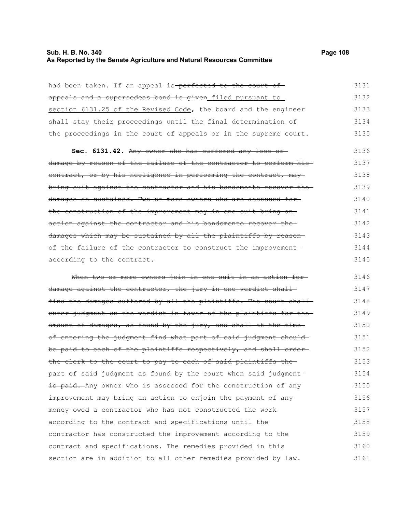## **Sub. H. B. No. 340 Page 108 As Reported by the Senate Agriculture and Natural Resources Committee**

| had been taken. If an appeal is-perfected to the court of         | 3131 |
|-------------------------------------------------------------------|------|
| appeals and a supersedeas bond is given filed pursuant to         | 3132 |
| section 6131.25 of the Revised Code, the board and the engineer   | 3133 |
| shall stay their proceedings until the final determination of     | 3134 |
| the proceedings in the court of appeals or in the supreme court.  | 3135 |
| Sec. 6131.42. Any owner who has suffered any loss or              | 3136 |
| damage by reason of the failure of the contractor to perform his- | 3137 |
| contract, or by his negligence in performing the contract, may    | 3138 |
| bring suit against the contractor and his bondsmento recover the- | 3139 |
| damages so sustained. Two or more owners who are assessed for-    | 3140 |
| the construction of the improvement may in one suit bring an-     | 3141 |
| action against the contractor and his bondsmento recover the      | 3142 |
| damages which may be sustained by all the plaintiffs by reason-   | 3143 |
| of the failure of the contractor to construct the improvement-    | 3144 |
| according to the contract.                                        | 3145 |
| When two or more owners join in one suit in an action for-        | 3146 |
| damage against the contractor, the jury in one verdict shall-     | 3147 |
| find the damages suffered by all the plaintiffs. The court shall- | 3148 |
| enter judgment on the verdict in favor of the plaintiffs for the  | 3149 |
| amount of damages, as found by the jury, and shall at the time-   | 3150 |
| of entering the judgment find what part of said judgment should-  | 3151 |
| be paid to each of the plaintiffs respectively, and shall order-  | 3152 |
| the clerk to the court to pay to each of said plaintiffs the      | 3153 |
| part of said judgment as found by the court when said judgment-   | 3154 |
| is paid. Any owner who is assessed for the construction of any    | 3155 |
| improvement may bring an action to enjoin the payment of any      | 3156 |
| money owed a contractor who has not constructed the work          | 3157 |
| according to the contract and specifications until the            | 3158 |
| contractor has constructed the improvement according to the       | 3159 |
| contract and specifications. The remedies provided in this        | 3160 |
| section are in addition to all other remedies provided by law.    | 3161 |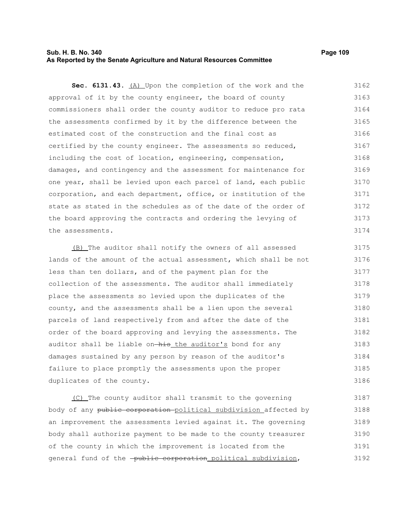## **Sub. H. B. No. 340 Page 109 As Reported by the Senate Agriculture and Natural Resources Committee**

**Sec. 6131.43.** (A) Upon the completion of the work and the approval of it by the county engineer, the board of county commissioners shall order the county auditor to reduce pro rata the assessments confirmed by it by the difference between the estimated cost of the construction and the final cost as certified by the county engineer. The assessments so reduced, including the cost of location, engineering, compensation, damages, and contingency and the assessment for maintenance for one year, shall be levied upon each parcel of land, each public corporation, and each department, office, or institution of the state as stated in the schedules as of the date of the order of the board approving the contracts and ordering the levying of the assessments. 3162 3163 3164 3165 3166 3167 3168 3169 3170 3171 3172 3173 3174

(B) The auditor shall notify the owners of all assessed lands of the amount of the actual assessment, which shall be not less than ten dollars, and of the payment plan for the collection of the assessments. The auditor shall immediately place the assessments so levied upon the duplicates of the county, and the assessments shall be a lien upon the several parcels of land respectively from and after the date of the order of the board approving and levying the assessments. The auditor shall be liable on-his the auditor's bond for any damages sustained by any person by reason of the auditor's failure to place promptly the assessments upon the proper duplicates of the county. 3175 3176 3177 3178 3179 3180 3181 3182 3183 3184 3185 3186

(C) The county auditor shall transmit to the governing body of any public corporation political subdivision affected by an improvement the assessments levied against it. The governing body shall authorize payment to be made to the county treasurer of the county in which the improvement is located from the general fund of the -public corporation political subdivision, 3187 3188 3189 3190 3191 3192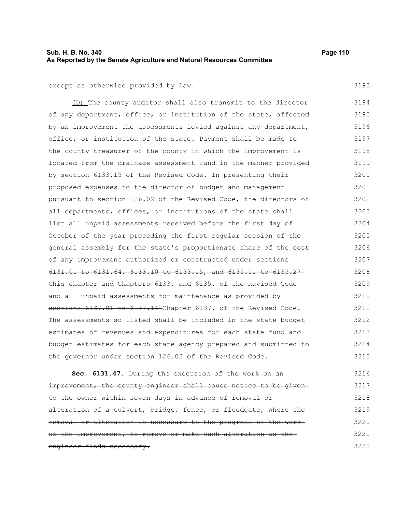## **Sub. H. B. No. 340 Page 110 As Reported by the Senate Agriculture and Natural Resources Committee**

3193

except as otherwise provided by law.

(D) The county auditor shall also transmit to the director of any department, office, or institution of the state, affected by an improvement the assessments levied against any department, office, or institution of the state. Payment shall be made to the county treasurer of the county in which the improvement is located from the drainage assessment fund in the manner provided by section 6133.15 of the Revised Code. In presenting their proposed expenses to the director of budget and management pursuant to section 126.02 of the Revised Code, the directors of all departments, offices, or institutions of the state shall list all unpaid assessments received before the first day of October of the year preceding the first regular session of the general assembly for the state's proportionate share of the cost of any improvement authorized or constructed under sections 6131.01 to 6131.64, 6133.10 to 6133.15, and 6135.01 to 6135.27 this chapter and Chapters 6133. and 6135. of the Revised Code and all unpaid assessments for maintenance as provided by sections 6137.01 to 6137.14 Chapter 6137. of the Revised Code. The assessments so listed shall be included in the state budget estimates of revenues and expenditures for each state fund and budget estimates for each state agency prepared and submitted to the governor under section 126.02 of the Revised Code. 3194 3195 3196 3197 3198 3199 3200 3201 3202 3203 3204 3205 3206 3207 3208 3209 3210 3211 3212 3213 3214 3215

**Sec. 6131.47.** During the execution of the work on an improvement, the county engineer shall cause notice to be givento the owner within seven days in advance of removal or alteration of a culvert, bridge, fence, or floodgate, where theremoval or alteration is necessary to the progress of the work of the improvement, to remove or make such alteration as theengineer finds necessary. 3216 3217 3218 3219 3220 3221 3222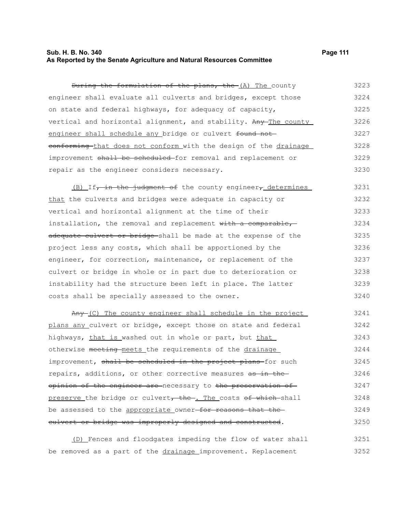## **Sub. H. B. No. 340 Page 111 As Reported by the Senate Agriculture and Natural Resources Committee**

During the formulation of the plans, the (A) The county engineer shall evaluate all culverts and bridges, except those on state and federal highways, for adequacy of capacity, vertical and horizontal alignment, and stability. Any The county engineer shall schedule any bridge or culvert found not eonforming that does not conform with the design of the drainage 3223 3224 3225 3226 3227 3228

#### improvement shall be scheduled for removal and replacement or repair as the engineer considers necessary. 3229 3230

(B) If, in the judgment of the county engineer, determines that the culverts and bridges were adequate in capacity or vertical and horizontal alignment at the time of their installation, the removal and replacement with a comparable, adequate culvert or bridge shall be made at the expense of the project less any costs, which shall be apportioned by the engineer, for correction, maintenance, or replacement of the culvert or bridge in whole or in part due to deterioration or instability had the structure been left in place. The latter costs shall be specially assessed to the owner. 3231 3232 3233 3234 3235 3236 3237 3238 3239 3240

Any (C) The county engineer shall schedule in the project plans any culvert or bridge, except those on state and federal highways, that is washed out in whole or part, but that otherwise meeting meets the requirements of the drainage improvement, shall be scheduled in the project plans-for such repairs, additions, or other corrective measures as in theopinion of the engineer are necessary to the preservation of preserve the bridge or culvert, the . The costs of which shall be assessed to the appropriate owner-for reasons that the culvert or bridge was improperly designed and constructed. 3241 3242 3243 3244 3245 3246 3247 3248 3249 3250

(D) Fences and floodgates impeding the flow of water shall be removed as a part of the drainage improvement. Replacement 3251 3252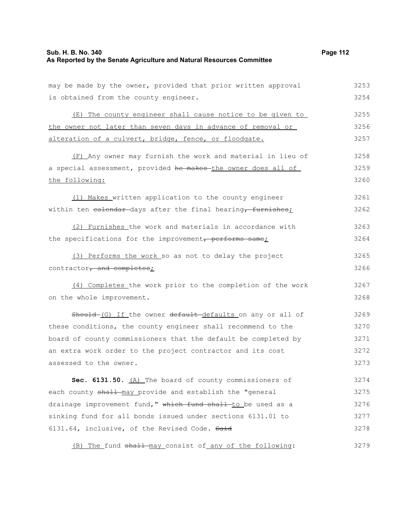## **Sub. H. B. No. 340 Page 112 As Reported by the Senate Agriculture and Natural Resources Committee**

may be made by the owner, provided that prior written approval is obtained from the county engineer.

(E) The county engineer shall cause notice to be given to the owner not later than seven days in advance of removal or alteration of a culvert, bridge, fence, or floodgate. 3255 3256 3257

(F) Any owner may furnish the work and material in lieu of a special assessment, provided he makes the owner does all of the following: 3258 3259 3260

(1) Makes written application to the county engineer within ten ealendar-days after the final hearing, furnishes; 3261 3262

(2) Furnishes the work and materials in accordance with the specifications for the improvement, performs same; 3263 3264

(3) Performs the work so as not to delay the project contractor, and completes; 3265 3266

(4) Completes the work prior to the completion of the work on the whole improvement.

Should-(G) If the owner default-defaults on any or all of these conditions, the county engineer shall recommend to the board of county commissioners that the default be completed by an extra work order to the project contractor and its cost assessed to the owner. 3269 3270 3271 3272 3273

Sec. 6131.50. (A) The board of county commissioners of each county shall may provide and establish the "general drainage improvement fund," which fund shall to be used as a sinking fund for all bonds issued under sections 6131.01 to 6131.64, inclusive, of the Revised Code. Said 3274 3275 3276 3277 3278

(B) The fund  $shall$ -may consist of any of the following: 3279

3253 3254

3267 3268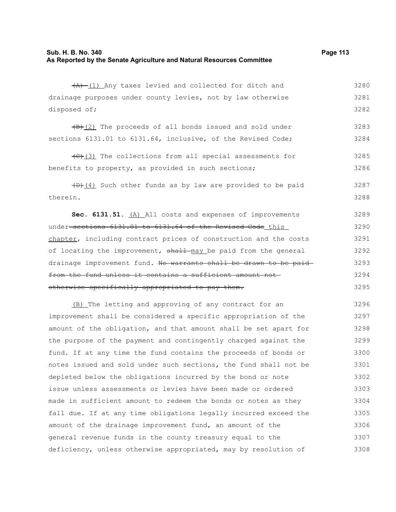$(A)$  (1) Any taxes levied and collected for ditch and drainage purposes under county levies, not by law otherwise disposed of; 3280 3281

 $\frac{1}{B}(2)$  The proceeds of all bonds issued and sold under sections 6131.01 to 6131.64, inclusive, of the Revised Code; 3283 3284

 $(\theta)$ (3) The collections from all special assessments for benefits to property, as provided in such sections; 3285 3286

 $(D)$  (4) Such other funds as by law are provided to be paid therein. 3287 3288

**Sec. 6131.51.** (A) All costs and expenses of improvements under sections 6131.01 to 6131.64 of the Revised Code this chapter, including contract prices of construction and the costs of locating the improvement, shall may be paid from the general drainage improvement fund. No warrants shall be drawn to be paid from the fund unless it contains a sufficient amount not otherwise specifically appropriated to pay them. 3289 3290 3291 3292 3293 3294 3295

(B) The letting and approving of any contract for an improvement shall be considered a specific appropriation of the amount of the obligation, and that amount shall be set apart for the purpose of the payment and contingently charged against the fund. If at any time the fund contains the proceeds of bonds or notes issued and sold under such sections, the fund shall not be depleted below the obligations incurred by the bond or note issue unless assessments or levies have been made or ordered made in sufficient amount to redeem the bonds or notes as they fall due. If at any time obligations legally incurred exceed the amount of the drainage improvement fund, an amount of the general revenue funds in the county treasury equal to the deficiency, unless otherwise appropriated, may by resolution of 3296 3297 3298 3299 3300 3301 3302 3303 3304 3305 3306 3307 3308

3282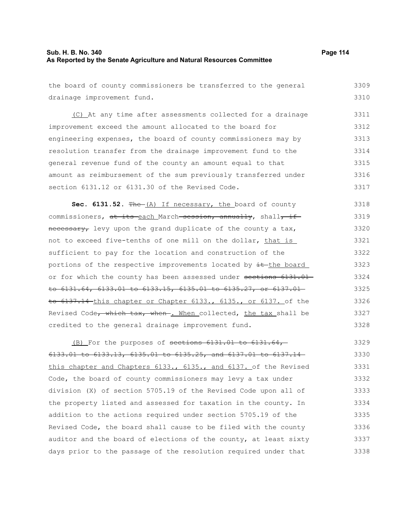## **Sub. H. B. No. 340 Page 114 As Reported by the Senate Agriculture and Natural Resources Committee**

the board of county commissioners be transferred to the general drainage improvement fund. 3309 3310

(C) At any time after assessments collected for a drainage improvement exceed the amount allocated to the board for engineering expenses, the board of county commissioners may by resolution transfer from the drainage improvement fund to the general revenue fund of the county an amount equal to that amount as reimbursement of the sum previously transferred under section 6131.12 or 6131.30 of the Revised Code. 3311 3312 3313 3314 3315 3316 3317

Sec. 6131.52. The (A) If necessary, the board of county commissioners, at its each March session, annually, shall, if necessary, levy upon the grand duplicate of the county a tax, not to exceed five-tenths of one mill on the dollar, that is sufficient to pay for the location and construction of the portions of the respective improvements located by  $\pm$ -the board or for which the county has been assessed under sections 6131.01 to 6131.64, 6133.01 to 6133.15, 6135.01 to 6135.27, or 6137.01 to 6137.14 this chapter or Chapter 6133., 6135., or 6137. of the Revised Code, which tax, when . When collected, the tax shall be credited to the general drainage improvement fund. 3318 3319 3320 3321 3322 3323 3324 3325 3326 3327 3328

(B) For the purposes of sections  $6131.01$  to  $6131.64$ , 6133.01 to 6133.13, 6135.01 to 6135.25, and 6137.01 to 6137.14 this chapter and Chapters 6133., 6135., and 6137. of the Revised Code, the board of county commissioners may levy a tax under division (X) of section 5705.19 of the Revised Code upon all of the property listed and assessed for taxation in the county. In addition to the actions required under section 5705.19 of the Revised Code, the board shall cause to be filed with the county auditor and the board of elections of the county, at least sixty days prior to the passage of the resolution required under that 3329 3330 3331 3332 3333 3334 3335 3336 3337 3338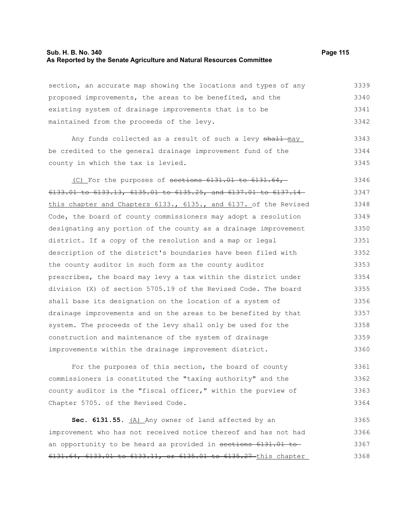### **Sub. H. B. No. 340 Page 115 As Reported by the Senate Agriculture and Natural Resources Committee**

section, an accurate map showing the locations and types of any proposed improvements, the areas to be benefited, and the existing system of drainage improvements that is to be maintained from the proceeds of the levy. 3339 3340 3341 3342

Any funds collected as a result of such a levy shall-may be credited to the general drainage improvement fund of the county in which the tax is levied. 3343 3344 3345

(C) For the purposes of sections 6131.01 to 6131.64, 6133.01 to 6133.13, 6135.01 to 6135.25, and 6137.01 to 6137.14 this chapter and Chapters 6133., 6135., and 6137. of the Revised Code, the board of county commissioners may adopt a resolution designating any portion of the county as a drainage improvement district. If a copy of the resolution and a map or legal description of the district's boundaries have been filed with the county auditor in such form as the county auditor prescribes, the board may levy a tax within the district under division (X) of section 5705.19 of the Revised Code. The board shall base its designation on the location of a system of drainage improvements and on the areas to be benefited by that system. The proceeds of the levy shall only be used for the construction and maintenance of the system of drainage improvements within the drainage improvement district. 3346 3347 3348 3349 3350 3351 3352 3353 3354 3355 3356 3357 3358 3359 3360

For the purposes of this section, the board of county commissioners is constituted the "taxing authority" and the county auditor is the "fiscal officer," within the purview of Chapter 5705. of the Revised Code. 3361 3362 3363 3364

Sec. 6131.55. (A) Any owner of land affected by an improvement who has not received notice thereof and has not had an opportunity to be heard as provided in sections 6131.01 to 6131.64, 6133.01 to 6133.11, or 6135.01 to 6135.27 this chapter 3365 3366 3367 3368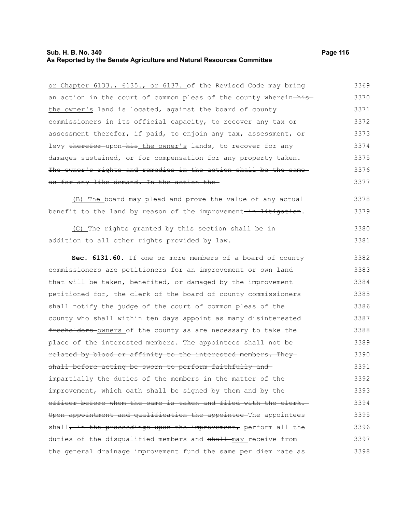## **Sub. H. B. No. 340 Page 116 As Reported by the Senate Agriculture and Natural Resources Committee**

or Chapter 6133., 6135., or 6137. of the Revised Code may bring an action in the court of common pleas of the county wherein-histhe owner's land is located, against the board of county commissioners in its official capacity, to recover any tax or assessment therefor, if paid, to enjoin any tax, assessment, or levy therefor upon his the owner's lands, to recover for any damages sustained, or for compensation for any property taken. The owner's rights and remedies in the action shall be the same as for any like demand. In the action the (B) The board may plead and prove the value of any actual benefit to the land by reason of the improvement-in litigation. (C) The rights granted by this section shall be in addition to all other rights provided by law. **Sec. 6131.60.** If one or more members of a board of county commissioners are petitioners for an improvement or own land that will be taken, benefited, or damaged by the improvement petitioned for, the clerk of the board of county commissioners shall notify the judge of the court of common pleas of the county who shall within ten days appoint as many disinterested freeholders owners of the county as are necessary to take the place of the interested members. The appointees shall not be-3369 3370 3371 3372 3373 3374 3375 3376 3377 3378 3379 3380 3381 3382 3383 3384 3385 3386 3387 3388 3389

related by blood or affinity to the interested members. They shall before acting be sworn to perform faithfully and impartially the duties of the members in the matter of the improvement, which oath shall be signed by them and by theofficer before whom the same is taken and filed with the clerk. Upon appointment and qualification the appointee The appointees shall, in the proceedings upon the improvement, perform all the duties of the disqualified members and shall may receive from the general drainage improvement fund the same per diem rate as 3390 3391 3392 3393 3394 3395 3396 3397 3398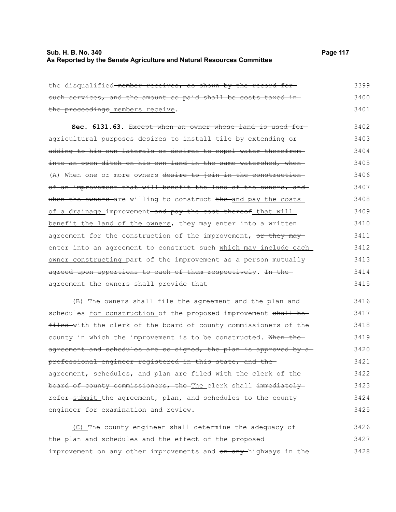## **Sub. H. B. No. 340 Page 117 As Reported by the Senate Agriculture and Natural Resources Committee**

3418

| the disqualified-member receives, as shown by the record for             | 3399 |
|--------------------------------------------------------------------------|------|
| such services, and the amount so paid shall be costs taxed in-           | 3400 |
| the proceedings members receive.                                         | 3401 |
| Sec. 6131.63. Except when an owner whose land is used for-               | 3402 |
| agricultural purposes desires to install tile by extending or            | 3403 |
| adding to his own laterals or desires to expel water therefrom-          | 3404 |
| into an open ditch on his own land in the same watershed, when           | 3405 |
| (A) When one or more owners desire to join in the construction           | 3406 |
| of an improvement that will benefit the land of the owners, and          | 3407 |
| when the owners are willing to construct the and pay the costs           | 3408 |
| of a drainage improvement <del> and pay the cost thereof</del> that will | 3409 |
| benefit the land of the owners, they may enter into a written            | 3410 |
| agreement for the construction of the improvement, or they may           | 3411 |
| enter into an agreement to construct such which may include each         | 3412 |
| owner constructing part of the improvement as a person mutually          | 3413 |
| agreed upon apportions to each of them respectively. In the-             | 3414 |
| agreement the owners shall provide that                                  | 3415 |
| (B) The owners shall file the agreement and the plan and                 | 3416 |
| schedules for construction of the proposed improvement shall be-         | 3417 |

filed with the clerk of the board of county commissioners of the county in which the improvement is to be constructed. When the agreement and schedules are so signed, the plan is approved by a professional engineer registered in this state, and the agreement, schedules, and plan are filed with the clerk of the board of county commissioners, the The clerk shall immediately refer submit the agreement, plan, and schedules to the county engineer for examination and review. 3419 3420 3421 3422 3423 3424 3425

(C) The county engineer shall determine the adequacy of the plan and schedules and the effect of the proposed improvement on any other improvements and on any highways in the 3426 3427 3428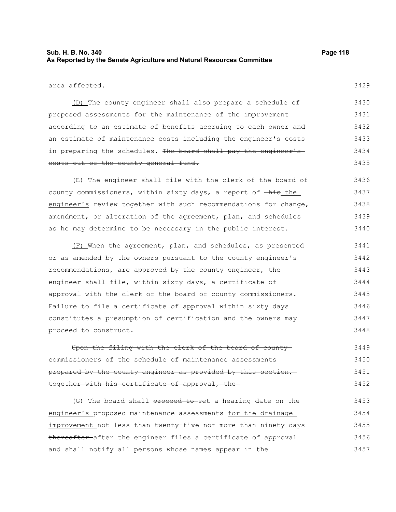## **Sub. H. B. No. 340 Page 118 As Reported by the Senate Agriculture and Natural Resources Committee**

3429

area affected.

(D) The county engineer shall also prepare a schedule of proposed assessments for the maintenance of the improvement according to an estimate of benefits accruing to each owner and an estimate of maintenance costs including the engineer's costs in preparing the schedules. The board shall pay the engineer'scosts out of the county general fund. 3430 3431 3432 3433 3434 3435

(E) The engineer shall file with the clerk of the board of county commissioners, within sixty days, a report of  $-\text{his\_the}$ engineer's review together with such recommendations for change, amendment, or alteration of the agreement, plan, and schedules as he may determine to be necessary in the public interest. 3436 3437 3438 3439 3440

(F) When the agreement, plan, and schedules, as presented or as amended by the owners pursuant to the county engineer's recommendations, are approved by the county engineer, the engineer shall file, within sixty days, a certificate of approval with the clerk of the board of county commissioners. Failure to file a certificate of approval within sixty days constitutes a presumption of certification and the owners may proceed to construct. 3441 3442 3443 3444 3445 3446 3447 3448

Upon the filing with the clerk of the board of county commissioners of the schedule of maintenance assessments prepared by the county engineer as provided by this section, together with his certificate of approval, the 3449 3450 3451 3452

(G) The board shall proceed to set a hearing date on the engineer's proposed maintenance assessments for the drainage improvement not less than twenty-five nor more than ninety days thereafter after the engineer files a certificate of approval and shall notify all persons whose names appear in the 3453 3454 3455 3456 3457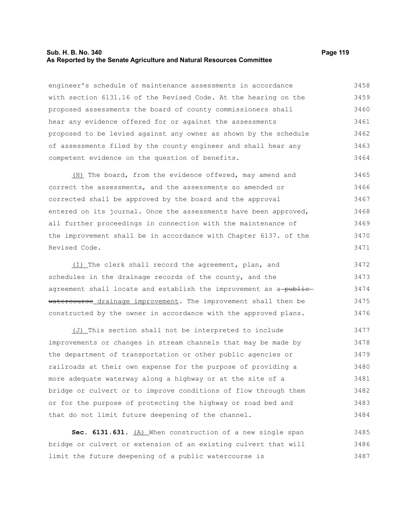#### **Sub. H. B. No. 340 Page 119 As Reported by the Senate Agriculture and Natural Resources Committee**

engineer's schedule of maintenance assessments in accordance with section 6131.16 of the Revised Code. At the hearing on the proposed assessments the board of county commissioners shall hear any evidence offered for or against the assessments proposed to be levied against any owner as shown by the schedule of assessments filed by the county engineer and shall hear any competent evidence on the question of benefits. 3458 3459 3460 3461 3462 3463 3464

(H) The board, from the evidence offered, may amend and correct the assessments, and the assessments so amended or corrected shall be approved by the board and the approval entered on its journal. Once the assessments have been approved, all further proceedings in connection with the maintenance of the improvement shall be in accordance with Chapter 6137. of the Revised Code. 3465 3466 3467 3468 3469 3470 3471

(I) The clerk shall record the agreement, plan, and schedules in the drainage records of the county, and the agreement shall locate and establish the improvement as a-publicwatercourse drainage improvement. The improvement shall then be constructed by the owner in accordance with the approved plans. 3472 3473 3474 3475 3476

(J) This section shall not be interpreted to include improvements or changes in stream channels that may be made by the department of transportation or other public agencies or railroads at their own expense for the purpose of providing a more adequate waterway along a highway or at the site of a bridge or culvert or to improve conditions of flow through them or for the purpose of protecting the highway or road bed and that do not limit future deepening of the channel. 3477 3478 3479 3480 3481 3482 3483 3484

Sec. 6131.631. (A) When construction of a new single span bridge or culvert or extension of an existing culvert that will limit the future deepening of a public watercourse is 3485 3486 3487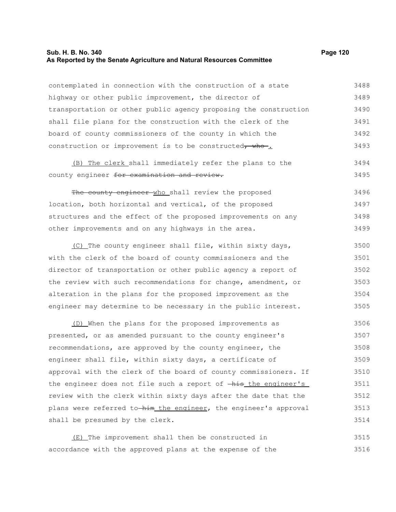## **Sub. H. B. No. 340 Page 120 As Reported by the Senate Agriculture and Natural Resources Committee**

| contemplated in connection with the construction of a state                       | 3488 |
|-----------------------------------------------------------------------------------|------|
| highway or other public improvement, the director of                              | 3489 |
| transportation or other public agency proposing the construction                  | 3490 |
| shall file plans for the construction with the clerk of the                       | 3491 |
| board of county commissioners of the county in which the                          | 3492 |
| construction or improvement is to be constructed, who.                            | 3493 |
| (B) The clerk shall immediately refer the plans to the                            | 3494 |
| county engineer for examination and review.                                       | 3495 |
| The county engineer who shall review the proposed                                 | 3496 |
| location, both horizontal and vertical, of the proposed                           | 3497 |
| structures and the effect of the proposed improvements on any                     | 3498 |
| other improvements and on any highways in the area.                               | 3499 |
| (C) The county engineer shall file, within sixty days,                            | 3500 |
| with the clerk of the board of county commissioners and the                       | 3501 |
| director of transportation or other public agency a report of                     | 3502 |
| the review with such recommendations for change, amendment, or                    | 3503 |
| alteration in the plans for the proposed improvement as the                       | 3504 |
| engineer may determine to be necessary in the public interest.                    | 3505 |
| (D) When the plans for the proposed improvements as                               | 3506 |
| presented, or as amended pursuant to the county engineer's                        | 3507 |
| recommendations, are approved by the county engineer, the                         | 3508 |
| engineer shall file, within sixty days, a certificate of                          | 3509 |
| approval with the clerk of the board of county commissioners. If                  | 3510 |
| the engineer does not file such a report of $-\text{his}\_\text{the}\$ engineer's | 3511 |
| review with the clerk within sixty days after the date that the                   | 3512 |
| plans were referred to-him the engineer, the engineer's approval                  | 3513 |
| shall be presumed by the clerk.                                                   | 3514 |
| (E) The improvement shall then be constructed in                                  | 3515 |

accordance with the approved plans at the expense of the 3516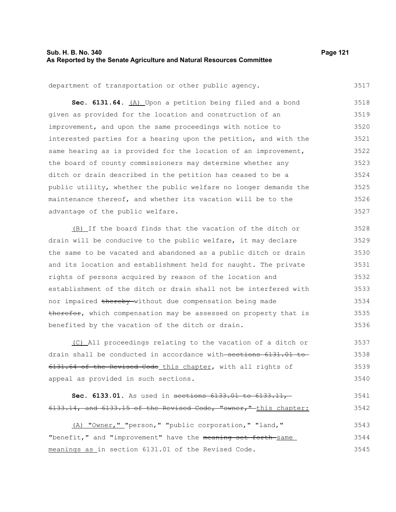## **Sub. H. B. No. 340 Page 121 As Reported by the Senate Agriculture and Natural Resources Committee**

3517

department of transportation or other public agency.

Sec. 6131.64. **(A)** Upon a petition being filed and a bond given as provided for the location and construction of an improvement, and upon the same proceedings with notice to interested parties for a hearing upon the petition, and with the same hearing as is provided for the location of an improvement, the board of county commissioners may determine whether any ditch or drain described in the petition has ceased to be a public utility, whether the public welfare no longer demands the maintenance thereof, and whether its vacation will be to the advantage of the public welfare. 3518 3519 3520 3521 3522 3523 3524 3525 3526 3527

(B) If the board finds that the vacation of the ditch or drain will be conducive to the public welfare, it may declare the same to be vacated and abandoned as a public ditch or drain and its location and establishment held for naught. The private rights of persons acquired by reason of the location and establishment of the ditch or drain shall not be interfered with nor impaired thereby without due compensation being made therefor, which compensation may be assessed on property that is benefited by the vacation of the ditch or drain. 3528 3529 3530 3531 3532 3533 3534 3535 3536

(C) All proceedings relating to the vacation of a ditch or drain shall be conducted in accordance with sections 6131.01 to 6131.64 of the Revised Code this chapter, with all rights of appeal as provided in such sections. 3537 3538 3539 3540

#### **Sec. 6133.01.** As used in sections 6133.01 to 6133.11, 6133.14, and 6133.15 of the Revised Code, "owner," this chapter: 3541 3542

(A) "Owner," "person," "public corporation," "land," "benefit," and "improvement" have the meaning set forth-same meanings as in section 6131.01 of the Revised Code. 3543 3544 3545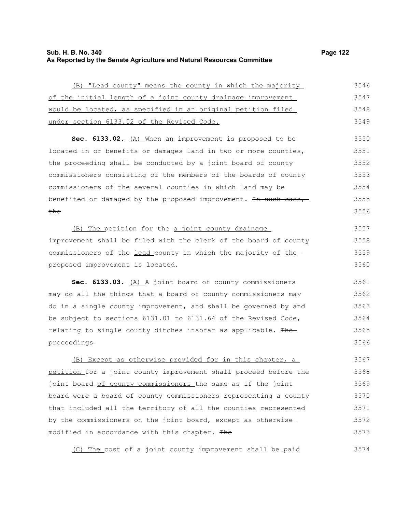# **Sub. H. B. No. 340 Page 122 As Reported by the Senate Agriculture and Natural Resources Committee**

3574

| (B) "Lead county" means the county in which the majority         | 3546 |
|------------------------------------------------------------------|------|
| of the initial length of a joint county drainage improvement     | 3547 |
| would be located, as specified in an original petition filed     | 3548 |
| under section 6133.02 of the Revised Code.                       | 3549 |
| Sec. 6133.02. (A) When an improvement is proposed to be          | 3550 |
| located in or benefits or damages land in two or more counties,  | 3551 |
| the proceeding shall be conducted by a joint board of county     | 3552 |
| commissioners consisting of the members of the boards of county  | 3553 |
| commissioners of the several counties in which land may be       | 3554 |
| benefited or damaged by the proposed improvement. In such case,  | 3555 |
| <del>the</del>                                                   | 3556 |
| (B) The petition for the a joint county drainage                 | 3557 |
| improvement shall be filed with the clerk of the board of county | 3558 |
| commissioners of the lead county-in which the majority of the-   | 3559 |
| proposed improvement is located.                                 | 3560 |
| Sec. 6133.03. (A) A joint board of county commissioners          | 3561 |
| may do all the things that a board of county commissioners may   | 3562 |
| do in a single county improvement, and shall be governed by and  | 3563 |
| be subject to sections 6131.01 to 6131.64 of the Revised Code,   | 3564 |
| relating to single county ditches insofar as applicable. The     | 3565 |
| proceedings                                                      | 3566 |
| (B) Except as otherwise provided for in this chapter, a          | 3567 |
| petition for a joint county improvement shall proceed before the | 3568 |
| joint board of county commissioners the same as if the joint     | 3569 |
| board were a board of county commissioners representing a county | 3570 |
| that included all the territory of all the counties represented  | 3571 |
| by the commissioners on the joint board, except as otherwise     | 3572 |
| modified in accordance with this chapter. The                    |      |
|                                                                  | 3573 |

(C) The cost of a joint county improvement shall be paid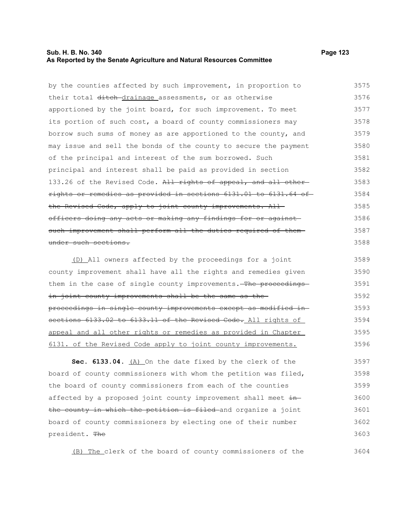## **Sub. H. B. No. 340 Page 123 As Reported by the Senate Agriculture and Natural Resources Committee**

by the counties affected by such improvement, in proportion to their total ditch-drainage assessments, or as otherwise apportioned by the joint board, for such improvement. To meet its portion of such cost, a board of county commissioners may borrow such sums of money as are apportioned to the county, and may issue and sell the bonds of the county to secure the payment of the principal and interest of the sum borrowed. Such principal and interest shall be paid as provided in section 133.26 of the Revised Code. All rights of appeal, and all otherrights or remedies as provided in sections 6131.01 to 6131.64 of the Revised Code, apply to joint county improvements. Allofficers doing any acts or making any findings for or against such improvement shall perform all the duties required of them under such sections. 3575 3576 3577 3578 3579 3580 3581 3582 3583 3584 3585 3586 3587 3588

(D) All owners affected by the proceedings for a joint county improvement shall have all the rights and remedies given them in the case of single county improvements. The proceedingsin joint county improvements shall be the same as theproceedings in single county improvements except as modified in sections 6133.02 to 6133.11 of the Revised Code. All rights of appeal and all other rights or remedies as provided in Chapter 6131. of the Revised Code apply to joint county improvements. 3589 3590 3591 3592 3593 3594 3595 3596

**Sec. 6133.04.** (A) On the date fixed by the clerk of the board of county commissioners with whom the petition was filed, the board of county commissioners from each of the counties affected by a proposed joint county improvement shall meet inthe county in which the petition is filed and organize a joint board of county commissioners by electing one of their number president. The 3597 3598 3599 3600 3601 3602 3603

(B) The clerk of the board of county commissioners of the

3604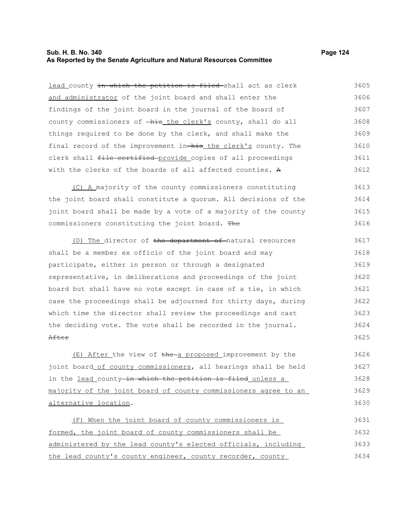## **Sub. H. B. No. 340 Page 124 As Reported by the Senate Agriculture and Natural Resources Committee**

lead county in which the petition is filed-shall act as clerk and administrator of the joint board and shall enter the findings of the joint board in the journal of the board of county commissioners of  $-\hbox{his}$  the clerk's county, shall do all things required to be done by the clerk, and shall make the final record of the improvement in-his the clerk's county. The clerk shall file certified provide copies of all proceedings with the clerks of the boards of all affected counties. A 3605 3606 3607 3608 3609 3610 3611 3612

(C) A majority of the county commissioners constituting the joint board shall constitute a quorum. All decisions of the joint board shall be made by a vote of a majority of the county commissioners constituting the joint board. The 3613 3614 3615 3616

(D) The director of the department of natural resources shall be a member ex officio of the joint board and may participate, either in person or through a designated representative, in deliberations and proceedings of the joint board but shall have no vote except in case of a tie, in which case the proceedings shall be adjourned for thirty days, during which time the director shall review the proceedings and cast the deciding vote. The vote shall be recorded in the journal. After 3617 3618 3619 3620 3621 3622 3623 3624 3625

 $(E)$  After the view of the a proposed improvement by the joint board of county commissioners, all hearings shall be held in the lead county-in which the petition is filed unless a majority of the joint board of county commissioners agree to an alternative location. 3626 3627 3628 3629 3630

(F) When the joint board of county commissioners is formed, the joint board of county commissioners shall be administered by the lead county's elected officials, including the lead county's county engineer, county recorder, county 3631 3632 3633 3634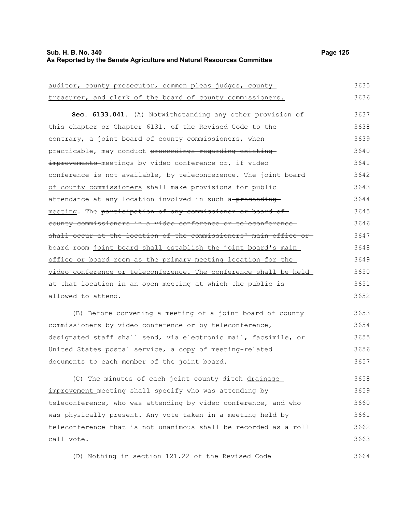## **Sub. H. B. No. 340 Page 125 As Reported by the Senate Agriculture and Natural Resources Committee**

| auditor, county prosecutor, common pleas judges, county           | 3635 |
|-------------------------------------------------------------------|------|
| treasurer, and clerk of the board of county commissioners.        | 3636 |
| Sec. 6133.041. (A) Notwithstanding any other provision of         | 3637 |
| this chapter or Chapter 6131. of the Revised Code to the          | 3638 |
| contrary, a joint board of county commissioners, when             | 3639 |
|                                                                   |      |
| practicable, may conduct proceedings regarding existing           | 3640 |
| improvements meetings by video conference or, if video            | 3641 |
| conference is not available, by teleconference. The joint board   | 3642 |
| of county commissioners shall make provisions for public          | 3643 |
| attendance at any location involved in such a-proceeding-         | 3644 |
| meeting. The participation of any commissioner or board of        | 3645 |
| county commissioners in a video conference or teleconference      | 3646 |
| shall occur at the location of the commissioners' main office or- | 3647 |
| board room-joint board shall establish the joint board's main     | 3648 |
| office or board room as the primary meeting location for the      | 3649 |
| video conference or teleconference. The conference shall be held  | 3650 |
| at that location in an open meeting at which the public is        | 3651 |
| allowed to attend.                                                | 3652 |
| (B) Before convening a meeting of a joint board of county         | 3653 |
| commissioners by video conference or by teleconference,           | 3654 |
|                                                                   |      |
| designated staff shall send, via electronic mail, facsimile, or   | 3655 |

United States postal service, a copy of meeting-related documents to each member of the joint board. 3656 3657

(C) The minutes of each joint county ditch-drainage improvement meeting shall specify who was attending by teleconference, who was attending by video conference, and who was physically present. Any vote taken in a meeting held by teleconference that is not unanimous shall be recorded as a roll call vote. 3658 3659 3660 3661 3662 3663

(D) Nothing in section 121.22 of the Revised Code 3664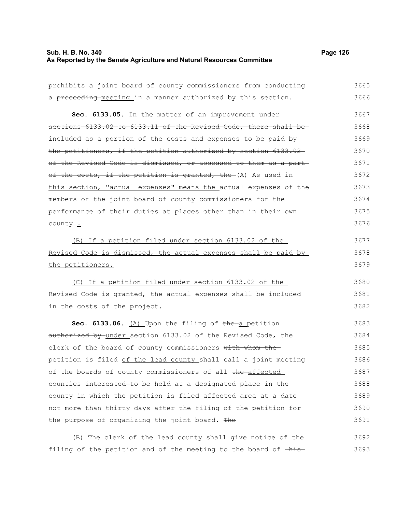## **Sub. H. B. No. 340 Page 126 As Reported by the Senate Agriculture and Natural Resources Committee**

| prohibits a joint board of county commissioners from conducting  | 3665 |
|------------------------------------------------------------------|------|
| a proceeding-meeting in a manner authorized by this section.     | 3666 |
| Sec. 6133.05. In the matter of an improvement under-             | 3667 |
| sections 6133.02 to 6133.11 of the Revised Code, there shall be- | 3668 |
| included as a portion of the costs and expenses to be paid by-   | 3669 |
| the petitioners, if the petition authorized by section 6133.02   | 3670 |
| of the Revised Code is dismissed, or assessed to them as a part- | 3671 |
| of the costs, if the petition is granted, the (A) As used in     | 3672 |
| this section, "actual expenses" means the actual expenses of the | 3673 |
| members of the joint board of county commissioners for the       | 3674 |
| performance of their duties at places other than in their own    | 3675 |
| county $\cdot$                                                   | 3676 |
| (B) If a petition filed under section 6133.02 of the             | 3677 |
| Revised Code is dismissed, the actual expenses shall be paid by  | 3678 |
| the petitioners.                                                 | 3679 |
| (C) If a petition filed under section 6133.02 of the             | 3680 |
| Revised Code is granted, the actual expenses shall be included   | 3681 |
| in the costs of the project.                                     | 3682 |
| Sec. 6133.06. (A) Upon the filing of the a petition              | 3683 |
| authorized by under section 6133.02 of the Revised Code, the     | 3684 |
| clerk of the board of county commissioners with whom the-        | 3685 |
| petition is filed of the lead county shall call a joint meeting  | 3686 |
| of the boards of county commissioners of all the affected        | 3687 |
| counties interested to be held at a designated place in the      | 3688 |
| county in which the petition is filed-affected area at a date    | 3689 |
| not more than thirty days after the filing of the petition for   | 3690 |
| the purpose of organizing the joint board. The                   | 3691 |
| (B) The clerk of the lead county shall give notice of the        | 3692 |

filing of the petition and of the meeting to the board of  $-\text{his}-$  3693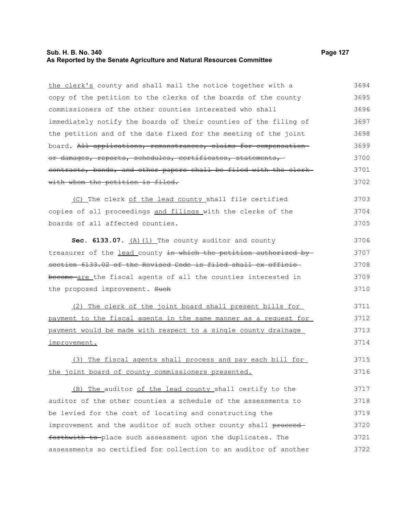## **Sub. H. B. No. 340 Page 127 As Reported by the Senate Agriculture and Natural Resources Committee**

the clerk's county and shall mail the notice together with a copy of the petition to the clerks of the boards of the county commissioners of the other counties interested who shall immediately notify the boards of their counties of the filing of the petition and of the date fixed for the meeting of the joint board. All applications, remonstrances, claims for compensationor damages, reports, schedules, certificates, statements, contracts, bonds, and other papers shall be filed with the clerk with whom the petition is filed. (C) The clerk of the lead county shall file certified copies of all proceedings and filings with the clerks of the boards of all affected counties. Sec. 6133.07. (A) (1) The county auditor and county treasurer of the lead county in which the petition authorized by section 6133.02 of the Revised Code is filed shall ex officio become are the fiscal agents of all the counties interested in the proposed improvement. Such (2) The clerk of the joint board shall present bills for payment to the fiscal agents in the same manner as a request for payment would be made with respect to a single county drainage improvement. (3) The fiscal agents shall process and pay each bill for the joint board of county commissioners presented. (B) The auditor of the lead county shall certify to the auditor of the other counties a schedule of the assessments to be levied for the cost of locating and constructing the improvement and the auditor of such other county shall proceed-3694 3695 3696 3697 3698 3699 3700 3701 3702 3703 3704 3705 3706 3707 3708 3709 3710 3711 3712 3713 3714 3715 3716 3717 3718 3719 3720

forthwith to place such assessment upon the duplicates. The assessments so certified for collection to an auditor of another 3721 3722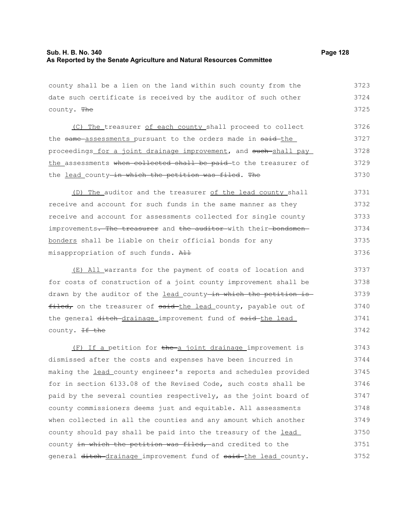3742

county shall be a lien on the land within such county from the date such certificate is received by the auditor of such other county. The (C) The treasurer of each county shall proceed to collect the same assessments pursuant to the orders made in said-the proceedings for a joint drainage improvement, and such shall pay the assessments when collected shall be paid to the treasurer of the lead county-in which the petition was filed. The (D) The auditor and the treasurer of the lead county shall receive and account for such funds in the same manner as they receive and account for assessments collected for single county improvements. The treasurer and the auditor with their-bondsmenbonders shall be liable on their official bonds for any misappropriation of such funds. All 3723 3724 3725 3726 3727 3728 3729 3730 3731 3732 3733 3734 3735 3736

(E) All warrants for the payment of costs of location and for costs of construction of a joint county improvement shall be drawn by the auditor of the lead county in which the petition is filed, on the treasurer of said the lead county, payable out of the general ditch drainage improvement fund of said the lead county. <del>If the</del> 3737 3738 3739 3740 3741

(F) If a petition for the a joint drainage improvement is dismissed after the costs and expenses have been incurred in making the lead county engineer's reports and schedules provided for in section 6133.08 of the Revised Code, such costs shall be paid by the several counties respectively, as the joint board of county commissioners deems just and equitable. All assessments when collected in all the counties and any amount which another county should pay shall be paid into the treasury of the lead county in which the petition was filed, and credited to the general ditch drainage improvement fund of said the lead county. 3743 3744 3745 3746 3747 3748 3749 3750 3751 3752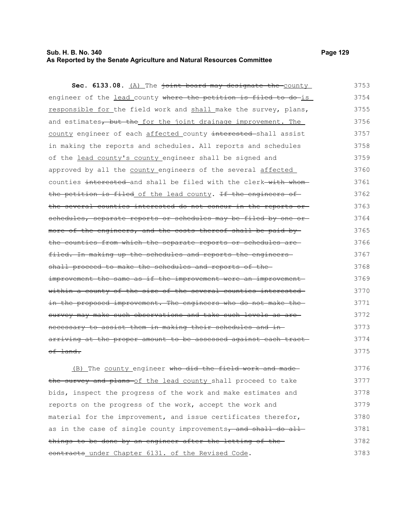## **Sub. H. B. No. 340 Page 129 As Reported by the Senate Agriculture and Natural Resources Committee**

Sec. 6133.08. (A) The joint board may designate the county

engineer of the lead county where the petition is filed to do-is responsible for the field work and shall make the survey, plans, and estimates, but the for the joint drainage improvement. The county engineer of each affected county interested shall assist in making the reports and schedules. All reports and schedules of the lead county's county engineer shall be signed and approved by all the county engineers of the several affected counties interested and shall be filed with the clerk with whomthe petition is filed of the lead county. If the engineers of the several counties interested do not concur in the reports or schedules, separate reports or schedules may be filed by one ormore of the engineers, and the costs thereof shall be paid by the counties from which the separate reports or schedules are filed. In making up the schedules and reports the engineers shall proceed to make the schedules and reports of theimprovement the same as if the improvement were an improvementwithin a county of the size of the several counties interested in the proposed improvement. The engineers who do not make thesurvey may make such observations and take such levels as arenecessary to assist them in making their schedules and in arriving at the proper amount to be assessed against each tract of land. 3754 3755 3756 3757 3758 3759 3760 3761 3762 3763 3764 3765 3766 3767 3768 3769 3770 3771 3772 3773 3774 3775

(B) The county engineer who did the field work and made the survey and plans of the lead county shall proceed to take bids, inspect the progress of the work and make estimates and reports on the progress of the work, accept the work and material for the improvement, and issue certificates therefor, as in the case of single county improvements, and shall do all things to be done by an engineer after the letting of the contracts under Chapter 6131. of the Revised Code. 3776 3777 3778 3779 3780 3781 3782 3783

3753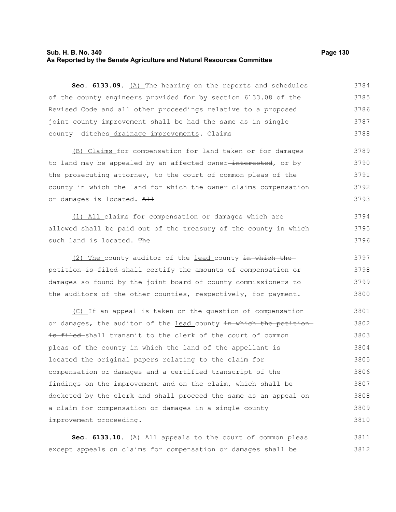## **Sub. H. B. No. 340 Page 130 As Reported by the Senate Agriculture and Natural Resources Committee**

Sec. 6133.09. (A) The hearing on the reports and schedules of the county engineers provided for by section 6133.08 of the Revised Code and all other proceedings relative to a proposed joint county improvement shall be had the same as in single county -ditches drainage improvements. Claims 3784 3785 3786 3787 3788

(B) Claims for compensation for land taken or for damages to land may be appealed by an affected owner<del>-interested</del>, or by the prosecuting attorney, to the court of common pleas of the county in which the land for which the owner claims compensation or damages is located. All 3789 3790 3791 3792 3793

(1) All claims for compensation or damages which are allowed shall be paid out of the treasury of the county in which such land is located. The 3794 3795 3796

(2) The county auditor of the lead county in which the petition is filed shall certify the amounts of compensation or damages so found by the joint board of county commissioners to the auditors of the other counties, respectively, for payment. 3797 3798 3799 3800

(C) If an appeal is taken on the question of compensation or damages, the auditor of the lead county in which the petitionis filed shall transmit to the clerk of the court of common pleas of the county in which the land of the appellant is located the original papers relating to the claim for compensation or damages and a certified transcript of the findings on the improvement and on the claim, which shall be docketed by the clerk and shall proceed the same as an appeal on a claim for compensation or damages in a single county improvement proceeding. 3801 3802 3803 3804 3805 3806 3807 3808 3809 3810

Sec. 6133.10. (A) All appeals to the court of common pleas except appeals on claims for compensation or damages shall be 3811 3812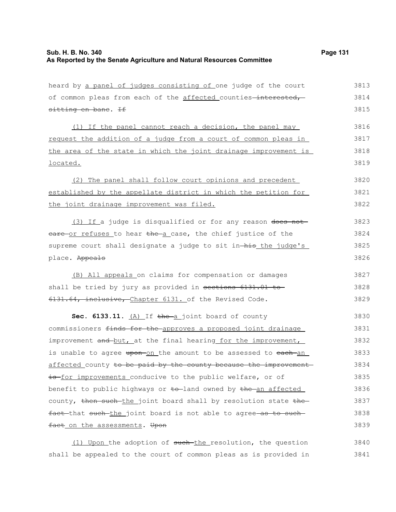| heard by a panel of judges consisting of one judge of the court  | 3813 |
|------------------------------------------------------------------|------|
| of common pleas from each of the affected counties-interested,   | 3814 |
| sitting en bane. If                                              | 3815 |
| (1) If the panel cannot reach a decision, the panel may          | 3816 |
| request the addition of a judge from a court of common pleas in  | 3817 |
| the area of the state in which the joint drainage improvement is | 3818 |
| located.                                                         | 3819 |
| (2) The panel shall follow court opinions and precedent          | 3820 |
| established by the appellate district in which the petition for  | 3821 |
| the joint drainage improvement was filed.                        | 3822 |
| (3) If a judge is disqualified or for any reason does not        | 3823 |
| eare or refuses to hear the a case, the chief justice of the     | 3824 |
| supreme court shall designate a judge to sit in-his the judge's  | 3825 |
| place. Appeals                                                   | 3826 |
| (B) All appeals on claims for compensation or damages            | 3827 |
| shall be tried by jury as provided in sections 6131.01 to        | 3828 |
| 6131.64, inclusive, Chapter 6131. of the Revised Code.           | 3829 |
| Sec. 6133.11. $(A)$ If the a joint board of county               | 3830 |
| commissioners finds for the approves a proposed joint drainage   | 3831 |
| improvement and but, at the final hearing for the improvement,   | 3832 |
| is unable to agree upon-on the amount to be assessed to each-an  | 3833 |
| affected county to be paid by the county because the improvement | 3834 |
| is for improvements conducive to the public welfare, or of       | 3835 |
| benefit to public highways or to-land owned by the an affected   | 3836 |
| county, then such the joint board shall by resolution state the  | 3837 |
| fact that such the joint board is not able to agree as to such   | 3838 |
| fact on the assessments. Upon                                    | 3839 |

(1) Upon the adoption of such-the resolution, the question shall be appealed to the court of common pleas as is provided in 3840 3841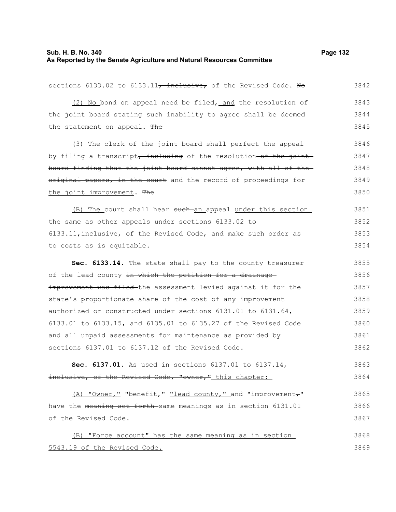## **Sub. H. B. No. 340 Page 132 As Reported by the Senate Agriculture and Natural Resources Committee**

| sections 6133.02 to 6133.11, inclusive, of the Revised Code. No        | 3842 |
|------------------------------------------------------------------------|------|
| (2) No bond on appeal need be filed <sub>r</sub> and the resolution of | 3843 |
| the joint board stating such inability to agree-shall be deemed        | 3844 |
| the statement on appeal. The                                           | 3845 |
| (3) The clerk of the joint board shall perfect the appeal              | 3846 |
| by filing a transcript, including of the resolution-of the joint       | 3847 |
| board finding that the joint board cannot agree, with all of the       | 3848 |
| original papers, in the court and the record of proceedings for        | 3849 |
| the joint improvement. The                                             | 3850 |
| (B) The court shall hear such an appeal under this section             | 3851 |
| the same as other appeals under sections 6133.02 to                    | 3852 |
| $6133.11$ , inclusive, of the Revised Code, and make such order as     | 3853 |
| to costs as is equitable.                                              | 3854 |
| Sec. 6133.14. The state shall pay to the county treasurer              | 3855 |
| of the lead county in which the petition for a drainage                | 3856 |
| improvement was filed the assessment levied against it for the         | 3857 |
| state's proportionate share of the cost of any improvement             | 3858 |
| authorized or constructed under sections 6131.01 to 6131.64,           | 3859 |
| 6133.01 to 6133.15, and 6135.01 to 6135.27 of the Revised Code         | 3860 |
| and all unpaid assessments for maintenance as provided by              | 3861 |
| sections 6137.01 to 6137.12 of the Revised Code.                       | 3862 |
| Sec. 6137.01. As used in-sections 6137.01 to 6137.14                   | 3863 |
| inclusive, of the Revised Code, "owner," this chapter:                 | 3864 |
| (A) "Owner," "benefit," "lead county," and "improvement,"              | 3865 |
| have the meaning set forth same meanings as in section 6131.01         | 3866 |
| of the Revised Code.                                                   | 3867 |
| (B) "Force account" has the same meaning as in section                 | 3868 |
| 5543.19 of the Revised Code.                                           | 3869 |
|                                                                        |      |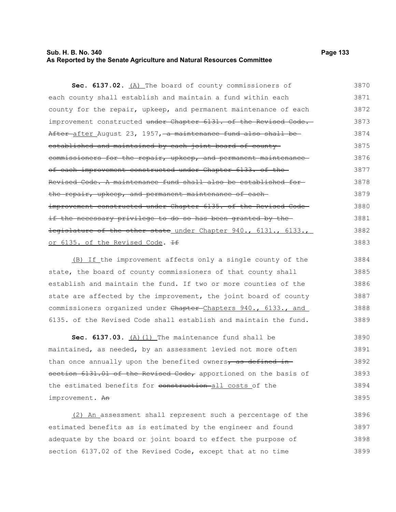## **Sub. H. B. No. 340 Page 133 As Reported by the Senate Agriculture and Natural Resources Committee**

Sec. 6137.02. (A) The board of county commissioners of each county shall establish and maintain a fund within each county for the repair, upkeep, and permanent maintenance of each improvement constructed under Chapter 6131. of the Revised Code. After after August 23, 1957, a maintenance fund also shall be established and maintained by each joint board of countycommissioners for the repair, upkeep, and permanent maintenance of each improvement constructed under Chapter 6133. of the Revised Code. A maintenance fund shall also be established for the repair, upkeep, and permanent maintenance of each improvement constructed under Chapter 6135. of the Revised Codeif the necessary privilege to do so has been granted by the legislature of the other state under Chapter 940., 6131., 6133., 3870 3871 3872 3873 3874 3875 3876 3877 3878 3879 3880 3881 3882

### or 6135. of the Revised Code. +

(B) If the improvement affects only a single county of the state, the board of county commissioners of that county shall establish and maintain the fund. If two or more counties of the state are affected by the improvement, the joint board of county commissioners organized under Chapter-Chapters 940., 6133., and 6135. of the Revised Code shall establish and maintain the fund. 3884 3885 3886 3887 3888 3889

Sec. 6137.03. (A) (1) The maintenance fund shall be maintained, as needed, by an assessment levied not more often than once annually upon the benefited owners, as defined insection 6131.01 of the Revised Code, apportioned on the basis of the estimated benefits for construction all costs of the improvement. An 3890 3891 3892 3893 3894 3895

(2) An assessment shall represent such a percentage of the estimated benefits as is estimated by the engineer and found adequate by the board or joint board to effect the purpose of section 6137.02 of the Revised Code, except that at no time 3896 3897 3898 3899

3883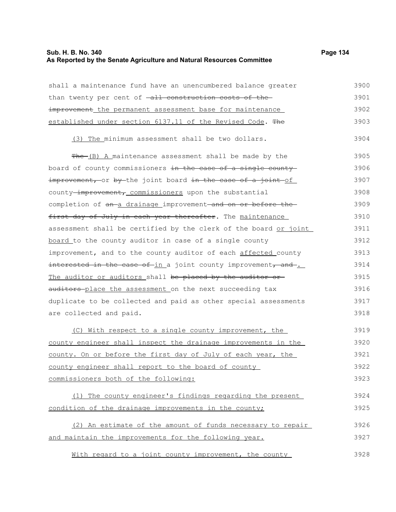## **Sub. H. B. No. 340 Page 134 As Reported by the Senate Agriculture and Natural Resources Committee**

shall a maintenance fund have an unencumbered balance greater than twenty per cent of  $-\text{all}$  construction costs of theimprovement the permanent assessment base for maintenance established under section 6137.11 of the Revised Code. The (3) The minimum assessment shall be two dollars.  $The - (B)$  A maintenance assessment shall be made by the board of county commissioners in the case of a single county improvement, or by the joint board in the case of a joint of county-improvement, commissioners upon the substantial completion of an-a drainage improvement-and on or before thefirst day of July in each year thereafter. The maintenance assessment shall be certified by the clerk of the board or joint board to the county auditor in case of a single county improvement, and to the county auditor of each affected county interested in the case of in a joint county improvement, and. The auditor or auditors shall be placed by the auditor or auditors-place the assessment on the next succeeding tax duplicate to be collected and paid as other special assessments are collected and paid. (C) With respect to a single county improvement, the county engineer shall inspect the drainage improvements in the county. On or before the first day of July of each year, the county engineer shall report to the board of county commissioners both of the following: (1) The county engineer's findings regarding the present condition of the drainage improvements in the county; 3900 3901 3902 3903 3904 3905 3906 3907 3908 3909 3910 3911 3912 3913 3914 3915 3916 3917 3918 3919 3920 3921 3922 3923 3924 3925

(2) An estimate of the amount of funds necessary to repair and maintain the improvements for the following year. 3926 3927

With regard to a joint county improvement, the county 3928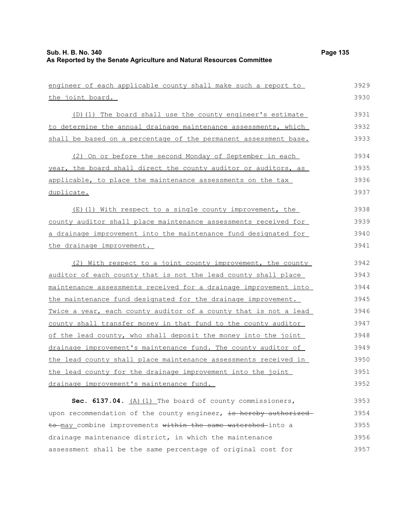| engineer of each applicable county shall make such a report to   | 3929 |
|------------------------------------------------------------------|------|
| the joint board.                                                 | 3930 |
| (D)(1) The board shall use the county engineer's estimate        | 3931 |
| to determine the annual drainage maintenance assessments, which  | 3932 |
| shall be based on a percentage of the permanent assessment base. | 3933 |
| (2) On or before the second Monday of September in each          | 3934 |
| year, the board shall direct the county auditor or auditors, as  | 3935 |
| applicable, to place the maintenance assessments on the tax      | 3936 |
| duplicate.                                                       | 3937 |
| (E)(1) With respect to a single county improvement, the          | 3938 |
| county auditor shall place maintenance assessments received for  | 3939 |
| a drainage improvement into the maintenance fund designated for  | 3940 |
| the drainage improvement.                                        | 3941 |
| (2) With respect to a joint county improvement, the county       | 3942 |
| auditor of each county that is not the lead county shall place   | 3943 |
| maintenance assessments received for a drainage improvement into | 3944 |
| the maintenance fund designated for the drainage improvement.    | 3945 |
| Twice a year, each county auditor of a county that is not a lead | 3946 |
| county shall transfer money in that fund to the county auditor   | 3947 |
| of the lead county, who shall deposit the money into the joint   | 3948 |
| drainage improvement's maintenance fund. The county auditor of   | 3949 |
| the lead county shall place maintenance assessments received in  | 3950 |
| the lead county for the drainage improvement into the joint      | 3951 |
| drainage improvement's maintenance fund.                         | 3952 |
| Sec. 6137.04. (A) (1) The board of county commissioners,         | 3953 |
| upon recommendation of the county engineer, is hereby authorized | 3954 |
| to may combine improvements within the same watershed into a     | 3955 |
| drainage maintenance district, in which the maintenance          | 3956 |
| assessment shall be the same percentage of original cost for     | 3957 |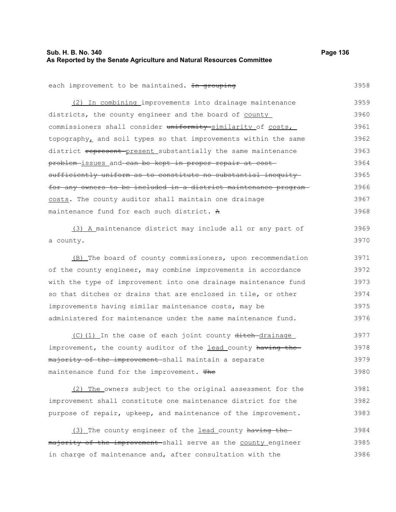## **Sub. H. B. No. 340 Page 136 As Reported by the Senate Agriculture and Natural Resources Committee**

| each improvement to be maintained. In grouping                   | 3958 |
|------------------------------------------------------------------|------|
| (2) In combining improvements into drainage maintenance          | 3959 |
| districts, the county engineer and the board of county           | 3960 |
| commissioners shall consider uniformity similarity of costs,     | 3961 |
| topography, and soil types so that improvements within the same  | 3962 |
| district represent-present substantially the same maintenance    | 3963 |
| problem-issues and can be kept in proper repair at cost-         | 3964 |
| sufficiently uniform as to constitute no substantial inequity    | 3965 |
| for any owners to be included in a district maintenance program- | 3966 |
| costs. The county auditor shall maintain one drainage            | 3967 |
| maintenance fund for each such district. A                       | 3968 |
| (3) A maintenance district may include all or any part of        | 3969 |
| a county.                                                        | 3970 |
| (B) The board of county commissioners, upon recommendation       | 3971 |
| of the county engineer, may combine improvements in accordance   | 3972 |
| with the type of improvement into one drainage maintenance fund  | 3973 |
| so that ditches or drains that are enclosed in tile, or other    | 3974 |
| improvements having similar maintenance costs, may be            | 3975 |
| administered for maintenance under the same maintenance fund.    | 3976 |
| (C)(1) In the case of each joint county ditch drainage           | 3977 |
| improvement, the county auditor of the lead county having the    | 3978 |
| majority of the improvement-shall maintain a separate            | 3979 |
| maintenance fund for the improvement. The                        | 3980 |
| (2) The owners subject to the original assessment for the        | 3981 |
| improvement shall constitute one maintenance district for the    | 3982 |
| purpose of repair, upkeep, and maintenance of the improvement.   | 3983 |
| (3) The county engineer of the lead county having the-           | 3984 |
| majority of the improvement shall serve as the county engineer   | 3985 |
| in charge of maintenance and, after consultation with the        | 3986 |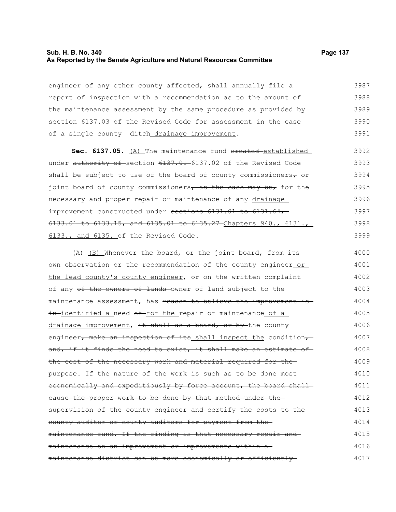#### **Sub. H. B. No. 340 Page 137 As Reported by the Senate Agriculture and Natural Resources Committee**

engineer of any other county affected, shall annually file a report of inspection with a recommendation as to the amount of the maintenance assessment by the same procedure as provided by section 6137.03 of the Revised Code for assessment in the case of a single county -ditch drainage improvement. 3987 3988 3989 3990 3991

Sec. 6137.05. (A) The maintenance fund created established under authority of section 6137.01 6137.02 of the Revised Code shall be subject to use of the board of county commissioners $\tau$  or joint board of county commissioners, as the case may be, for the necessary and proper repair or maintenance of any drainage improvement constructed under sections 6131.01 to 6131.64,-6133.01 to 6133.15, and 6135.01 to 6135.27 Chapters 940., 6131., 6133., and 6135. of the Revised Code. 3992 3993 3994 3995 3996 3997 3998 3999

 $(A)$  (B) Whenever the board, or the joint board, from its own observation or the recommendation of the county engineer or the lead county's county engineer, or on the written complaint of any of the owners of lands owner of land subject to the maintenance assessment, has reason to believe the improvement isin-identified a need of for the repair or maintenance of a drainage improvement, it shall as a board, or by the county engineer, make an inspection of its shall inspect the condition, and, if it finds the need to exist, it shall make an estimate ofthe cost of the necessary work and material required for the purpose. If the nature of the work is such as to be done most economically and expeditiously by force account, the board shallcause the proper work to be done by that method under the supervision of the county engineer and certify the costs to thecounty auditor or county auditors for payment from the maintenance fund. If the finding is that necessary repair and maintenance on an improvement or improvements within a maintenance district can be more economically or efficiently 4000 4001 4002 4003 4004 4005 4006 4007 4008 4009 4010 4011 4012 4013 4014 4015 4016 4017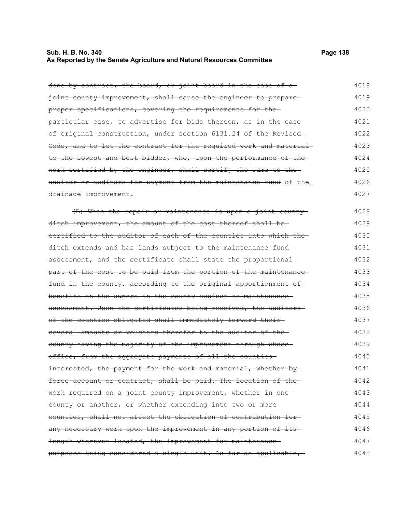## **Sub. H. B. No. 340 Page 138 As Reported by the Senate Agriculture and Natural Resources Committee**

| done by contract, the board, or joint board in the case of a     | 4018 |
|------------------------------------------------------------------|------|
| joint county improvement, shall cause the engineer to prepare    | 4019 |
| proper specifications, covering the requirements for the-        | 4020 |
| particular case, to advertise for bids thereon, as in the case-  | 4021 |
| of original construction, under section 6131.24 of the Revised-  | 4022 |
| Code, and to let the contract for the required work and material | 4023 |
| to the lowest and best bidder, who, upon the performance of the- | 4024 |
| work certified by the engineer, shall certify the same to the    | 4025 |
| auditor or auditors for payment from the maintenance fund of the | 4026 |
| drainage improvement.                                            | 4027 |
| (B) When the repair or maintenance is upon a joint county        | 4028 |
| ditch improvement, the amount of the cost thereof shall be-      | 4029 |
| certified to the auditor of each of the counties into which the- | 4030 |
| ditch extends and has lands subject to the maintenance fund-     | 4031 |
| assessment, and the certificate shall state the proportional     | 4032 |
| part of the cost to be paid from the portion of the maintenance- | 4033 |
| fund in the county, according to the original apportionment of   | 4034 |
| benefits on the owners in the county subject to maintenance      | 4035 |
| assessment. Upon the certificates being received, the auditors-  | 4036 |
| of the counties obligated shall immediately forward their-       | 4037 |
| several amounts or vouchers therefor to the auditor of the-      | 4038 |
| county having the majority of the improvement through whose      | 4039 |
| office, from the aggregate payments of all the counties-         | 4040 |
| interested, the payment for the work and material, whether by-   | 4041 |
| force account or contract, shall be paid. The location of the-   | 4042 |
| work required on a joint county improvement, whether in one-     | 4043 |
| county or another, or whether extending into two or more-        | 4044 |
| counties, shall not affect the obligation of contribution for-   | 4045 |
| any necessary work upon the improvement in any portion of its    | 4046 |
| length wherever located, the improvement for maintenance-        | 4047 |
| purposes being considered a single unit. As far as applicable,   | 4048 |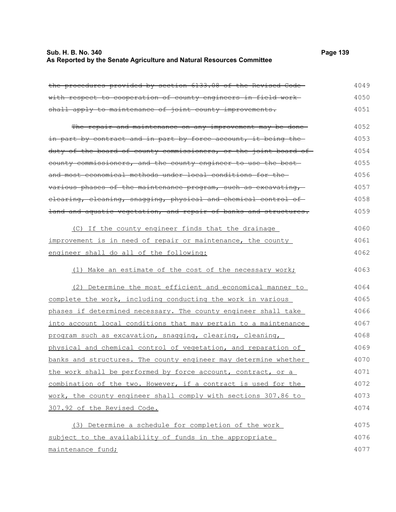## **Sub. H. B. No. 340 Page 139 As Reported by the Senate Agriculture and Natural Resources Committee**

| the procedures provided by section 6133.08 of the Revised Code-  | 4049 |
|------------------------------------------------------------------|------|
| with respect to cooperation of county engineers in field work-   | 4050 |
| shall apply to maintenance of joint county improvements.         | 4051 |
| The repair and maintenance on any improvement may be done-       | 4052 |
| in part by contract and in part by force account, it being the   | 4053 |
| duty of the board of county commissioners, or the joint board of | 4054 |
| county commissioners, and the county engineer to use the best-   | 4055 |
| and most economical methods under local conditions for the-      | 4056 |
| various phases of the maintenance program, such as excavating,   | 4057 |
| elearing, cleaning, snagging, physical and chemical control of   | 4058 |
| land and aquatic vegetation, and repair of banks and structures. | 4059 |
| (C) If the county engineer finds that the drainage               | 4060 |
| improvement is in need of repair or maintenance, the county      | 4061 |
| engineer shall do all of the following:                          | 4062 |
| (1) Make an estimate of the cost of the necessary work;          | 4063 |
| (2) Determine the most efficient and economical manner to        | 4064 |
| complete the work, including conducting the work in various      | 4065 |
| phases if determined necessary. The county engineer shall take   | 4066 |
| into account local conditions that may pertain to a maintenance  | 4067 |
| program such as excavation, snagging, clearing, cleaning,        | 4068 |
| physical and chemical control of vegetation, and reparation of   | 4069 |
| banks and structures. The county engineer may determine whether  | 4070 |
| the work shall be performed by force account, contract, or a     | 4071 |
| combination of the two. However, if a contract is used for the   | 4072 |
| work, the county engineer shall comply with sections 307.86 to   | 4073 |
| 307.92 of the Revised Code.                                      | 4074 |
| (3) Determine a schedule for completion of the work              | 4075 |
| subject to the availability of funds in the appropriate          | 4076 |
| maintenance fund;                                                | 4077 |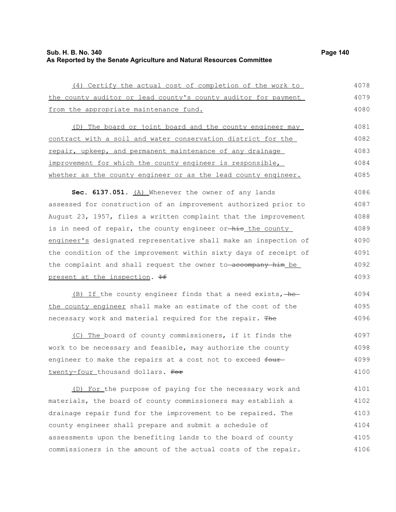## **Sub. H. B. No. 340 Page 140 As Reported by the Senate Agriculture and Natural Resources Committee**

| (4) Certify the actual cost of completion of the work to         | 4078 |
|------------------------------------------------------------------|------|
| the county auditor or lead county's county auditor for payment   | 4079 |
| from the appropriate maintenance fund.                           | 4080 |
| (D) The board or joint board and the county engineer may         | 4081 |
| contract with a soil and water conservation district for the     | 4082 |
| repair, upkeep, and permanent maintenance of any drainage        | 4083 |
| improvement for which the county engineer is responsible,        | 4084 |
| whether as the county engineer or as the lead county engineer.   | 4085 |
| Sec. 6137.051. (A) Whenever the owner of any lands               | 4086 |
| assessed for construction of an improvement authorized prior to  | 4087 |
| August 23, 1957, files a written complaint that the improvement  | 4088 |
| is in need of repair, the county engineer or-his the county      | 4089 |
| engineer's designated representative shall make an inspection of | 4090 |
| the condition of the improvement within sixty days of receipt of | 4091 |
| the complaint and shall request the owner to accompany him be    | 4092 |
| present at the inspection. He                                    | 4093 |
| (B) If the county engineer finds that a need exists, -he-        | 4094 |
| the county engineer shall make an estimate of the cost of the    | 4095 |
| necessary work and material required for the repair. The         | 4096 |
| (C) The board of county commissioners, if it finds the           | 4097 |
| work to be necessary and feasible, may authorize the county      | 4098 |
| engineer to make the repairs at a cost not to exceed four-       | 4099 |
| twenty-four thousand dollars. For                                | 4100 |
| (D) For the purpose of paying for the necessary work and         | 4101 |
| materials, the board of county commissioners may establish a     | 4102 |
| drainage repair fund for the improvement to be repaired. The     | 4103 |
| county engineer shall prepare and submit a schedule of           | 4104 |
| assessments upon the benefiting lands to the board of county     | 4105 |
| commissioners in the amount of the actual costs of the repair.   | 4106 |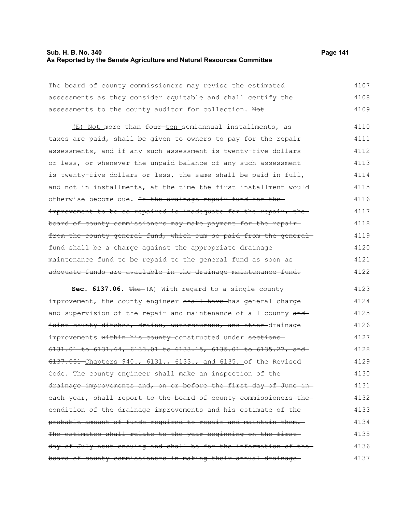## **Sub. H. B. No. 340 Page 141 As Reported by the Senate Agriculture and Natural Resources Committee**

4136 4137

| The board of county commissioners may revise the estimated                     | 4107 |
|--------------------------------------------------------------------------------|------|
| assessments as they consider equitable and shall certify the                   | 4108 |
| assessments to the county auditor for collection. Not                          | 4109 |
| (E) Not more than four ten semiannual installments, as                         | 4110 |
| taxes are paid, shall be given to owners to pay for the repair                 | 4111 |
| assessments, and if any such assessment is twenty-five dollars                 | 4112 |
| or less, or whenever the unpaid balance of any such assessment                 | 4113 |
| is twenty-five dollars or less, the same shall be paid in full,                | 4114 |
| and not in installments, at the time the first installment would               | 4115 |
| otherwise become due. If the drainage repair fund for the                      | 4116 |
| improvement to be so repaired is inadequate for the repair, the                | 4117 |
| board of county commissioners may make payment for the repair-                 | 4118 |
| from the county general fund, which sum so paid from the general               | 4119 |
| fund shall be a charge against the appropriate drainage                        | 4120 |
| maintenance fund to be repaid to the general fund as soon as-                  | 4121 |
| adequate funds are available in the drainage maintenance fund.                 | 4122 |
| Sec. 6137.06. The (A) With regard to a single county                           | 4123 |
| improvement, the county engineer shall have has general charge                 | 4124 |
| and supervision of the repair and maintenance of all county and                | 4125 |
| joint county ditches, drains, watercourses, and other-drainage                 | 4126 |
| improvements within his county constructed under sections                      | 4127 |
| $6131.01$ to $6131.64$ , $6133.01$ to $6133.15$ , $6135.01$ to $6135.27$ , and | 4128 |
| 6137.051 Chapters 940., 6131., 6133., and 6135. of the Revised                 | 4129 |
| Code. The county engineer shall make an inspection of the                      | 4130 |
| drainage improvements and, on or before the first day of June in               | 4131 |
| each year, shall report to the board of county commissioners the               | 4132 |
| eondition of the drainage improvements and his estimate of the                 | 4133 |
| probable amount of funds required to repair and maintain them.                 | 4134 |
| The estimates shall relate to the year beginning on the first-                 | 4135 |

day of July next ensuing and shall be for the information of the

board of county commissioners in making their annual drainage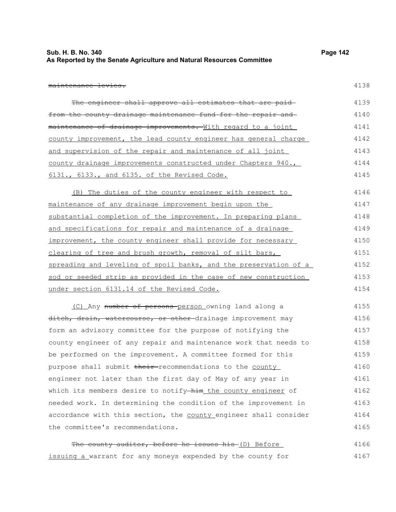| Sub. H. B. No. 340                                                    | Page 142 |
|-----------------------------------------------------------------------|----------|
| As Reported by the Senate Agriculture and Natural Resources Committee |          |

maintenance levies.

4138

| The engineer shall approve all estimates that are paid-          | 4139 |
|------------------------------------------------------------------|------|
| from the county drainage maintenance fund for the repair and     | 4140 |
| maintenance of drainage improvements. With regard to a joint     | 4141 |
| county improvement, the lead county engineer has general charge  | 4142 |
| and supervision of the repair and maintenance of all joint       | 4143 |
| county drainage improvements constructed under Chapters 940.,    | 4144 |
| 6131., 6133., and 6135. of the Revised Code.                     | 4145 |
| (B) The duties of the county engineer with respect to            | 4146 |
| maintenance of any drainage improvement begin upon the           | 4147 |
| substantial completion of the improvement. In preparing plans    | 4148 |
| and specifications for repair and maintenance of a drainage      | 4149 |
| improvement, the county engineer shall provide for necessary     | 4150 |
| clearing of tree and brush growth, removal of silt bars,         | 4151 |
| spreading and leveling of spoil banks, and the preservation of a | 4152 |
| sod or seeded strip as provided in the case of new construction  | 4153 |
| under section 6131.14 of the Revised Code.                       | 4154 |
| (C) Any number of persons-person owning land along a             | 4155 |
| ditch, drain, watercourse, or other-drainage improvement may     | 4156 |
| form an advisory committee for the purpose of notifying the      | 4157 |
| county engineer of any repair and maintenance work that needs to | 4158 |
| be performed on the improvement. A committee formed for this     | 4159 |
| purpose shall submit their-recommendations to the county         | 4160 |
| engineer not later than the first day of May of any year in      | 4161 |
| which its members desire to notify-him the county engineer of    | 4162 |
| needed work. In determining the condition of the improvement in  | 4163 |
| accordance with this section, the county engineer shall consider | 4164 |
| the committee's recommendations.                                 | 4165 |
| The county auditor, before he issues his (D) Before              | 4166 |

issuing a warrant for any moneys expended by the county for 4167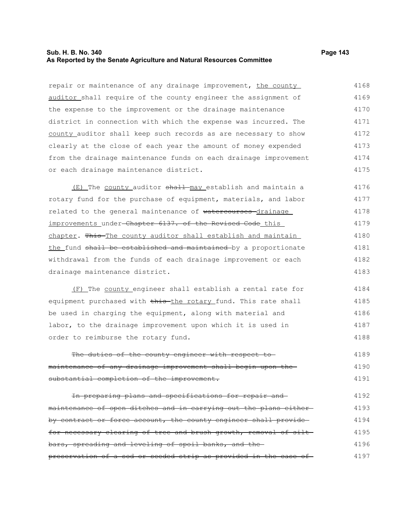## **Sub. H. B. No. 340 Page 143 As Reported by the Senate Agriculture and Natural Resources Committee**

repair or maintenance of any drainage improvement, the county auditor shall require of the county engineer the assignment of the expense to the improvement or the drainage maintenance district in connection with which the expense was incurred. The county auditor shall keep such records as are necessary to show clearly at the close of each year the amount of money expended from the drainage maintenance funds on each drainage improvement or each drainage maintenance district. 4168 4169 4170 4171 4172 4173 4174 4175

(E) The county auditor shall may establish and maintain a rotary fund for the purchase of equipment, materials, and labor related to the general maintenance of watercourses drainage improvements under-Chapter 6137. of the Revised Code this chapter. This The county auditor shall establish and maintain the fund shall be established and maintained by a proportionate withdrawal from the funds of each drainage improvement or each drainage maintenance district. 4176 4177 4178 4179 4180 4181 4182 4183

(F) The county engineer shall establish a rental rate for equipment purchased with this the rotary fund. This rate shall be used in charging the equipment, along with material and labor, to the drainage improvement upon which it is used in order to reimburse the rotary fund. 4184 4185 4186 4187 4188

The duties of the county engineer with respect tomaintenance of any drainage improvement shall begin upon the substantial completion of the improvement. 4189 4190 4191

In preparing plans and specifications for repair and maintenance of open ditches and in carrying out the plans either by contract or force account, the county engineer shall providefor necessary clearing of tree and brush growth, removal of siltbars, spreading and leveling of spoil banks, and the preservation of a sod or seeded strip as provided in the case of 4192 4193 4194 4195 4196 4197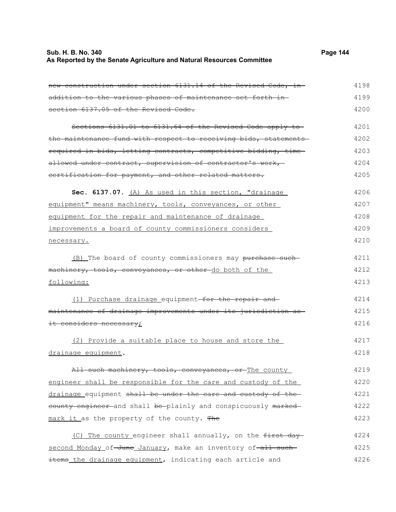## **Sub. H. B. No. 340 Page 144 As Reported by the Senate Agriculture and Natural Resources Committee**

| new construction under section 6131.14 of the Revised Code, in- | 4198 |
|-----------------------------------------------------------------|------|
| addition to the various phases of maintenance set forth in-     | 4199 |
| section 6137.05 of the Revised Code.                            | 4200 |
| Sections 6131.01 to 6131.64 of the Revised Code apply to-       | 4201 |
| the maintenance fund with respect to receiving bids, statements | 4202 |
| required in bids, letting contracts, competitive bidding, time  | 4203 |
| allowed under contract, supervision of contractor's work,       | 4204 |
| certification for payment, and other related matters.           | 4205 |
| Sec. 6137.07. (A) As used in this section, "drainage            | 4206 |
| equipment" means machinery, tools, conveyances, or other        | 4207 |
| equipment for the repair and maintenance of drainage            | 4208 |
| improvements a board of county commissioners considers          | 4209 |
| necessary.                                                      | 4210 |
| (B) The board of county commissioners may purchase such         | 4211 |
| machinery, tools, conveyances, or other-do both of the          | 4212 |
| following:                                                      | 4213 |
| (1) Purchase drainage equipment-for the repair and              | 4214 |
| maintenance of drainage improvements under its jurisdiction as  | 4215 |
| it considers necessary;                                         | 4216 |
| (2) Provide a suitable place to house and store the             | 4217 |
| drainage equipment.                                             | 4218 |
| All such machinery, tools, conveyances, or The county           | 4219 |
| engineer shall be responsible for the care and custody of the   | 4220 |
| drainage equipment shall be under the care and custody of the   | 4221 |
| eounty engineer and shall be plainly and conspicuously marked-  | 4222 |
| mark it as the property of the county. The                      | 4223 |
| The county engineer shall annually, on the first day<br>(C)     | 4224 |
| second Monday of June January, make an inventory of all such    | 4225 |
| items_the drainage equipment, indicating each article and       | 4226 |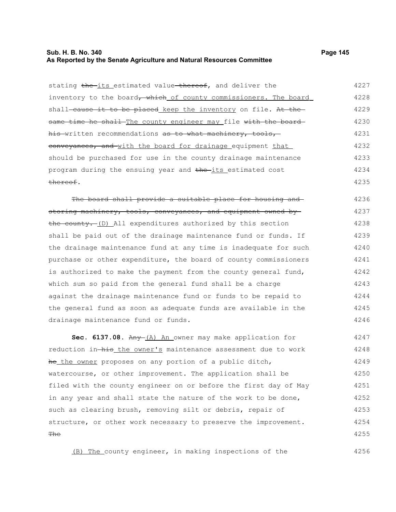#### **Sub. H. B. No. 340 Page 145 As Reported by the Senate Agriculture and Natural Resources Committee**

thereof.

stating the its estimated value thereof, and deliver the inventory to the board, which of county commissioners. The board shall-cause it to be placed keep the inventory on file. At thesame time he shall The county engineer may file with the board his written recommendations as to what machinery, tools, conveyances, and with the board for drainage equipment that should be purchased for use in the county drainage maintenance program during the ensuing year and the its estimated cost 4227 4228 4229 4230 4231 4232 4233 4234

The board shall provide a suitable place for housing and storing machinery, tools, conveyances, and equipment owned by the county. (D) All expenditures authorized by this section shall be paid out of the drainage maintenance fund or funds. If the drainage maintenance fund at any time is inadequate for such purchase or other expenditure, the board of county commissioners is authorized to make the payment from the county general fund, which sum so paid from the general fund shall be a charge against the drainage maintenance fund or funds to be repaid to the general fund as soon as adequate funds are available in the drainage maintenance fund or funds. 4236 4237 4238 4239 4240 4241 4242 4243 4244 4245 4246

Sec. 6137.08. Any (A) An owner may make application for reduction in-his the owner's maintenance assessment due to work he the owner proposes on any portion of a public ditch, watercourse, or other improvement. The application shall be filed with the county engineer on or before the first day of May in any year and shall state the nature of the work to be done, such as clearing brush, removing silt or debris, repair of structure, or other work necessary to preserve the improvement. **The** 4247 4248 4249 4250 4251 4252 4253 4254 4255

(B) The county engineer, in making inspections of the

4235

4256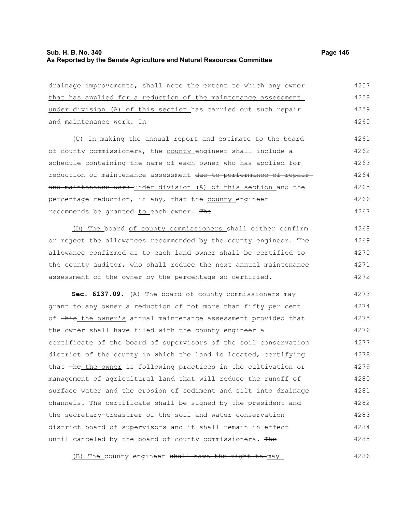# **Sub. H. B. No. 340 Page 146 As Reported by the Senate Agriculture and Natural Resources Committee**

| drainage improvements, shall note the extent to which any owner   | 4257 |
|-------------------------------------------------------------------|------|
| that has applied for a reduction of the maintenance assessment    | 4258 |
| under division (A) of this section has carried out such repair    | 4259 |
| and maintenance work. In                                          | 4260 |
| (C) In making the annual report and estimate to the board         | 4261 |
| of county commissioners, the county engineer shall include a      | 4262 |
| schedule containing the name of each owner who has applied for    | 4263 |
| reduction of maintenance assessment due to performance of repair- | 4264 |
| and maintenance work under division (A) of this section and the   | 4265 |
| percentage reduction, if any, that the county engineer            | 4266 |
| recommends be granted to each owner. The                          | 4267 |
| (D) The board of county commissioners shall either confirm        | 4268 |
| or reject the allowances recommended by the county engineer. The  | 4269 |
| allowance confirmed as to each land-owner shall be certified to   | 4270 |
| the county auditor, who shall reduce the next annual maintenance  | 4271 |
| assessment of the owner by the percentage so certified.           | 4272 |
| Sec. 6137.09. (A) The board of county commissioners may           | 4273 |
| grant to any owner a reduction of not more than fifty per cent    | 4274 |
| of -his the owner's annual maintenance assessment provided that   | 4275 |
| the owner shall have filed with the county engineer a             | 4276 |
| certificate of the board of supervisors of the soil conservation  | 4277 |
| district of the county in which the land is located, certifying   | 4278 |
| that the the owner is following practices in the cultivation or   | 4279 |
| management of agricultural land that will reduce the runoff of    | 4280 |
| surface water and the erosion of sediment and silt into drainage  | 4281 |
| channels. The certificate shall be signed by the president and    | 4282 |
| the secretary-treasurer of the soil and water conservation        | 4283 |
| district board of supervisors and it shall remain in effect       | 4284 |
| until canceled by the board of county commissioners. The          | 4285 |

(B) The county engineer shall have the right to may 4286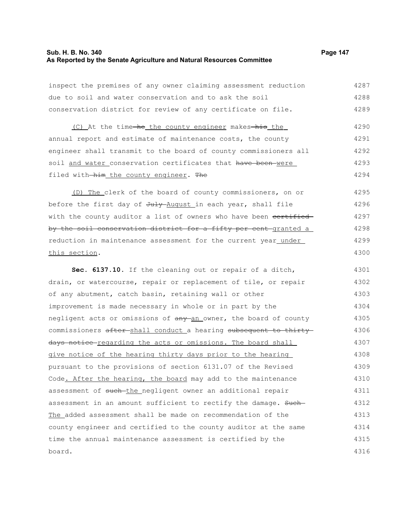# **Sub. H. B. No. 340 Page 147 As Reported by the Senate Agriculture and Natural Resources Committee**

| inspect the premises of any owner claiming assessment reduction   | 4287 |
|-------------------------------------------------------------------|------|
| due to soil and water conservation and to ask the soil            | 4288 |
| conservation district for review of any certificate on file.      | 4289 |
| (C) At the time-he the county engineer makes-his the              | 4290 |
| annual report and estimate of maintenance costs, the county       | 4291 |
| engineer shall transmit to the board of county commissioners all  | 4292 |
| soil and water conservation certificates that have been were      | 4293 |
| filed with-him_the_county_engineer. The                           | 4294 |
| (D) The clerk of the board of county commissioners, on or         | 4295 |
| before the first day of July August in each year, shall file      | 4296 |
| with the county auditor a list of owners who have been cortified  | 4297 |
| by the soil conservation district for a fifty per cent granted a  | 4298 |
| reduction in maintenance assessment for the current year_under_   | 4299 |
| this section.                                                     | 4300 |
| Sec. 6137.10. If the cleaning out or repair of a ditch,           | 4301 |
| drain, or watercourse, repair or replacement of tile, or repair   | 4302 |
| of any abutment, catch basin, retaining wall or other             | 4303 |
| improvement is made necessary in whole or in part by the          | 4304 |
| negligent acts or omissions of any an owner, the board of county  | 4305 |
| commissioners after-shall conduct a hearing subsequent to thirty- | 4306 |
| days notice regarding the acts or omissions. The board shall      | 4307 |
| give notice of the hearing thirty days prior to the hearing       | 4308 |
| pursuant to the provisions of section 6131.07 of the Revised      | 4309 |
| Code. After the hearing, the board may add to the maintenance     | 4310 |
| assessment of such the negligent owner an additional repair       | 4311 |
| assessment in an amount sufficient to rectify the damage. Such-   | 4312 |
| The added assessment shall be made on recommendation of the       | 4313 |
| county engineer and certified to the county auditor at the same   | 4314 |
| time the annual maintenance assessment is certified by the        | 4315 |
|                                                                   |      |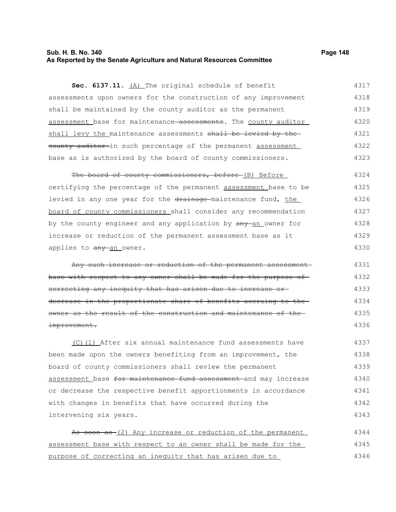### **Sub. H. B. No. 340 Page 148 As Reported by the Senate Agriculture and Natural Resources Committee**

| Sec. 6137.11. (A) The original schedule of benefit              | 4317 |
|-----------------------------------------------------------------|------|
| assessments upon owners for the construction of any improvement | 4318 |
| shall be maintained by the county auditor as the permanent      | 4319 |
| assessment base for maintenance assessments. The county auditor | 4320 |
| shall levy the maintenance assessments shall be levied by the-  | 4321 |
| county auditor-in such percentage of the permanent assessment   | 4322 |
| base as is authorized by the board of county commissioners.     | 4323 |

The board of county commissioners, before (B) Before certifying the percentage of the permanent assessment base to be levied in any one year for the drainage maintenance fund, the board of county commissioners shall consider any recommendation by the county engineer and any application by  $\frac{any - an}{bm}$  owner for increase or reduction of the permanent assessment base as it applies to any an owner. 4324 4325 4326 4327 4328 4329 4330

Any such increase or reduction of the permanent assessment base with respect to any owner shall be made for the purpose of correcting any inequity that has arisen due to increase or decrease in the proportionate share of benefits accruing to the owner as the result of the construction and maintenance of the improvement. 4331 4332 4333 4334 4335 4336

(C)(1) After six annual maintenance fund assessments have been made upon the owners benefiting from an improvement, the board of county commissioners shall review the permanent assessment base for maintenance fund assessment and may increase or decrease the respective benefit apportionments in accordance with changes in benefits that have occurred during the intervening six years. 4337 4338 4339 4340 4341 4342 4343

As soon as (2) Any increase or reduction of the permanent assessment base with respect to an owner shall be made for the purpose of correcting an inequity that has arisen due to 4344 4345 4346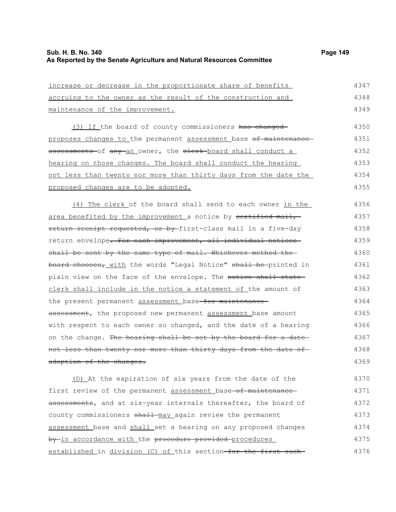| <u>increase or decrease in the proportionate share of benefits</u>        | 4347 |
|---------------------------------------------------------------------------|------|
| accruing to the owner as the result of the construction and               | 4348 |
| maintenance of the improvement.                                           | 4349 |
| (3) If the board of county commissioners has changed                      | 4350 |
| proposes changes to the permanent assessment base of maintenance          | 4351 |
| assessments of any an owner, the elerk board shall conduct a              | 4352 |
| hearing on those changes. The board shall conduct the hearing             | 4353 |
| <u>not less than twenty nor more than thirty days from the date the</u>   | 4354 |
| proposed changes are to be adopted.                                       | 4355 |
| (4) The clerk of the board shall send to each owner in the                | 4356 |
| area benefited by the improvement a notice by certified mail,             | 4357 |
| return receipt requested, or by first-class mail in a five-day            | 4358 |
| return envelope <del>. For each improvement, all individual notices</del> | 4359 |
| shall be sent by the same type of mail. Whichever method the              | 4360 |
| board chooses, with the words "Legal Notice" shall be printed in          | 4361 |
| plain view on the face of the envelope. The notice shall state            | 4362 |
| clerk shall include in the notice a statement of the amount of            | 4363 |
| the present permanent assessment base <del>-for maintenance-</del>        | 4364 |
| assessment, the proposed new permanent assessment base amount             | 4365 |
| with respect to each owner so changed, and the date of a hearing          | 4366 |
| on the change. The hearing shall be set by the board for a date           | 4367 |
| not less than twenty nor more than thirty days from the date of-          | 4368 |
| adoption of the changes.                                                  | 4369 |
| (D) At the expiration of six years from the date of the                   | 4370 |
| first review of the permanent assessment base-of maintenance-             | 4371 |
| assessments, and at six-year intervals thereafter, the board of           | 4372 |
|                                                                           |      |

county commissioners shall-may again review the permanent assessment base and shall set a hearing on any proposed changes by in accordance with the procedure provided procedures established in division (C) of this section-for the first such-4373 4374 4375 4376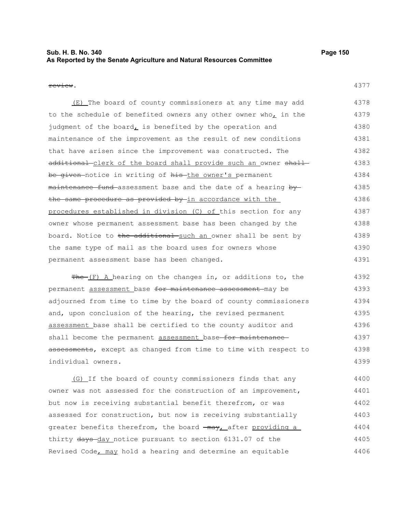## **Sub. H. B. No. 340 Page 150 As Reported by the Senate Agriculture and Natural Resources Committee**

#### review.

(E) The board of county commissioners at any time may add to the schedule of benefited owners any other owner who, in the judgment of the board $<sub>L</sub>$  is benefited by the operation and</sub> maintenance of the improvement as the result of new conditions that have arisen since the improvement was constructed. The additional clerk of the board shall provide such an owner shall be given-notice in writing of his-the owner's permanent maintenance fund assessment base and the date of a hearing by the same procedure as provided by in accordance with the procedures established in division (C) of this section for any owner whose permanent assessment base has been changed by the board. Notice to the additional such an owner shall be sent by the same type of mail as the board uses for owners whose permanent assessment base has been changed. 4378 4379 4380 4381 4382 4383 4384 4385 4386 4387 4388 4389 4390 4391

 $Fhe-(F)$  A hearing on the changes in, or additions to, the permanent assessment base for maintenance assessment may be adjourned from time to time by the board of county commissioners and, upon conclusion of the hearing, the revised permanent assessment base shall be certified to the county auditor and shall become the permanent assessment base-for maintenanceassessments, except as changed from time to time with respect to individual owners. 4392 4393 4394 4395 4396 4397 4398 4399

(G) If the board of county commissioners finds that any owner was not assessed for the construction of an improvement, but now is receiving substantial benefit therefrom, or was assessed for construction, but now is receiving substantially greater benefits therefrom, the board  $\frac{1}{2}$  may, after providing a thirty days-day notice pursuant to section 6131.07 of the Revised Code, may hold a hearing and determine an equitable 4400 4401 4402 4403 4404 4405 4406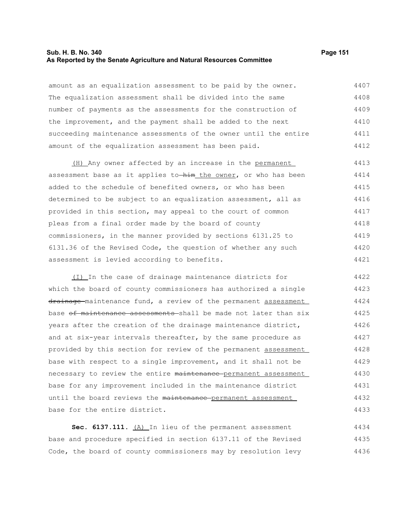#### **Sub. H. B. No. 340 Page 151 As Reported by the Senate Agriculture and Natural Resources Committee**

amount as an equalization assessment to be paid by the owner. The equalization assessment shall be divided into the same number of payments as the assessments for the construction of the improvement, and the payment shall be added to the next succeeding maintenance assessments of the owner until the entire amount of the equalization assessment has been paid. 4407 4408 4409 4410 4411 4412

(H) Any owner affected by an increase in the permanent assessment base as it applies to-him the owner, or who has been added to the schedule of benefited owners, or who has been determined to be subject to an equalization assessment, all as provided in this section, may appeal to the court of common pleas from a final order made by the board of county commissioners, in the manner provided by sections 6131.25 to 6131.36 of the Revised Code, the question of whether any such assessment is levied according to benefits. 4413 4414 4415 4416 4417 4418 4419 4420 4421

(I) In the case of drainage maintenance districts for which the board of county commissioners has authorized a single drainage maintenance fund, a review of the permanent assessment base of maintenance assessments shall be made not later than six years after the creation of the drainage maintenance district, and at six-year intervals thereafter, by the same procedure as provided by this section for review of the permanent assessment base with respect to a single improvement, and it shall not be necessary to review the entire maintenance permanent assessment base for any improvement included in the maintenance district until the board reviews the maintenance permanent assessment base for the entire district. 4422 4423 4424 4425 4426 4427 4428 4429 4430 4431 4432 4433

Sec. 6137.111. (A) In lieu of the permanent assessment base and procedure specified in section 6137.11 of the Revised Code, the board of county commissioners may by resolution levy 4434 4435 4436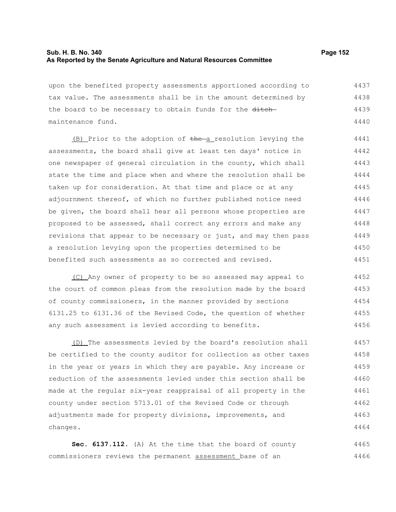### **Sub. H. B. No. 340 Page 152 As Reported by the Senate Agriculture and Natural Resources Committee**

upon the benefited property assessments apportioned according to tax value. The assessments shall be in the amount determined by the board to be necessary to obtain funds for the ditch-4437 4438 4439

maintenance fund. (B) Prior to the adoption of the a resolution levying the assessments, the board shall give at least ten days' notice in one newspaper of general circulation in the county, which shall state the time and place when and where the resolution shall be taken up for consideration. At that time and place or at any adjournment thereof, of which no further published notice need be given, the board shall hear all persons whose properties are proposed to be assessed, shall correct any errors and make any revisions that appear to be necessary or just, and may then pass

a resolution levying upon the properties determined to be benefited such assessments as so corrected and revised.

(C) Any owner of property to be so assessed may appeal to the court of common pleas from the resolution made by the board of county commissioners, in the manner provided by sections 6131.25 to 6131.36 of the Revised Code, the question of whether any such assessment is levied according to benefits. 4452 4453 4454 4455 4456

(D) The assessments levied by the board's resolution shall be certified to the county auditor for collection as other taxes in the year or years in which they are payable. Any increase or reduction of the assessments levied under this section shall be made at the regular six-year reappraisal of all property in the county under section 5713.01 of the Revised Code or through adjustments made for property divisions, improvements, and changes. 4457 4458 4459 4460 4461 4462 4463 4464

**Sec. 6137.112.** (A) At the time that the board of county commissioners reviews the permanent assessment base of an 4465 4466

4440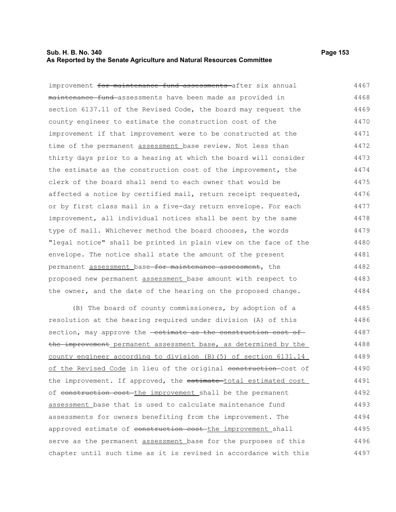### **Sub. H. B. No. 340 Page 153 As Reported by the Senate Agriculture and Natural Resources Committee**

improvement for maintenance fund assessments after six annual maintenance fund assessments have been made as provided in section 6137.11 of the Revised Code, the board may request the county engineer to estimate the construction cost of the improvement if that improvement were to be constructed at the time of the permanent assessment base review. Not less than thirty days prior to a hearing at which the board will consider the estimate as the construction cost of the improvement, the clerk of the board shall send to each owner that would be affected a notice by certified mail, return receipt requested, or by first class mail in a five-day return envelope. For each improvement, all individual notices shall be sent by the same type of mail. Whichever method the board chooses, the words "legal notice" shall be printed in plain view on the face of the envelope. The notice shall state the amount of the present permanent assessment base for maintenance assessment, the proposed new permanent assessment base amount with respect to the owner, and the date of the hearing on the proposed change. 4467 4468 4469 4470 4471 4472 4473 4474 4475 4476 4477 4478 4479 4480 4481 4482 4483 4484

(B) The board of county commissioners, by adoption of a resolution at the hearing required under division (A) of this section, may approve the **estimate as the construction cost of** the improvement permanent assessment base, as determined by the county engineer according to division (B)(5) of section 6131.14 of the Revised Code in lieu of the original construction-cost of the improvement. If approved, the estimate-total estimated cost of construction cost the improvement shall be the permanent assessment base that is used to calculate maintenance fund assessments for owners benefiting from the improvement. The approved estimate of construction cost-the improvement shall serve as the permanent assessment base for the purposes of this chapter until such time as it is revised in accordance with this 4485 4486 4487 4488 4489 4490 4491 4492 4493 4494 4495 4496 4497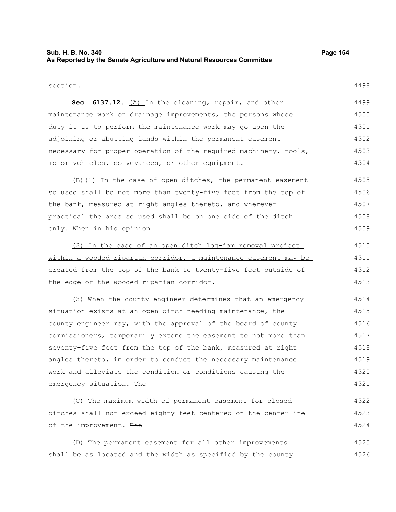## **Sub. H. B. No. 340 Page 154 As Reported by the Senate Agriculture and Natural Resources Committee**

section.

4498

Sec. 6137.12. (A) In the cleaning, repair, and other maintenance work on drainage improvements, the persons whose duty it is to perform the maintenance work may go upon the adjoining or abutting lands within the permanent easement necessary for proper operation of the required machinery, tools, motor vehicles, conveyances, or other equipment. 4499 4500 4501 4502 4503 4504

(B)(1) In the case of open ditches, the permanent easement so used shall be not more than twenty-five feet from the top of the bank, measured at right angles thereto, and wherever practical the area so used shall be on one side of the ditch only. When in his opinion 4505 4506 4507 4508 4509

(2) In the case of an open ditch log-jam removal project within a wooded riparian corridor, a maintenance easement may be created from the top of the bank to twenty-five feet outside of the edge of the wooded riparian corridor. 4510 4511 4512 4513

(3) When the county engineer determines that an emergency situation exists at an open ditch needing maintenance, the county engineer may, with the approval of the board of county commissioners, temporarily extend the easement to not more than seventy-five feet from the top of the bank, measured at right angles thereto, in order to conduct the necessary maintenance work and alleviate the condition or conditions causing the emergency situation. The 4514 4515 4516 4517 4518 4519 4520 4521

(C) The maximum width of permanent easement for closed ditches shall not exceed eighty feet centered on the centerline of the improvement. The 4522 4523 4524

(D) The permanent easement for all other improvements shall be as located and the width as specified by the county 4525 4526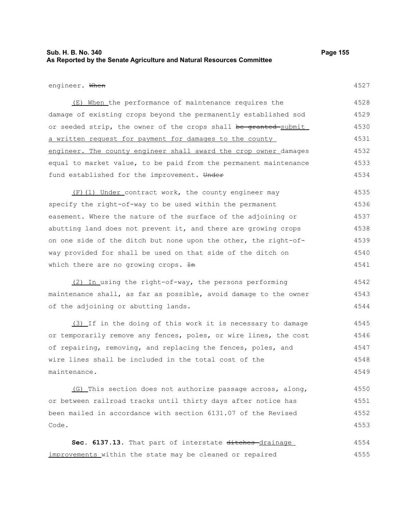## **Sub. H. B. No. 340 Page 155 As Reported by the Senate Agriculture and Natural Resources Committee**

#### engineer. When

4527

(E) When the performance of maintenance requires the damage of existing crops beyond the permanently established sod or seeded strip, the owner of the crops shall be granted submit a written request for payment for damages to the county engineer. The county engineer shall award the crop owner damages equal to market value, to be paid from the permanent maintenance fund established for the improvement. Under 4528 4529 4530 4531 4532 4533 4534

(F)(1) Under contract work, the county engineer may specify the right-of-way to be used within the permanent easement. Where the nature of the surface of the adjoining or abutting land does not prevent it, and there are growing crops on one side of the ditch but none upon the other, the right-ofway provided for shall be used on that side of the ditch on which there are no growing crops.  $H$ n 4535 4536 4537 4538 4539 4540 4541

(2) In using the right-of-way, the persons performing maintenance shall, as far as possible, avoid damage to the owner of the adjoining or abutting lands. 4542 4543 4544

(3) If in the doing of this work it is necessary to damage or temporarily remove any fences, poles, or wire lines, the cost of repairing, removing, and replacing the fences, poles, and wire lines shall be included in the total cost of the maintenance. 4545 4546 4547 4548 4549

(G) This section does not authorize passage across, along, or between railroad tracks until thirty days after notice has been mailed in accordance with section 6131.07 of the Revised Code. 4550 4551 4552 4553

Sec. 6137.13. That part of interstate ditches-drainage improvements within the state may be cleaned or repaired 4554 4555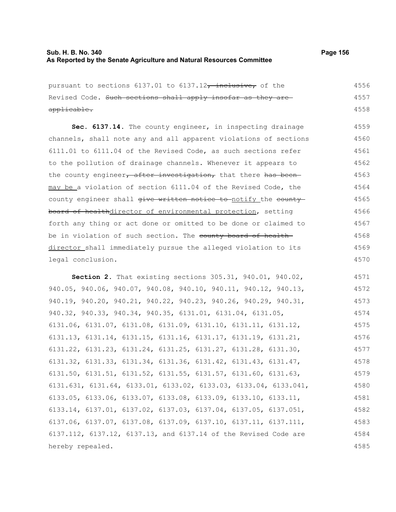# **Sub. H. B. No. 340 Page 156 As Reported by the Senate Agriculture and Natural Resources Committee**

| pursuant to sections 6137.01 to 6137.12, inclusive, of the                           | 4556 |
|--------------------------------------------------------------------------------------|------|
| Revised Code. Such sections shall apply insofar as they are                          | 4557 |
| applicable.                                                                          | 4558 |
| Sec. 6137.14. The county engineer, in inspecting drainage                            | 4559 |
| channels, shall note any and all apparent violations of sections                     | 4560 |
| 6111.01 to 6111.04 of the Revised Code, as such sections refer                       | 4561 |
| to the pollution of drainage channels. Whenever it appears to                        | 4562 |
| the county engineer, after investigation, that there has been                        | 4563 |
| may be a violation of section 6111.04 of the Revised Code, the                       | 4564 |
| county engineer shall give written notice to-notify the county                       | 4565 |
| board of healthdirector of environmental protection, setting                         | 4566 |
| forth any thing or act done or omitted to be done or claimed to                      | 4567 |
| be in violation of such section. The county board of health-                         | 4568 |
| director shall immediately pursue the alleged violation to its                       | 4569 |
| legal conclusion.                                                                    | 4570 |
| Section 2. That existing sections 305.31, 940.01, 940.02,                            | 4571 |
| 940.05, 940.06, 940.07, 940.08, 940.10, 940.11, 940.12, 940.13,                      | 4572 |
| 940.19, 940.20, 940.21, 940.22, 940.23, 940.26, 940.29, 940.31,                      | 4573 |
| 940.32, 940.33, 940.34, 940.35, 6131.01, 6131.04, 6131.05,                           | 4574 |
| 6131.06, 6131.07, 6131.08, 6131.09, 6131.10, 6131.11, 6131.12,                       | 4575 |
| 6131.13, 6131.14, 6131.15, 6131.16, 6131.17, 6131.19, 6131.21,                       | 4576 |
| 6131.22, 6131.23, 6131.24, 6131.25, 6131.27, 6131.28, 6131.30,                       | 4577 |
| $6131.32$ , $6131.33$ , $6131.34$ , $6131.36$ , $6131.42$ , $6131.43$ , $6131.47$ ,  | 4578 |
| 6131.50, 6131.51, 6131.52, 6131.55, 6131.57, 6131.60, 6131.63,                       | 4579 |
| 6131.631, 6131.64, 6133.01, 6133.02, 6133.03, 6133.04, 6133.041,                     | 4580 |
| 6133.05, 6133.06, 6133.07, 6133.08, 6133.09, 6133.10, 6133.11,                       | 4581 |
| $6133.14$ , $6137.01$ , $6137.02$ , $6137.03$ , $6137.04$ , $6137.05$ , $6137.051$ , | 4582 |
| 6137.06, 6137.07, 6137.08, 6137.09, 6137.10, 6137.11, 6137.111,                      | 4583 |
| 6137.112, 6137.12, 6137.13, and 6137.14 of the Revised Code are                      | 4584 |
| hereby repealed.                                                                     | 4585 |